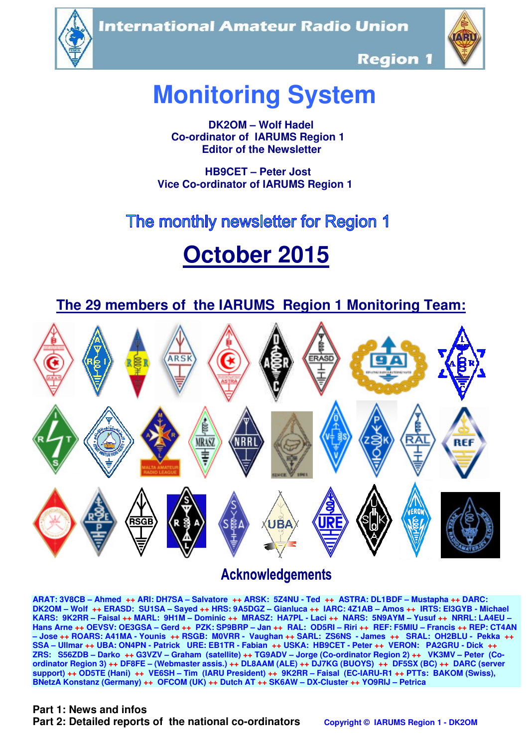**International Amateur Radio Union** 





**Region 1** 

# **Monitoring System**

 **DK2OM – Wolf Hadel Co-ordinator of IARUMS Region 1 Editor of the Newsletter** 

 **HB9CET – Peter Jost Vice Co-ordinator of IARUMS Region 1** 

# The monthly newsletter for Region 1

# **October 2015**

 **The 29 members of the IARUMS Region 1 Monitoring Team:**



# **Acknowledgements**

**ARAT: 3V8CB – Ahmed ++ ARI: DH7SA – Salvatore ++ ARSK: 5Z4NU - Ted ++ ASTRA: DL1BDF – Mustapha ++ DARC: DK2OM – Wolf ++ ERASD: SU1SA – Sayed ++ HRS: 9A5DGZ – Gianluca ++ IARC: 4Z1AB – Amos ++ IRTS: EI3GYB - Michael KARS: 9K2RR – Faisal ++ MARL: 9H1M – Dominic ++ MRASZ: HA7PL - Laci ++ NARS: 5N9AYM – Yusuf ++ NRRL: LA4EU – Hans Arne ++ OEVSV: OE3GSA – Gerd ++ PZK: SP9BRP – Jan ++ RAL: OD5RI – Riri ++ REF: F5MIU – Francis ++ REP: CT4AN – Jose ++ ROARS: A41MA - Younis ++ RSGB: M0VRR - Vaughan ++ SARL: ZS6NS - James ++ SRAL: OH2BLU - Pekka ++ SSA – Ullmar ++ UBA: ON4PN - Patrick URE: EB1TR - Fabian ++ USKA: HB9CET - Peter ++ VERON: PA2GRU - Dick ++ ZRS: S56ZDB – Darko ++ G3VZV – Graham (satellite) ++ TG9ADV – Jorge (Co-ordinator Region 2) ++ VK3MV – Peter (Coordinator Region 3) ++ DF8FE – (Webmaster assis.) ++ DL8AAM (ALE) ++ DJ7KG (BUOYS) ++ DF5SX (BC) ++ DARC (server support) ++ OD5TE (Hani) ++ VE6SH – Tim (IARU President) ++ 9K2RR – Faisal (EC-IARU-R1 ++ PTTs: BAKOM (Swiss), BNetzA Konstanz (Germany) ++ OFCOM (UK) ++ Dutch AT ++ SK6AW – DX-Cluster ++ YO9RIJ – Petrica** 

## **Part 1: News and infos**

**Part 2: Detailed reports of the national co-ordinators copyright © IARUMS Region 1 - DK2OM**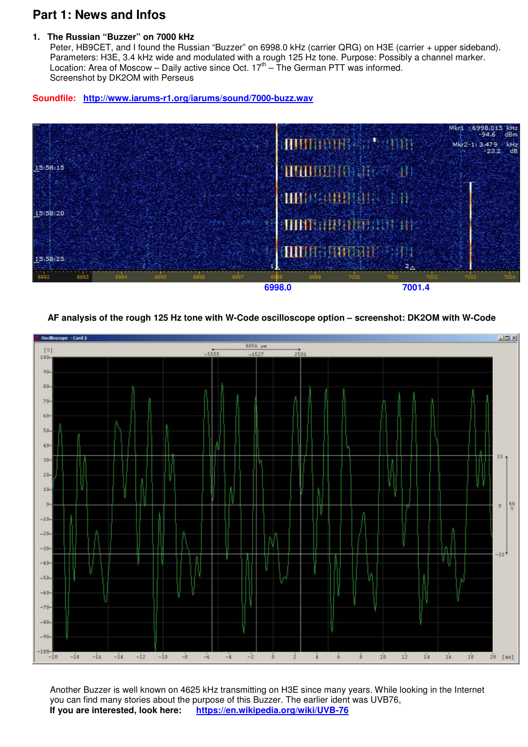# **Part 1: News and Infos**

#### **1. The Russian "Buzzer" on 7000 kHz**

Peter, HB9CET, and I found the Russian "Buzzer" on 6998.0 kHz (carrier QRG) on H3E (carrier + upper sideband). Parameters: H3E, 3.4 kHz wide and modulated with a rough 125 Hz tone. Purpose: Possibly a channel marker. Location: Area of Moscow – Daily active since Oct. 17th – The German PTT was informed. Screenshot by DK2OM with Perseus

#### **Soundfile: http://www.iarums-r1.org/iarums/sound/7000-buzz.wav**



#### **AF analysis of the rough 125 Hz tone with W-Code oscilloscope option – screenshot: DK2OM with W-Code**



 Another Buzzer is well known on 4625 kHz transmitting on H3E since many years. While looking in the Internet you can find many stories about the purpose of this Buzzer. The earlier ident was UVB76,  **If you are interested, look here: https://en.wikipedia.org/wiki/UVB-76**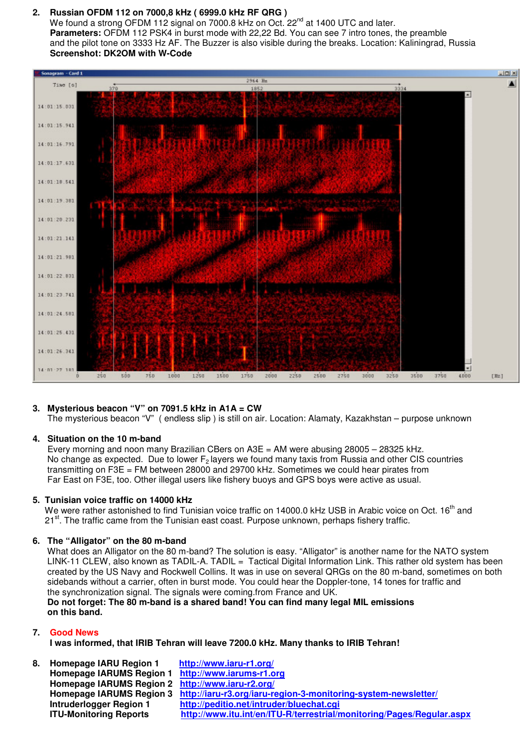#### **2. Russian OFDM 112 on 7000,8 kHz ( 6999.0 kHz RF QRG )**

We found a strong OFDM 112 signal on 7000.8 kHz on Oct. 22<sup>nd</sup> at 1400 UTC and later.  **Parameters:** OFDM 112 PSK4 in burst mode with 22,22 Bd. You can see 7 intro tones, the preamble and the pilot tone on 3333 Hz AF. The Buzzer is also visible during the breaks. Location: Kaliningrad, Russia  **Screenshot: DK2OM with W-Code** 



#### **3. Mysterious beacon "V" on 7091.5 kHz in A1A = CW**

The mysterious beacon "V" ( endless slip ) is still on air. Location: Alamaty, Kazakhstan – purpose unknown

#### **4. Situation on the 10 m-band**

Every morning and noon many Brazilian CBers on  $A3E = AM$  were abusing  $28005 - 28325$  kHz. No change as expected. Due to lower  $F_2$  layers we found many taxis from Russia and other CIS countries transmitting on F3E = FM between 28000 and 29700 kHz. Sometimes we could hear pirates from Far East on F3E, too. Other illegal users like fishery buoys and GPS boys were active as usual.

#### **5. Tunisian voice traffic on 14000 kHz**

We were rather astonished to find Tunisian voice traffic on 14000.0 kHz USB in Arabic voice on Oct. 16<sup>th</sup> and  $21<sup>st</sup>$ . The traffic came from the Tunisian east coast. Purpose unknown, perhaps fishery traffic.

#### **6. The "Alligator" on the 80 m-band**

 What does an Alligator on the 80 m-band? The solution is easy. "Alligator" is another name for the NATO system LINK-11 CLEW, also known as TADIL-A. TADIL = Tactical Digital Information Link. This rather old system has been created by the US Navy and Rockwell Collins. It was in use on several QRGs on the 80 m-band, sometimes on both sidebands without a carrier, often in burst mode. You could hear the Doppler-tone, 14 tones for traffic and the synchronization signal. The signals were coming.from France and UK.  **Do not forget: The 80 m-band is a shared band! You can find many legal MIL emissions on this band.** 

#### **7. Good News**

**I was informed, that IRIB Tehran will leave 7200.0 kHz. Many thanks to IRIB Tehran!** 

| 8. | Homepage IARU Region 1                            | http://www.iaru-r1.org/                                                                 |
|----|---------------------------------------------------|-----------------------------------------------------------------------------------------|
|    | Homepage IARUMS Region 1 http://www.iarums-r1.org |                                                                                         |
|    | Homepage IARUMS Region 2 http://www.iaru-r2.org/  |                                                                                         |
|    |                                                   | Homepage IARUMS Region 3 http://iaru-r3.org/iaru-region-3-monitoring-system-newsletter/ |
|    | Intruderlogger Region 1                           | http://peditio.net/intruder/bluechat.cgi                                                |
|    | <b>ITU-Monitoring Reports</b>                     | http://www.itu.int/en/ITU-R/terrestrial/monitoring/Pages/Regular.aspx                   |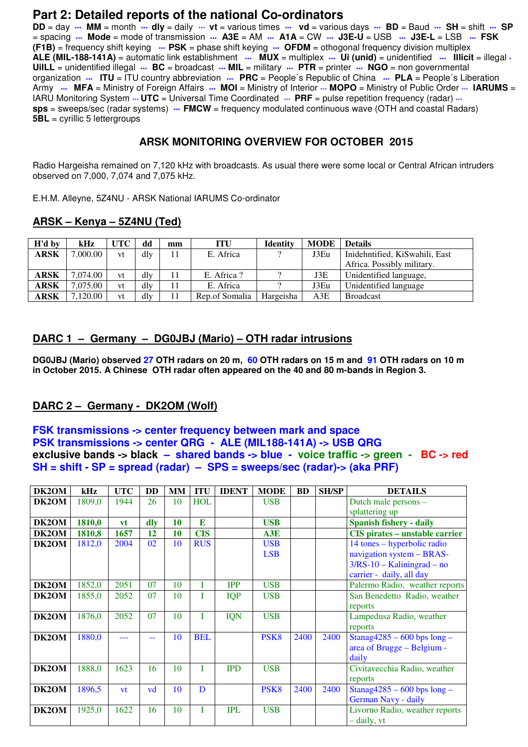# **Part 2: Detailed reports of the national Co-ordinators**

**DD** = day **\*\*\* MM** = month **\*\*\* dly** = daily \*\*\* **vt** = various times **\*\*\* vd** = various days **\*\*\* BD** = Baud **\*\*\* SH** = shift **\*\*\* SP** = spacing **\*\*\* Mode** = mode of transmission **\*\*\* A3E** = AM **\*\*\* A1A** = CW **\*\*\* J3E-U** = USB **\*\*\* J3E-L** = LSB **\*\*\* FSK (F1B)** = frequency shift keying **\*\*\* PSK** = phase shift keying **\*\*\* OFDM** = othogonal frequency division multiplex **ALE (MIL-188-141A)** = automatic link establishment **\*\*\* MUX** = multiplex **\*\*\* Ui (unid)** = unidentified **\*\*\* Illicit** = illegal **\* UiILL** = unidentified illegal **\*\*\* BC** = broadcast **\*\*\* MIL** = military **\*\*\* PTR** = printer **\*\*\* NGO** = non governmental organization **\*\*\* ITU** = ITU country abbreviation **\*\*\* PRC** = People´s Republic of China **\*\*\* PLA** = People´s Liberation Army  $\cdots$  MFA = Ministry of Foreign Affairs  $\cdots$  MOI = Ministry of Interior  $\cdots$  MOPO = Ministry of Public Order  $\cdots$  IARUMS = IARU Monitoring System  $\cdot\cdot\cdot$  **UTC** = Universal Time Coordinated  $\cdot\cdot\cdot$  **PRF** = pulse repetition frequency (radar)  $\cdot\cdot\cdot$ **sps** = sweeps/sec (radar systems) **... FMCW** = frequency modulated continuous wave (OTH and coastal Radars) **5BL** = cyrillic 5 lettergroups

## **ARSK MONITORING OVERVIEW FOR OCTOBER 2015**

Radio Hargeisha remained on 7,120 kHz with broadcasts. As usual there were some local or Central African intruders observed on 7,000, 7,074 and 7,075 kHz.

E.H.M. Alleyne, 5Z4NU - ARSK National IARUMS Co-ordinator

### **ARSK – Kenya – 5Z4NU (Ted)**

| H'd by      | kHz      | UTC | dd  | mm | <b>ITU</b>     | <b>Identity</b> | <b>MODE</b> | <b>Details</b>                 |
|-------------|----------|-----|-----|----|----------------|-----------------|-------------|--------------------------------|
| <b>ARSK</b> | 7.000.00 | vt  | dly |    | E. Africa      |                 | J3Eu        | Inidehntified, KiSwahili, East |
|             |          |     |     |    |                |                 |             | Africa. Possibly military.     |
| ARSK        | 7.074.00 | vt  | dly |    | E. Africa?     |                 | J3E         | Unidentified language,         |
| <b>ARSK</b> | 7,075.00 | vt  | dly |    | E. Africa      |                 | J3Eu        | Unidentified language          |
| ARSK        | 7,120.00 | vt  | dlv |    | Rep.of Somalia | Hargeisha       | A3E         | <b>Broadcast</b>               |

### **DARC 1 – Germany – DG0JBJ (Mario) – OTH radar intrusions**

**DG0JBJ (Mario) observed 27 OTH radars on 20 m, 60 OTH radars on 15 m and 91 OTH radars on 10 m in October 2015. A Chinese OTH radar often appeared on the 40 and 80 m-bands in Region 3.** 

## **DARC 2 – Germany - DK2OM (Wolf)**

#### **FSK transmissions -> center frequency between mark and space PSK transmissions -> center QRG - ALE (MIL188-141A) -> USB QRG exclusive bands -> black – shared bands -> blue - voice traffic -> green - BC -> red SH = shift - SP = spread (radar) – SPS = sweeps/sec (radar)-> (aka PRF)**

| DK2OM | kHz    | <b>UTC</b> | <b>DD</b>    | <b>MM</b> | <b>ITU</b> | <b>IDENT</b> | <b>MODE</b>      | <b>BD</b> | <b>SH/SP</b> | <b>DETAILS</b>                        |
|-------|--------|------------|--------------|-----------|------------|--------------|------------------|-----------|--------------|---------------------------------------|
| DK2OM | 1809,0 | 1944       | 26           | 10        | <b>HOL</b> |              | <b>USB</b>       |           |              | Dutch male persons -                  |
|       |        |            |              |           |            |              |                  |           |              | splattering up                        |
| DK2OM | 1810,0 | vt         | $\mathbf{d}$ | 10        | E          |              | <b>USB</b>       |           |              | <b>Spanish fishery - daily</b>        |
| DK2OM | 1810,8 | 1657       | 12           | 10        | <b>CIS</b> |              | A3E              |           |              | <b>CIS</b> pirates – unstable carrier |
| DK2OM | 1812,0 | 2004       | 02           | 10        | <b>RUS</b> |              | <b>USB</b>       |           |              | 14 tones – hyperbolic radio           |
|       |        |            |              |           |            |              | <b>LSB</b>       |           |              | navigation system - BRAS-             |
|       |        |            |              |           |            |              |                  |           |              | $3/RS-10 - Kaliningrad - no$          |
|       |        |            |              |           |            |              |                  |           |              | carrier - daily, all day              |
| DK2OM | 1852,0 | 2051       | 07           | 10        |            | <b>IPP</b>   | <b>USB</b>       |           |              | Palermo Radio, weather reports        |
| DK2OM | 1855,0 | 2052       | 07           | 10        |            | <b>IQP</b>   | <b>USB</b>       |           |              | San Benedetto Radio, weather          |
|       |        |            |              |           |            |              |                  |           |              | reports                               |
| DK2OM | 1876,0 | 2052       | 07           | 10        | T          | <b>IQN</b>   | <b>USB</b>       |           |              | Lampedusa Radio, weather              |
|       |        |            |              |           |            |              |                  |           |              | reports                               |
| DK2OM | 1880,0 |            | --           | 10        | <b>BEL</b> |              | PSK <sub>8</sub> | 2400      | 2400         | Stanag $4285 - 600$ bps long -        |
|       |        |            |              |           |            |              |                  |           |              | area of Brugge - Belgium -            |
|       |        |            |              |           |            |              |                  |           |              | daily                                 |
| DK2OM | 1888,0 | 1623       | 16           | 10        | T          | <b>IPD</b>   | <b>USB</b>       |           |              | Civitavecchia Radio, weather          |
|       |        |            |              |           |            |              |                  |           |              | reports                               |
| DK2OM | 1896,5 | vt         | vd           | 10        | D          |              | PSK <sub>8</sub> | 2400      | 2400         | Stanag $4285 - 600$ bps long -        |
|       |        |            |              |           |            |              |                  |           |              | German Navy - daily                   |
| DK2OM | 1925,0 | 1622       | 16           | 10        | T          | <b>IPL</b>   | <b>USB</b>       |           |              | Livorno Radio, weather reports        |
|       |        |            |              |           |            |              |                  |           |              | - daily, vt                           |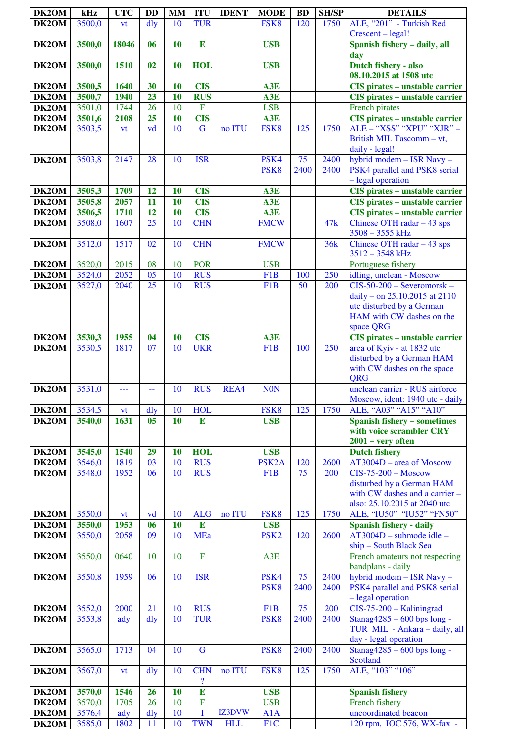| DK2OM | kHz    | <b>UTC</b> | <b>DD</b>      | <b>MM</b> | <b>ITU</b>                             | <b>IDENT</b> | <b>MODE</b>              | <b>BD</b>  | <b>SH/SP</b> | <b>DETAILS</b>                                                                                                          |
|-------|--------|------------|----------------|-----------|----------------------------------------|--------------|--------------------------|------------|--------------|-------------------------------------------------------------------------------------------------------------------------|
| DK2OM | 3500,0 | vt         | dly            | 10        | <b>TUR</b>                             |              | FSK8                     | 120        | 1750         | ALE, "201" - Turkish Red                                                                                                |
|       |        |            |                |           |                                        |              |                          |            |              | Crescent - legal!                                                                                                       |
| DK2OM | 3500,0 | 18046      | 06             | 10        | E                                      |              | <b>USB</b>               |            |              | Spanish fishery - daily, all<br>day                                                                                     |
| DK2OM | 3500,0 | 1510       | 02             | 10        | <b>HOL</b>                             |              | <b>USB</b>               |            |              | Dutch fishery - also<br>08.10.2015 at 1508 utc                                                                          |
| DK2OM | 3500,5 | 1640       | 30             | 10        | <b>CIS</b>                             |              | A3E                      |            |              | <b>CIS</b> pirates - unstable carrier                                                                                   |
| DK2OM | 3500,7 | 1940       | 23             | 10        | <b>RUS</b>                             |              | A3E                      |            |              | <b>CIS</b> pirates - unstable carrier                                                                                   |
| DK2OM | 3501,0 | 1744       | 26             | 10        | ${\bf F}$                              |              | <b>LSB</b>               |            |              | French pirates                                                                                                          |
| DK2OM | 3501,6 | 2108       | 25             | 10        | <b>CIS</b>                             |              | A3E                      |            |              | CIS pirates - unstable carrier                                                                                          |
| DK2OM | 3503,5 | vt         | vd             | 10        | $\overline{G}$                         | no ITU       | FSK8                     | 125        | 1750         | ALE - "XSS" "XPU" "XJR" -<br>British MIL Tascomm - vt,                                                                  |
| DK2OM | 3503,8 | 2147       | 28             | 10        | <b>ISR</b>                             |              | PSK4                     | 75         | 2400         | daily - legal!<br>hybrid modem - ISR Navy -                                                                             |
|       |        |            |                |           |                                        |              | PSK <sub>8</sub>         | 2400       | 2400         | PSK4 parallel and PSK8 serial<br>- legal operation                                                                      |
| DK2OM | 3505,3 | 1709       | 12             | <b>10</b> | <b>CIS</b>                             |              | A3E                      |            |              | <b>CIS</b> pirates - unstable carrier                                                                                   |
| DK2OM | 3505,8 | 2057       | 11             | 10        | <b>CIS</b>                             |              | A3E                      |            |              | <b>CIS</b> pirates - unstable carrier                                                                                   |
| DK2OM | 3506,5 | 1710       | 12             | 10        | <b>CIS</b>                             |              | A3E                      |            |              | <b>CIS</b> pirates - unstable carrier                                                                                   |
| DK2OM | 3508,0 | 1607       | 25             | 10        | <b>CHN</b>                             |              | <b>FMCW</b>              |            | 47k          | Chinese OTH radar $-43$ sps<br>$3508 - 3555$ kHz                                                                        |
| DK2OM | 3512,0 | 1517       | 02             | 10        | <b>CHN</b>                             |              | <b>FMCW</b>              |            | 36k          | Chinese OTH radar $-43$ sps<br>3512 - 3548 kHz                                                                          |
| DK2OM | 3520,0 | 2015       | 08             | 10        | <b>POR</b>                             |              | <b>USB</b>               |            |              | Portuguese fishery                                                                                                      |
| DK2OM | 3524,0 | 2052       | 05             | 10        | <b>RUS</b>                             |              | F <sub>1</sub> B         | 100        | 250          | idling, unclean - Moscow                                                                                                |
| DK2OM | 3527,0 | 2040       | 25             | 10        | <b>RUS</b>                             |              | F <sub>1</sub> B         | 50         | 200          | $CIS-50-200$ – Severomorsk –<br>daily - on 25.10.2015 at 2110<br>utc disturbed by a German<br>HAM with CW dashes on the |
|       |        |            |                |           |                                        |              |                          |            |              | space QRG                                                                                                               |
| DK2OM | 3530,3 | 1955       | 04             | 10        | <b>CIS</b>                             |              | A3E                      |            |              | CIS pirates - unstable carrier                                                                                          |
| DK2OM | 3530,5 | 1817       | 07             | 10        | <b>UKR</b>                             |              | F <sub>1</sub> B         | 100        | 250          | area of Kyiv - at 1832 utc<br>disturbed by a German HAM<br>with CW dashes on the space<br><b>QRG</b>                    |
| DK2OM | 3531,0 | ---        | 44             | 10        | <b>RUS</b>                             | REA4         | <b>NON</b>               |            |              | unclean carrier - RUS airforce<br>Moscow, ident: 1940 utc - daily                                                       |
| DK2OM | 3534,5 | vt         | $\frac{d}{dy}$ | 10        | <b>HOL</b>                             |              | FSK8                     | 125        | 1750         | ALE, "A03" "A15" "A10"                                                                                                  |
| DK2OM | 3540,0 | 1631       | 05             | 10        | ${\bf E}$                              |              | <b>USB</b>               |            |              | <b>Spanish fishery - sometimes</b>                                                                                      |
|       |        |            |                |           |                                        |              |                          |            |              | with voice scrambler CRY<br>$2001 - very$ often                                                                         |
| DK2OM | 3545,0 | 1540       | 29             | 10        | <b>HOL</b>                             |              | <b>USB</b>               |            |              | <b>Dutch fishery</b>                                                                                                    |
| DK2OM | 3546,0 | 1819       | 03             | 10        | <b>RUS</b>                             |              | PSK <sub>2</sub> A       | 120        | 2600         | AT3004D - area of Moscow                                                                                                |
| DK2OM | 3548,0 | 1952       | 06             | 10        | <b>RUS</b>                             |              | F <sub>1</sub> B         | 75         | 200          | $CIS-75-200-Moscow$<br>disturbed by a German HAM<br>with CW dashes and a carrier -<br>also: 25.10.2015 at 2040 utc      |
| DK2OM | 3550,0 | <b>vt</b>  | vd             | 10        | <b>ALG</b>                             | no ITU       | FSK8                     | 125        | 1750         | ALE, "IU50" "IU52" "FN50"                                                                                               |
| DK2OM | 3550,0 | 1953       | 06             | 10        | $\bf{E}$                               |              | <b>USB</b>               |            |              | <b>Spanish fishery - daily</b>                                                                                          |
| DK2OM | 3550,0 | 2058       | 09             | 10        | <b>MEa</b>                             |              | PSK <sub>2</sub>         | 120        | 2600         | $\overline{AT300}$ 4D – submode idle –<br>ship - South Black Sea                                                        |
| DK2OM | 3550,0 | 0640       | 10             | 10        | $\overline{F}$                         |              | A3E                      |            |              | French amateurs not respecting<br>bandplans - daily                                                                     |
| DK2OM | 3550,8 | 1959       | 06             | 10        | <b>ISR</b>                             |              | PSK4<br>PSK <sub>8</sub> | 75<br>2400 | 2400<br>2400 | hybrid modem - ISR Navy -<br>PSK4 parallel and PSK8 serial<br>- legal operation                                         |
| DK2OM | 3552,0 | 2000       | 21             | 10        | <b>RUS</b>                             |              | F <sub>1</sub> B         | 75         | 200          | CIS-75-200 - Kaliningrad                                                                                                |
| DK2OM | 3553,8 | ady        | dly            | 10        | <b>TUR</b>                             |              | PSK <sub>8</sub>         | 2400       | 2400         | Stanag4285 - 600 bps long -<br>TUR MIL - Ankara - daily, all<br>day - legal operation                                   |
| DK2OM | 3565,0 | 1713       | 04             | 10        | $\mathbf G$                            |              | PSK <sub>8</sub>         | 2400       | 2400         | Stanag4285 - 600 bps long -<br><b>Scotland</b>                                                                          |
| DK2OM | 3567,0 | vt         | dly            | 10        | <b>CHN</b><br>$\overline{\mathcal{E}}$ | no ITU       | FSK8                     | 125        | 1750         | ALE, "103" "106"                                                                                                        |
| DK2OM | 3570,0 | 1546       | 26             | 10        | $\overline{\mathbf{E}}$                |              | <b>USB</b>               |            |              | <b>Spanish fishery</b>                                                                                                  |
| DK2OM | 3570,0 | 1705       | 26             | 10        | $\overline{F}$                         |              | <b>USB</b>               |            |              | French fishery                                                                                                          |
| DK2OM | 3576,4 | ady        | dly            | 10        | I                                      | IZ3DVW       | A1A                      |            |              | uncoordinated beacon                                                                                                    |
| DK2OM | 3585,0 | 1802       | 11             | 10        | <b>TWN</b>                             | <b>HLL</b>   | F1C                      |            |              | 120 rpm, IOC 576, WX-fax -                                                                                              |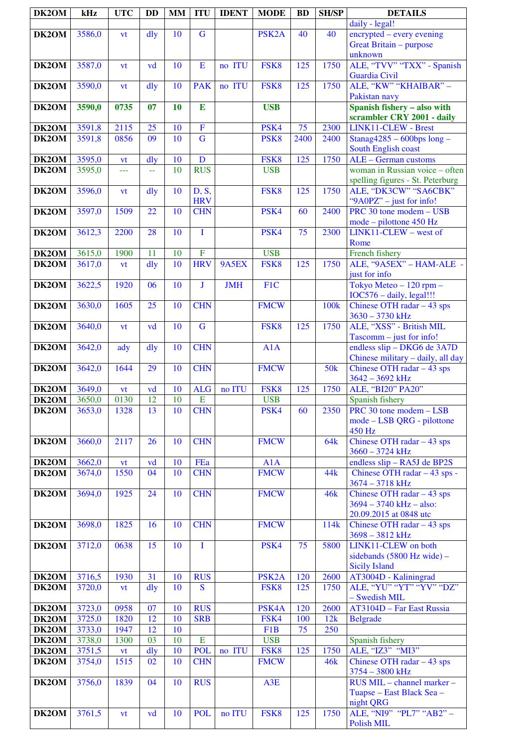| DK2OM          | kHz              | <b>UTC</b>   | <b>DD</b>       | <b>MM</b> | <b>ITU</b>              | <b>IDENT</b> | <b>MODE</b>              | <b>BD</b> | <b>SH/SP</b>     | <b>DETAILS</b>                                            |
|----------------|------------------|--------------|-----------------|-----------|-------------------------|--------------|--------------------------|-----------|------------------|-----------------------------------------------------------|
|                |                  |              |                 |           |                         |              |                          |           |                  | daily - legal!                                            |
| DK2OM          | 3586,0           | vt           | dly             | 10        | $\overline{G}$          |              | PSK <sub>2</sub> A       | 40        | 40               | encrypted – every evening                                 |
|                |                  |              |                 |           |                         |              |                          |           |                  | Great Britain - purpose<br>unknown                        |
| DK2OM          | 3587,0           | vt           | vd              | 10        | E                       | no ITU       | FSK8                     | 125       | 1750             | ALE, "TVV" "TXX" - Spanish                                |
|                |                  |              |                 |           |                         |              |                          |           |                  | <b>Guardia Civil</b>                                      |
| DK2OM          | 3590,0           | vt           | dly             | 10        | <b>PAK</b>              | no ITU       | FSK8                     | 125       | 1750             | ALE, "KW" "KHAIBAR" -                                     |
|                |                  |              |                 |           |                         |              |                          |           |                  | Pakistan navy                                             |
| DK2OM          | 3590,0           | 0735         | 07              | 10        | $\bf{E}$                |              | <b>USB</b>               |           |                  | Spanish fishery - also with                               |
|                |                  |              |                 |           |                         |              |                          |           |                  | scrambler CRY 2001 - daily                                |
| DK2OM          | 3591,8           | 2115         | 25              | 10        | $\overline{\mathbf{F}}$ |              | PSK4                     | 75        | 2300             | LINK11-CLEW - Brest                                       |
| DK2OM          | 3591,8           | 0856         | $\overline{09}$ | 10        | $\overline{\mathbf{G}}$ |              | PSK <sub>8</sub>         | 2400      | 2400             | $Stanag4285 - 600bps long -$                              |
|                |                  |              |                 |           |                         |              |                          |           |                  | South English coast                                       |
| DK2OM          | 3595,0           | vt           | dly             | 10        | $\mathbf D$             |              | FSK8                     | 125       | 1750             | ALE - German customs                                      |
| DK2OM          | 3595,0           | ---          | 44              | 10        | <b>RUS</b>              |              | <b>USB</b>               |           |                  | woman in Russian voice - often                            |
| DK2OM          | 3596,0           |              | dly             | 10        | D, S,                   |              | FSK8                     | 125       | 1750             | spelling figures - St. Peterburg<br>ALE, "DK3CW" "SA6CBK" |
|                |                  | <b>vt</b>    |                 |           | <b>HRV</b>              |              |                          |           |                  | "9A0PZ" - just for info!                                  |
| DK2OM          | 3597,0           | 1509         | 22              | 10        | <b>CHN</b>              |              | PSK4                     | 60        | $\frac{1}{2400}$ | PRC 30 tone modem $-\overline{USB}$                       |
|                |                  |              |                 |           |                         |              |                          |           |                  | mode – pilottone 450 Hz                                   |
| DK2OM          | 3612,3           | 2200         | 28              | 10        | $\mathbf I$             |              | PSK4                     | 75        | 2300             | LINK11-CLEW - west of                                     |
|                |                  |              |                 |           |                         |              |                          |           |                  | Rome                                                      |
| DK2OM          | 3615,0           | 1900         | 11              | 10        | $\overline{F}$          |              | <b>USB</b>               |           |                  | French fishery                                            |
| DK2OM          | 3617,0           | vt           | dly             | 10        | <b>HRV</b>              | 9A5EX        | FSK8                     | 125       | 1750             | ALE, "9A5EX" - HAM-ALE -                                  |
|                |                  |              |                 |           |                         |              |                          |           |                  | just for info                                             |
| DK2OM          | 3622,5           | 1920         | 06              | 10        | J                       | <b>JMH</b>   | F1C                      |           |                  | Tokyo Meteo $-120$ rpm $-$                                |
|                |                  | 1605         | 25              | 10        | <b>CHN</b>              |              | <b>FMCW</b>              |           |                  | IOC576 - daily, legal!!!                                  |
| DK2OM          | 3630,0           |              |                 |           |                         |              |                          |           | 100 <sub>k</sub> | Chinese OTH radar $-43$ sps<br>$3630 - 3730$ kHz          |
| DK2OM          | 3640,0           | vt           | vd              | 10        | $\overline{G}$          |              | FSK8                     | 125       | 1750             | ALE, "XSS" - British MIL                                  |
|                |                  |              |                 |           |                         |              |                          |           |                  | $Tascomm - just for info!$                                |
| DK2OM          | 3642,0           | ady          | $\frac{d}{dy}$  | 10        | <b>CHN</b>              |              | A1A                      |           |                  | endless slip - DKG6 de 3A7D                               |
|                |                  |              |                 |           |                         |              |                          |           |                  | Chinese military - daily, all day                         |
| DK2OM          | 3642,0           | 1644         | 29              | 10        | <b>CHN</b>              |              | <b>FMCW</b>              |           | 50 <sub>k</sub>  | Chinese OTH radar $-43$ sps                               |
|                |                  |              |                 |           |                         |              |                          |           |                  | 3642 - 3692 kHz                                           |
| DK2OM          | 3649,0           | vt           | vd              | 10        | <b>ALG</b>              | no ITU       | FSK8                     | 125       | 1750             | ALE, "BI20" PA20"                                         |
| DK2OM          | 3650,0           | 0130         | 12              | 10        | ${\bf E}$               |              | <b>USB</b>               |           |                  | Spanish fishery                                           |
| DK2OM          | 3653,0           | 1328         | 13              | 10        | <b>CHN</b>              |              | PSK4                     | 60        | 2350             | PRC 30 tone modem – LSB<br>mode - LSB QRG - pilottone     |
|                |                  |              |                 |           |                         |              |                          |           |                  | 450 Hz                                                    |
| DK2OM          | 3660,0           | 2117         | 26              | 10        | <b>CHN</b>              |              | <b>FMCW</b>              |           | <b>64k</b>       | Chinese OTH radar $-43$ sps                               |
|                |                  |              |                 |           |                         |              |                          |           |                  | $3660 - 3724$ kHz                                         |
| DK2OM          | 3662,0           | vt           | vd              | 10        | FEa                     |              | A1A                      |           |                  | endless slip - RA5J de BP2S                               |
| DK2OM          | 3674,0           | 1550         | 04              | 10        | <b>CHN</b>              |              | <b>FMCW</b>              |           | 44k              | Chinese OTH radar - 43 sps -                              |
|                |                  |              |                 |           |                         |              |                          |           |                  | 3674 - 3718 kHz                                           |
| DK2OM          | 3694,0           | 1925         | 24              | 10        | <b>CHN</b>              |              | <b>FMCW</b>              |           | <b>46k</b>       | Chinese OTH radar $-43$ sps                               |
|                |                  |              |                 |           |                         |              |                          |           |                  | $3694 - 3740$ kHz - also:                                 |
|                | 3698,0           | 1825         | 16              | 10        | <b>CHN</b>              |              | <b>FMCW</b>              |           | 114k             | 20.09.2015 at 0848 utc                                    |
| DK2OM          |                  |              |                 |           |                         |              |                          |           |                  | Chinese OTH radar $-43$ sps<br>3698 - 3812 kHz            |
| DK2OM          | 3712,0           | 0638         | 15              | 10        | I                       |              | PSK4                     | 75        | 5800             | LINK11-CLEW on both                                       |
|                |                  |              |                 |           |                         |              |                          |           |                  | sidebands (5800 Hz wide) -                                |
|                |                  |              |                 |           |                         |              |                          |           |                  | <b>Sicily Island</b>                                      |
| DK2OM          | 3716,5           | 1930         | 31              | 10        | <b>RUS</b>              |              | PSK <sub>2</sub> A       | 120       | 2600             | AT3004D - Kaliningrad                                     |
| DK2OM          | 3720,0           | vt           | $\frac{d}{dy}$  | 10        | S                       |              | FSK <sub>8</sub>         | 125       | 1750             | ALE, "YU" "YT" "YV" "DZ"                                  |
|                |                  |              |                 |           |                         |              |                          |           |                  | - Swedish MIL                                             |
| DK2OM          | 3723,0           | 0958         | 07              | 10        | <b>RUS</b>              |              | PSK4A                    | 120       | 2600             | AT3104D - Far East Russia                                 |
| DK2OM<br>DK2OM | 3725,0<br>3733,0 | 1820<br>1947 | 12<br>12        | 10<br>10  | <b>SRB</b>              |              | FSK4<br>F <sub>1</sub> B | 100<br>75 | 12k<br>250       | <b>Belgrade</b>                                           |
| DK2OM          | 3738,0           | 1300         | 03              | 10        | ${\bf E}$               |              | <b>USB</b>               |           |                  | Spanish fishery                                           |
| DK2OM          | 3751,5           | vt           | dly             | 10        | <b>POL</b>              | no ITU       | FSK <sub>8</sub>         | 125       | 1750             | ALE, "IZ3" "MI3"                                          |
| DK2OM          | 3754,0           | 1515         | 02              | 10        | <b>CHN</b>              |              | <b>FMCW</b>              |           | 46k              | Chinese OTH radar $-43$ sps                               |
|                |                  |              |                 |           |                         |              |                          |           |                  | 3754 - 3800 kHz                                           |
| DK2OM          | 3756,0           | 1839         | 04              | 10        | <b>RUS</b>              |              | A3E                      |           |                  | RUS MIL - channel marker -                                |
|                |                  |              |                 |           |                         |              |                          |           |                  | Tuapse – East Black Sea –                                 |
|                |                  |              |                 |           |                         |              |                          |           |                  | night QRG                                                 |
| DK2OM          | 3761,5           | vt           | vd              | 10        | <b>POL</b>              | no ITU       | FSK8                     | 125       | 1750             | ALE, "NI9" "PL7" "AB2" -                                  |
|                |                  |              |                 |           |                         |              |                          |           |                  | Polish MIL                                                |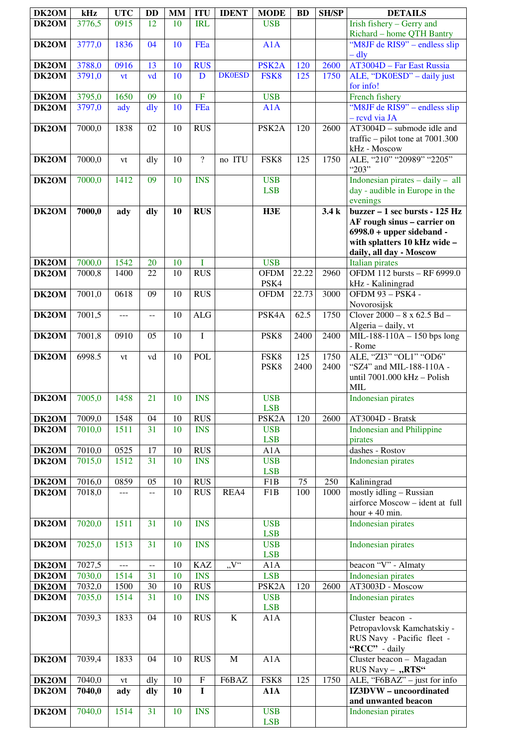| DK2OM          | kHz              | <b>UTC</b>     | <b>DD</b>       | <b>MM</b> | <b>ITU</b>               | <b>IDENT</b>  | <b>MODE</b>                      | <b>BD</b> | <b>SH/SP</b> | <b>DETAILS</b>                                                         |
|----------------|------------------|----------------|-----------------|-----------|--------------------------|---------------|----------------------------------|-----------|--------------|------------------------------------------------------------------------|
| DK2OM          | 3776,5           | 0915           | 12              | 10        | <b>IRL</b>               |               | <b>USB</b>                       |           |              | Irish fishery - Gerry and                                              |
|                |                  |                |                 |           |                          |               |                                  |           |              | Richard - home QTH Bantry                                              |
| DK2OM          | 3777,0           | 1836           | 04              | 10        | FEa                      |               | A1A                              |           |              | "M8JF de RIS9" – endless slip                                          |
| DK2OM          | 3788,0           | 0916           | 13              | 10        | <b>RUS</b>               |               | PSK <sub>2</sub> A               | 120       | 2600         | – dly<br>AT3004D - Far East Russia                                     |
| DK2OM          | 3791,0           | vt             | vd              | 10        | $\mathbf D$              | <b>DK0ESD</b> | FSK8                             | 125       | 1750         | ALE, "DK0ESD" - daily just                                             |
|                |                  |                |                 |           |                          |               |                                  |           |              | for info!                                                              |
| DK2OM          | 3795,0           | 1650           | 09              | 10        | $\overline{F}$           |               | <b>USB</b>                       |           |              | French fishery                                                         |
| DK2OM          | 3797,0           | ady            | dly             | 10        | FEa                      |               | A1A                              |           |              | "M8JF de RIS9" – endless slip                                          |
| DK2OM          | 7000,0           | 1838           | 02              | 10        | <b>RUS</b>               |               | PSK <sub>2</sub> A               | 120       | 2600         | - revd via JA<br>AT3004D - submode idle and                            |
|                |                  |                |                 |           |                          |               |                                  |           |              | traffic – pilot tone at $7001.300$                                     |
|                |                  |                |                 |           |                          |               |                                  |           |              | kHz - Moscow                                                           |
| DK2OM          | 7000,0           | vt             | dly             | 10        | $\overline{?}$           | no ITU        | FSK8                             | 125       | 1750         | ALE, "210" "20989" "2205"                                              |
|                |                  |                |                 |           |                          |               |                                  |           |              | "203"                                                                  |
| DK2OM          | 7000,0           | 1412           | 09              | 10        | <b>INS</b>               |               | <b>USB</b><br><b>LSB</b>         |           |              | Indonesian pirates $-$ daily $-$ all<br>day - audible in Europe in the |
|                |                  |                |                 |           |                          |               |                                  |           |              | evenings                                                               |
| DK2OM          | 7000,0           | ady            | dly             | 10        | <b>RUS</b>               |               | H3E                              |           | 3.4k         | buzzer – 1 sec bursts - $\overline{125 \text{ Hz}}$                    |
|                |                  |                |                 |           |                          |               |                                  |           |              | AF rough sinus - carrier on                                            |
|                |                  |                |                 |           |                          |               |                                  |           |              | $6998.0 + upper sideband -$<br>with splatters 10 kHz wide -            |
|                |                  |                |                 |           |                          |               |                                  |           |              | daily, all day - Moscow                                                |
| DK2OM          | 7000,0           | 1542           | 20              | 10        | I                        |               | <b>USB</b>                       |           |              | <b>Italian</b> pirates                                                 |
| DK2OM          | 7000,8           | 1400           | 22              | 10        | <b>RUS</b>               |               | <b>OFDM</b>                      | 22.22     | 2960         | OFDM 112 bursts - RF 6999.0                                            |
|                |                  |                |                 |           |                          |               | PSK4                             |           |              | kHz - Kaliningrad                                                      |
| DK2OM          | 7001,0           | 0618           | 09              | 10        | <b>RUS</b>               |               | <b>OFDM</b>                      | 22.73     | 3000         | <b>OFDM 93 - PSK4 -</b><br>Novorosijsk                                 |
| DK2OM          | 7001,5           | ---            | --              | 10        | <b>ALG</b>               |               | PSK4A                            | 62.5      | 1750         | Clover $2000 - 8 \times 62.5$ Bd $-$                                   |
|                |                  |                |                 |           |                          |               |                                  |           |              | Algeria - daily, vt                                                    |
| DK2OM          | 7001,8           | 0910           | 05              | 10        | $\bf I$                  |               | PSK8                             | 2400      | 2400         | MIL-188-110A - 150 bps long                                            |
| DK2OM          | 6998.5           |                |                 | 10        | <b>POL</b>               |               | FSK8                             | 125       | 1750         | - Rome<br>ALE, "ZI3" "OL1" "OD6"                                       |
|                |                  | vt             | vd              |           |                          |               | PSK8                             | 2400      | 2400         | "SZ4" and MIL-188-110A -                                               |
|                |                  |                |                 |           |                          |               |                                  |           |              | until 7001.000 kHz - Polish                                            |
|                |                  |                |                 |           |                          |               |                                  |           |              | <b>MIL</b>                                                             |
| DK2OM          | 7005,0           | 1458           | 21              | 10        | <b>INS</b>               |               | <b>USB</b>                       |           |              | Indonesian pirates                                                     |
| DK2OM          | 7009,0           | 1548           | 04              | 10        | <b>RUS</b>               |               | <b>LSB</b><br>PSK <sub>2</sub> A | 120       | 2600         | AT3004D - Bratsk                                                       |
| DK2OM          | 7010,0           | 1511           | 31              | 10        | <b>INS</b>               |               | <b>USB</b>                       |           |              | <b>Indonesian and Philippine</b>                                       |
|                |                  |                |                 |           |                          |               | <b>LSB</b>                       |           |              | pirates                                                                |
| DK2OM          | 7010,0           | 0525           | 17              | 10        | <b>RUS</b>               |               | A1A                              |           |              | dashes - Rostov                                                        |
| DK2OM          | 7015,0           | 1512           | 31              | 10        | <b>INS</b>               |               | <b>USB</b><br><b>LSB</b>         |           |              | <b>Indonesian pirates</b>                                              |
| DK2OM          | 7016,0           | 0859           | 05              | 10        | <b>RUS</b>               |               | F1B                              | 75        | 250          | Kaliningrad                                                            |
| DK2OM          | 7018,0           | $ -$           | $-$             | 10        | <b>RUS</b>               | REA4          | F1B                              | 100       | 1000         | mostly idling - Russian                                                |
|                |                  |                |                 |           |                          |               |                                  |           |              | airforce Moscow - ident at full                                        |
|                |                  |                |                 |           |                          |               |                                  |           |              | hour $+40$ min.                                                        |
| DK2OM          | 7020,0           | 1511           | 31              | 10        | <b>INS</b>               |               | <b>USB</b><br><b>LSB</b>         |           |              | <b>Indonesian pirates</b>                                              |
| DK2OM          | 7025,0           | 1513           | 31              | 10        | <b>INS</b>               |               | <b>USB</b>                       |           |              | <b>Indonesian pirates</b>                                              |
|                |                  |                |                 |           |                          |               | <b>LSB</b>                       |           |              |                                                                        |
| DK2OM          | 7027,5           | $\overline{a}$ | --              | 10        | <b>KAZ</b>               | V''           | A1A                              |           |              | beacon "V" - Almaty                                                    |
| DK2OM          | 7030,0           | 1514           | 31<br>30        | 10<br>10  | <b>INS</b>               |               | <b>LSB</b>                       |           | 2600         | <b>Indonesian pirates</b>                                              |
| DK2OM<br>DK2OM | 7032,0<br>7035,0 | 1500<br>1514   | 31              | 10        | <b>RUS</b><br><b>INS</b> |               | PSK <sub>2</sub> A<br><b>USB</b> | 120       |              | AT3003D - Moscow<br><b>Indonesian pirates</b>                          |
|                |                  |                |                 |           |                          |               | <b>LSB</b>                       |           |              |                                                                        |
| DK2OM          | 7039,3           | 1833           | 04              | 10        | <b>RUS</b>               | $\bf K$       | A1A                              |           |              | Cluster beacon -                                                       |
|                |                  |                |                 |           |                          |               |                                  |           |              | Petropavlovsk Kamchatskiy -                                            |
|                |                  |                |                 |           |                          |               |                                  |           |              | RUS Navy - Pacific fleet -<br>"RCC" - daily                            |
| DK2OM          | 7039,4           | 1833           | 04              | 10        | <b>RUS</b>               | $\mathbf{M}$  | A1A                              |           |              | Cluster beacon - Magadan                                               |
|                |                  |                |                 |           |                          |               |                                  |           |              | RUS Navy - "RTS"                                                       |
| DK2OM          | 7040,0           | vt             | dly             | 10        | ${\bf F}$                | F6BAZ         | FSK8                             | 125       | 1750         | ALE, "F6BAZ" - just for info                                           |
| DK2OM          | 7040,0           | ady            | dly             | 10        | $\overline{I}$           |               | A1A                              |           |              | <b>IZ3DVW</b> – uncoordinated                                          |
| DK2OM          | 7040,0           | 1514           | $\overline{31}$ | 10        | <b>INS</b>               |               | <b>USB</b>                       |           |              | and unwanted beacon<br><b>Indonesian pirates</b>                       |
|                |                  |                |                 |           |                          |               | <b>LSB</b>                       |           |              |                                                                        |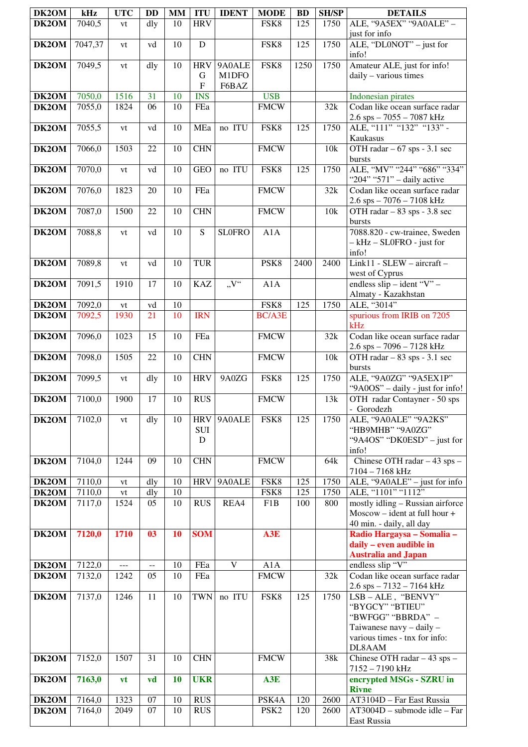| DK2OM               | kHz     | <b>UTC</b> | DD  | <b>MM</b> | <b>ITU</b>                    | <b>IDENT</b>            | <b>MODE</b>      | <b>BD</b> | <b>SH/SP</b> | <b>DETAILS</b>                                                                                                                  |
|---------------------|---------|------------|-----|-----------|-------------------------------|-------------------------|------------------|-----------|--------------|---------------------------------------------------------------------------------------------------------------------------------|
| DK2OM               | 7040,5  | vt         | dly | 10        | <b>HRV</b>                    |                         | FSK8             | 125       | 1750         | ALE, "9A5EX" "9A0ALE" -                                                                                                         |
| DK2OM               | 7047,37 | vt         | vd  | 10        | D                             |                         | FSK8             | 125       | 1750         | just for info<br>ALE, "DL0NOT" - just for                                                                                       |
| DK2OM               | 7049,5  | vt         | dly | 10        | <b>HRV</b><br>G               | 9A0ALE<br>M1DFO         | FSK8             | 1250      | 1750         | info!<br>Amateur ALE, just for info!<br>daily - various times                                                                   |
|                     |         |            |     |           | $\mathbf F$                   | F6BAZ                   |                  |           |              |                                                                                                                                 |
| DK2OM               | 7050,0  | 1516       | 31  | 10        | <b>INS</b>                    |                         | <b>USB</b>       |           |              | Indonesian pirates                                                                                                              |
| DK <sub>2</sub> OM  | 7055,0  | 1824       | 06  | 10        | FEa                           |                         | <b>FMCW</b>      |           | 32k          | Codan like ocean surface radar<br>2.6 sps - 7055 - 7087 kHz                                                                     |
| DK2OM               | 7055,5  | vt         | vd  | 10        | MEa                           | no ITU                  | FSK8             | 125       | 1750         | ALE, "111" "132" "133" -<br>Kaukasus                                                                                            |
| DK2OM               | 7066,0  | 1503       | 22  | 10        | <b>CHN</b>                    |                         | <b>FMCW</b>      |           | 10k          | OTH radar $-67$ sps - 3.1 sec<br>bursts                                                                                         |
| DK2OM               | 7070,0  | vt         | vd  | 10        | <b>GEO</b>                    | no ITU                  | FSK8             | 125       | 1750         | ALE, "MV" "244" "686" "334"<br>"204" "571" - daily active                                                                       |
| DK2OM               | 7076,0  | 1823       | 20  | 10        | FEa                           |                         | <b>FMCW</b>      |           | 32k          | Codan like ocean surface radar<br>$2.6$ sps $-7076 - 7108$ kHz                                                                  |
| DK2OM               | 7087,0  | 1500       | 22  | 10        | <b>CHN</b>                    |                         | <b>FMCW</b>      |           | 10k          | OTH radar - 83 sps - 3.8 sec<br>bursts                                                                                          |
| DK2OM               | 7088,8  | vt         | vd  | 10        | ${\bf S}$                     | <b>SLOFRO</b>           | A1A              |           |              | 7088.820 - cw-trainee, Sweden<br>- kHz - SL0FRO - just for<br>info!                                                             |
| DK2OM               | 7089,8  | vt         | vd  | 10        | <b>TUR</b>                    |                         | PSK8             | 2400      | 2400         | Link11 - SLEW - aircraft -<br>west of Cyprus                                                                                    |
| DK2OM               | 7091,5  | 1910       | 17  | 10        | <b>KAZ</b>                    | V''                     | A1A              |           |              | endless $slip - ident$ "V" -<br>Almaty - Kazakhstan                                                                             |
| DK2OM               | 7092,0  | vt         | vd  | 10        |                               |                         | FSK8             | 125       | 1750         | ALE, "3014"                                                                                                                     |
| DK2OM               | 7092,5  | 1930       | 21  | 10        | <b>IRN</b>                    |                         | <b>BC/A3E</b>    |           |              | spurious from IRIB on 7205<br>kHz                                                                                               |
| DK2OM               | 7096,0  | 1023       | 15  | 10        | FEa                           |                         | <b>FMCW</b>      |           | 32k          | Codan like ocean surface radar<br>$2.6$ sps $-7096 - 7128$ kHz                                                                  |
| DK2OM               | 7098,0  | 1505       | 22  | 10        | <b>CHN</b>                    |                         | <b>FMCW</b>      |           | 10k          | OTH radar - 83 sps - 3.1 sec<br>bursts                                                                                          |
| DK2OM               | 7099,5  | vt         | dly | 10        | <b>HRV</b>                    | 9A0ZG                   | FSK8             | 125       | 1750         | ALE, "9A0ZG" "9A5EX1P"<br>"9A0OS" - daily - just for info!                                                                      |
| <b>DK2OM</b> 7100,0 |         | 1900       | 17  | 10        | <b>RUS</b>                    |                         | <b>FMCW</b>      |           | 13k          | OTH radar Contayner - 50 sps<br>- Gorodezh                                                                                      |
| DK2OM               | 7102,0  | vt         | dly | 10        | <b>HRV</b><br><b>SUI</b><br>D | 9A0ALE                  | FSK8             | 125       | 1750         | ALE, "9A0ALE" "9A2KS"<br>"HB9MHB" "9A0ZG"<br>"9A4OS" "DK0ESD" – just for<br>info!                                               |
| DK2OM               | 7104,0  | 1244       | 09  | 10        | <b>CHN</b>                    |                         | <b>FMCW</b>      |           | 64k          | Chinese OTH radar $-43$ sps $-$<br>7104 - 7168 kHz                                                                              |
| DK2OM               | 7110,0  | vt         | dly | 10        | <b>HRV</b>                    | 9A0ALE                  | FSK8             | 125       | 1750         | ALE, "9A0ALE" - just for info                                                                                                   |
| $\overline{D}K2OM$  | 7110,0  | vt         | dly | 10        |                               |                         | FSK8             | 125       | 1750         | ALE, "1101" "1112"                                                                                                              |
| DK2OM               | 7117,0  | 1524       | 05  | 10        | <b>RUS</b>                    | REA4                    | F1B              | 100       | 800          | mostly idling - Russian airforce<br>$Moscow - ident at full hour +$<br>40 min. - daily, all day                                 |
| DK2OM               | 7120,0  | 1710       | 03  | 10        | <b>SOM</b>                    |                         | A3E              |           |              | Radio Hargaysa - Somalia -<br>daily - even audible in<br><b>Australia and Japan</b>                                             |
| DK2OM               | 7122,0  | ---        | $-$ | 10        | FEa                           | $\overline{\mathbf{V}}$ | $\overline{A}1A$ |           |              | endless slip "V"                                                                                                                |
| DK2OM               | 7132,0  | 1242       | 05  | 10        | FEa                           |                         | <b>FMCW</b>      |           | 32k          | Codan like ocean surface radar<br>2.6 sps – 7132 – 7164 kHz                                                                     |
| DK2OM               | 7137,0  | 1246       | 11  | 10        | <b>TWN</b>                    | no ITU                  | FSK8             | 125       | 1750         | LSB-ALE, "BENVY"<br>"BYGCY" "BTIEU"<br>"BWFGG" "BBRDA" -<br>Taiwanese navy - daily -<br>various times - tnx for info:<br>DL8AAM |
| DK2OM               | 7152,0  | 1507       | 31  | 10        | <b>CHN</b>                    |                         | <b>FMCW</b>      |           | 38k          | Chinese OTH radar - 43 sps -<br>7152 - 7190 kHz                                                                                 |
| DK2OM               | 7163,0  | <b>vt</b>  | vd  | 10        | <b>UKR</b>                    |                         | A3E              |           |              | encrypted MSGs - SZRU in<br><b>Rivne</b>                                                                                        |
| DK2OM               | 7164,0  | 1323       | 07  | 10        | <b>RUS</b>                    |                         | PSK4A            | 120       | 2600         | AT3104D - Far East Russia                                                                                                       |
| DK2OM               | 7164,0  | 2049       | 07  | 10        | <b>RUS</b>                    |                         | PSK <sub>2</sub> | 120       | 2600         | AT3004D - submode idle - Far<br>East Russia                                                                                     |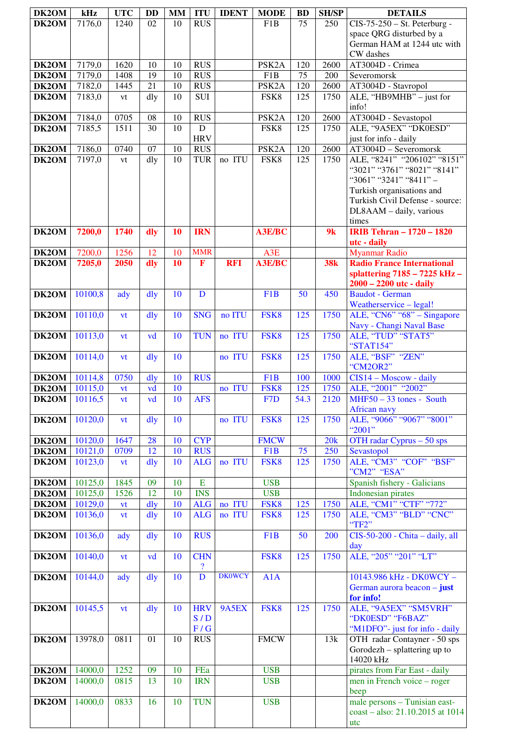| DK2OM                       | kHz                 | <b>UTC</b>      | <b>DD</b>      | <b>MM</b> | <b>ITU</b>                                 | <b>IDENT</b>  | <b>MODE</b>                       | <b>BD</b>        | <b>SH/SP</b> | <b>DETAILS</b>                                            |
|-----------------------------|---------------------|-----------------|----------------|-----------|--------------------------------------------|---------------|-----------------------------------|------------------|--------------|-----------------------------------------------------------|
| DK2OM                       | 7176,0              | 1240            | 02             | 10        | <b>RUS</b>                                 |               | F1B                               | 75               | 250          | $CIS-75-250 - St. Peterburg -$                            |
|                             |                     |                 |                |           |                                            |               |                                   |                  |              | space QRG disturbed by a                                  |
|                             |                     |                 |                |           |                                            |               |                                   |                  |              | German HAM at 1244 utc with                               |
|                             |                     |                 |                |           |                                            |               |                                   |                  |              | CW dashes                                                 |
| DK2OM                       | 7179,0              | 1620            | 10             | 10        | <b>RUS</b>                                 |               | PSK <sub>2</sub> A                | 120              | 2600         | AT3004D - Crimea                                          |
| DK2OM                       | 7179,0              | 1408            | 19             | 10        | <b>RUS</b>                                 |               | F <sub>1</sub> B                  | 75               | 200          | Severomorsk                                               |
| DK2OM<br>DK2OM              | 7182,0              | 1445            | 21             | 10<br>10  | <b>RUS</b><br><b>SUI</b>                   |               | PSK <sub>2</sub> A<br>FSK8        | 120<br>125       | 2600<br>1750 | AT3004D - Stavropol<br>ALE, "HB9MHB" - just for           |
|                             | 7183,0              | vt              | dly            |           |                                            |               |                                   |                  |              | info!                                                     |
| DK2OM                       | $\overline{7184,0}$ | 0705            | 08             | 10        | <b>RUS</b>                                 |               | PSK <sub>2</sub> A                | 120              | 2600         | AT3004D - Sevastopol                                      |
| DK2OM                       | 7185,5              | 1511            | 30             | 10        | $\mathbf D$                                |               | FSK8                              | 125              | 1750         | ALE, "9A5EX" "DK0ESD"                                     |
|                             |                     |                 |                |           | <b>HRV</b>                                 |               |                                   |                  |              | just for info - daily                                     |
| DK2OM                       | 7186,0              | 0740            | 07             | 10        | <b>RUS</b>                                 |               | PSK <sub>2</sub> A                | 120              | 2600         | AT3004D - Severomorsk                                     |
| DK2OM                       | 7197,0              | vt              | dly            | 10        | <b>TUR</b>                                 | no ITU        | FSK8                              | $\overline{125}$ | 1750         | ALE, "8241" "206102" "8151"                               |
|                             |                     |                 |                |           |                                            |               |                                   |                  |              | "3021" "3761" "8021" "8141"<br>"3061" "3241" "8411" -     |
|                             |                     |                 |                |           |                                            |               |                                   |                  |              | Turkish organisations and                                 |
|                             |                     |                 |                |           |                                            |               |                                   |                  |              | Turkish Civil Defense - source:                           |
|                             |                     |                 |                |           |                                            |               |                                   |                  |              | DL8AAM - daily, various                                   |
|                             |                     |                 |                |           |                                            |               |                                   |                  |              | times                                                     |
| DK2OM                       | 7200,0              | 1740            | dly            | 10        | <b>IRN</b>                                 |               | A3E/BC                            |                  | 9k           | <b>IRIB Tehran - 1720 - 1820</b>                          |
|                             |                     |                 |                |           |                                            |               |                                   |                  |              | utc - daily                                               |
| DK <sub>2</sub> OM<br>DK2OM | 7200,0              | 1256<br>2050    | 12             | 10        | <b>MMR</b><br>$\mathbf{F}$                 | <b>RFI</b>    | A <sub>3</sub> E<br><b>A3E/BC</b> |                  |              | <b>Myanmar Radio</b><br><b>Radio France International</b> |
|                             | 7205,0              |                 | dly            | <b>10</b> |                                            |               |                                   |                  | <b>38k</b>   | splattering 7185 - 7225 kHz -                             |
|                             |                     |                 |                |           |                                            |               |                                   |                  |              | $2000 - 2200$ utc - daily                                 |
| DK2OM                       | 10100,8             | ady             | dly            | 10        | $\mathbf D$                                |               | F <sub>1</sub> B                  | $\overline{50}$  | 450          | <b>Baudot</b> - German                                    |
|                             |                     |                 |                |           |                                            |               |                                   |                  |              | Weatherservice - legal!                                   |
| DK2OM                       | 10110,0             | vt              | $\frac{d}{dy}$ | 10        | <b>SNG</b>                                 | no ITU        | FSK8                              | 125              | 1750         | ALE, "CN6" "68" – Singapore                               |
|                             |                     |                 |                |           |                                            |               |                                   |                  |              | Navy - Changi Naval Base                                  |
| DK2OM                       | 10113,0             | vt              | vd             | 10        | <b>TUN</b>                                 | no ITU        | FSK8                              | 125              | 1750         | ALE, "TUD" "STAT5"<br>"STAT154"                           |
| DK2OM                       | 10114,0             | vt              | dly            | 10        |                                            | no ITU        | FSK8                              | 125              | 1750         | ALE, "BSF" "ZEN"                                          |
|                             |                     |                 |                |           |                                            |               |                                   |                  |              | "CM2OR2"                                                  |
| DK2OM                       | 10114,8             | 0750            | dly            | 10        | <b>RUS</b>                                 |               | F <sub>1</sub> B                  | 100              | 1000         | $CIS14 - Moscow - daily$                                  |
| DK2OM                       | 10115,0             | vt              | vd             | 10        |                                            | no ITU        | FSK8                              | 125              | 1750         | ALE, "2001" "2002"                                        |
| <b>DK2OM</b> 10116,5        |                     | vt              | vd             | 10        | <b>AFS</b>                                 |               | F <sub>7</sub> D                  | 54.3             | 2120         | $MHF50 - 33$ tones - South                                |
| DK2OM                       | 10120,0             |                 | $\frac{d}{dy}$ | 10        |                                            | no ITU        | FSK8                              | 125              | 1750         | African navy<br>ALE, "9066" "9067" "8001"                 |
|                             |                     | vt              |                |           |                                            |               |                                   |                  |              | "2001"                                                    |
| DK2OM                       | 10120,0             | 1647            | 28             | 10        | <b>CYP</b>                                 |               | <b>FMCW</b>                       |                  | 20k          | OTH radar Cyprus $-50$ sps                                |
| DK2OM                       | 10121,0             | 0709            | 12             | 10        | <b>RUS</b>                                 |               | F1B                               | 75               | 250          | Sevastopol                                                |
| DK2OM                       | 10123,0             | vt              | dly            | 10        | <b>ALG</b>                                 | no ITU        | FSK8                              | 125              | 1750         | ALE, "CM3" "COF" "BSF"                                    |
|                             |                     |                 |                |           |                                            |               |                                   |                  |              | "CM2" "ESA"                                               |
| DK2OM                       | 10125,0             | 1845            | 09             | 10        | E                                          |               | <b>USB</b>                        |                  |              | Spanish fishery - Galicians                               |
| DK2OM<br>DK2OM              | 10125,0<br>10129,0  | 1526            | 12<br>dly      | 10<br>10  | <b>INS</b><br><b>ALG</b>                   | no ITU        | <b>USB</b><br>FSK8                | 125              | 1750         | <b>Indonesian</b> pirates<br>ALE, "CM1" "CTF" "772"       |
| DK2OM                       | 10136,0             | vt<br><b>vt</b> | $\frac{d}{dy}$ | 10        | <b>ALG</b>                                 | no ITU        | FSK8                              | 125              | 1750         | ALE, "CM3" "BLD" "CNC"                                    |
|                             |                     |                 |                |           |                                            |               |                                   |                  |              | "TF2"                                                     |
| DK2OM                       | 10136,0             | ady             | $\frac{d}{dy}$ | 10        | <b>RUS</b>                                 |               | F <sub>1</sub> B                  | 50               | 200          | CIS-50-200 - Chita - daily, all                           |
|                             |                     |                 |                |           |                                            |               |                                   |                  |              | day                                                       |
| DK2OM                       | 10140,0             | vt              | vd             | 10        | <b>CHN</b>                                 |               | FSK8                              | 125              | 1750         | ALE, "205" "201" "LT"                                     |
| DK2OM                       | 10144,0             | ady             | $\frac{d}{dy}$ | 10        | $\overline{\mathcal{E}}$<br>$\overline{D}$ | <b>DK0WCY</b> | A1A                               |                  |              | 10143.986 kHz - DK0WCY -                                  |
|                             |                     |                 |                |           |                                            |               |                                   |                  |              | German aurora beacon - just                               |
|                             |                     |                 |                |           |                                            |               |                                   |                  |              | for info!                                                 |
| DK2OM                       | 10145,5             | vt              | dly            | 10        | <b>HRV</b>                                 | 9A5EX         | FSK8                              | 125              | 1750         | ALE, "9A5EX" "SM5VRH"                                     |
|                             |                     |                 |                |           | S/D                                        |               |                                   |                  |              | "DK0ESD" "F6BAZ"                                          |
|                             |                     |                 |                |           | $\mathbf{F}/\mathbf{G}$                    |               |                                   |                  |              | "M1DFO"- just for info - daily                            |
| DK2OM                       | 13978,0             | 0811            | 01             | 10        | <b>RUS</b>                                 |               | <b>FMCW</b>                       |                  | 13k          | OTH radar Contayner - 50 sps                              |
|                             |                     |                 |                |           |                                            |               |                                   |                  |              | Gorodezh – splattering up to<br>14020 kHz                 |
| DK2OM                       | 14000,0             | 1252            | 09             | 10        | FEa                                        |               | <b>USB</b>                        |                  |              | pirates from Far East - daily                             |
| DK2OM                       | 14000,0             | 0815            | 13             | 10        | <b>IRN</b>                                 |               | <b>USB</b>                        |                  |              | men in French voice – roger                               |
|                             |                     |                 |                |           |                                            |               |                                   |                  |              | beep                                                      |
| DK2OM                       | 14000,0             | 0833            | 16             | 10        | <b>TUN</b>                                 |               | <b>USB</b>                        |                  |              | male persons - Tunisian east-                             |
|                             |                     |                 |                |           |                                            |               |                                   |                  |              | coast - also: 21.10.2015 at 1014                          |
|                             |                     |                 |                |           |                                            |               |                                   |                  |              | utc                                                       |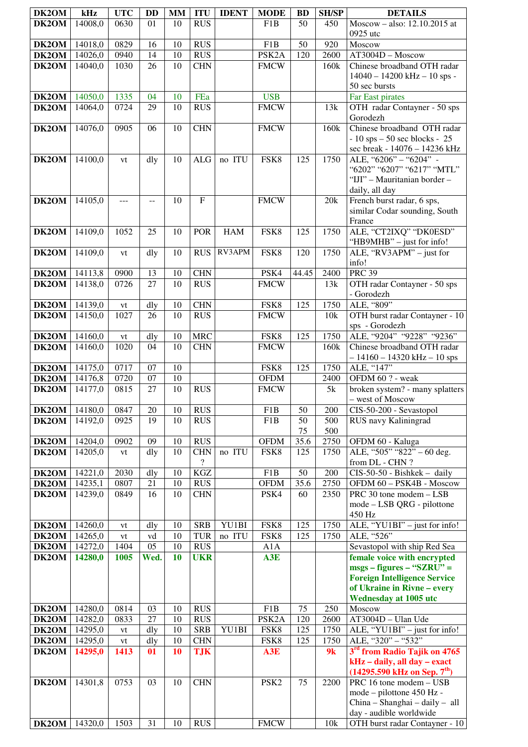| DK2OM          | kHz                | <b>UTC</b>       | <b>DD</b>       | <b>MM</b> | <b>ITU</b>               | <b>IDENT</b> | <b>MODE</b>        | <b>BD</b>        | <b>SH/SP</b> | <b>DETAILS</b>                                      |
|----------------|--------------------|------------------|-----------------|-----------|--------------------------|--------------|--------------------|------------------|--------------|-----------------------------------------------------|
| DK2OM          | 14008,0            | 0630             | 01              | 10        | <b>RUS</b>               |              | F <sub>1</sub> B   | 50               | 450          | Moscow - also: 12.10.2015 at                        |
|                |                    |                  |                 |           |                          |              |                    |                  |              | 0925 utc                                            |
| DK2OM          | 14018,0            | 0829             | 16              | 10        | <b>RUS</b>               |              | F <sub>1</sub> B   | 50               | 920          | Moscow                                              |
| DK2OM          | 14026,0            | 0940             | 14              | 10        | <b>RUS</b>               |              | PSK <sub>2</sub> A | 120              | 2600         | AT3004D - Moscow                                    |
| DK2OM          | 14040,0            | 1030             | 26              | 10        | <b>CHN</b>               |              | <b>FMCW</b>        |                  | 160k         | Chinese broadband OTH radar                         |
|                |                    |                  |                 |           |                          |              |                    |                  |              | $14040 - 14200$ kHz $- 10$ sps -                    |
|                |                    |                  |                 |           |                          |              |                    |                  |              | 50 sec bursts                                       |
| DK2OM          | 14050,0            | 1335             | 04              | 10        | FEa                      |              | <b>USB</b>         |                  |              | Far East pirates                                    |
| DK2OM          | 14064,0            | 0724             | 29              | 10        | <b>RUS</b>               |              | <b>FMCW</b>        |                  | 13k          | OTH radar Contayner - 50 sps<br>Gorodezh            |
| DK2OM          | 14076,0            | 0905             | 06              | 10        | <b>CHN</b>               |              | <b>FMCW</b>        |                  | 160k         | Chinese broadband OTH radar                         |
|                |                    |                  |                 |           |                          |              |                    |                  |              | $-10$ sps $-50$ sec blocks - 25                     |
|                |                    |                  |                 |           |                          |              |                    |                  |              | sec break - 14076 - 14236 kHz                       |
| DK2OM          | 14100,0            | vt               | dly             | 10        | $\rm ALG$                | no ITU       | FSK8               | 125              | 1750         | ALE, "6206" - "6204" -                              |
|                |                    |                  |                 |           |                          |              |                    |                  |              | "6202" "6207" "6217" "MTL"                          |
|                |                    |                  |                 |           |                          |              |                    |                  |              | "IJI" - Mauritanian border -                        |
|                |                    |                  |                 |           |                          |              |                    |                  |              | daily, all day                                      |
| DK2OM          | 14105,0            | ---              | --              | 10        | $\overline{F}$           |              | <b>FMCW</b>        |                  | 20k          | French burst radar, 6 sps,                          |
|                |                    |                  |                 |           |                          |              |                    |                  |              | similar Codar sounding, South                       |
| DK2OM          | 14109,0            | 1052             | $\overline{25}$ | 10        | <b>POR</b>               | <b>HAM</b>   | FSK8               | $\overline{125}$ | 1750         | France<br>ALE, "CT2IXQ" "DK0ESD"                    |
|                |                    |                  |                 |           |                          |              |                    |                  |              | "HB9MHB" - just for info!                           |
| DK2OM          | 14109,0            | vt               | dly             | 10        | <b>RUS</b>               | RV3APM       | FSK8               | 120              | 1750         | ALE, "RV3APM" - just for                            |
|                |                    |                  |                 |           |                          |              |                    |                  |              | info!                                               |
| DK2OM          | 14113,8            | 0900             | 13              | 10        | <b>CHN</b>               |              | PSK4               | 44.45            | 2400         | <b>PRC 39</b>                                       |
| DK2OM          | 14138,0            | 0726             | 27              | 10        | <b>RUS</b>               |              | <b>FMCW</b>        |                  | 13k          | OTH radar Contayner - 50 sps                        |
|                |                    |                  |                 |           |                          |              |                    |                  |              | - Gorodezh                                          |
| DK2OM          | 14139,0            | ${\it vt}$       | dly             | 10        | <b>CHN</b>               |              | FSK8               | 125              | 1750         | ALE, "809"                                          |
| DK2OM          | 14150,0            | 1027             | 26              | 10        | <b>RUS</b>               |              | <b>FMCW</b>        |                  | 10k          | OTH burst radar Contayner - 10                      |
|                |                    |                  |                 |           | <b>MRC</b>               |              | FSK8               | 125              | 1750         | sps - Gorodezh<br>ALE, "9204" "9228" "9236"         |
| DK2OM<br>DK2OM | 14160,0<br>14160,0 | vt<br>1020       | dly<br>04       | 10<br>10  | <b>CHN</b>               |              | <b>FMCW</b>        |                  | 160k         | Chinese broadband OTH radar                         |
|                |                    |                  |                 |           |                          |              |                    |                  |              | $-14160 - 14320$ kHz $-10$ sps                      |
| DK2OM          | 14175,0            | 0717             | 07              | 10        |                          |              | FSK8               | 125              | 1750         | ALE, "147"                                          |
| DK2OM          | 14176,8            | 0720             | 07              | 10        |                          |              | <b>OFDM</b>        |                  | 2400         | OFDM 60 ? - weak                                    |
| DK2OM          | 14177,0            | 0815             | 27              | 10        | <b>RUS</b>               |              | <b>FMCW</b>        |                  | $5{\rm k}$   | broken system? - many splatters                     |
|                |                    |                  |                 |           |                          |              |                    |                  |              | – west of Moscow                                    |
| DK2OM          | 14180,0            | 0847             | 20              | 10        | <b>RUS</b>               |              | F1B                | 50               | 200          | CIS-50-200 - Sevastopol                             |
| DK2OM          | 14192,0            | 0925             | 19              | 10        | <b>RUS</b>               |              | F1B                | 50               | 500          | RUS navy Kaliningrad                                |
| DK2OM          | 14204,0            | 0902             | 09              | 10        | <b>RUS</b>               |              | <b>OFDM</b>        | 75<br>35.6       | 500<br>2750  | OFDM 60 - Kaluga                                    |
| DK2OM          | 14205,0            | vt               | dly             | 10        | <b>CHN</b>               | no ITU       | FSK8               | 125              | 1750         | ALE, "505" "822" - 60 deg.                          |
|                |                    |                  |                 |           | $\overline{\mathcal{L}}$ |              |                    |                  |              | from DL - CHN $?$                                   |
| DK2OM          | 14221,0            | 2030             | dly             | 10        | KGZ                      |              | F1B                | 50               | 200          | $CIS-50-50$ - Bishkek - daily                       |
| DK2OM          | 14235,1            | 0807             | 21              | 10        | <b>RUS</b>               |              | <b>OFDM</b>        | 35.6             | 2750         | OFDM 60 - PSK4B - Moscow                            |
| DK2OM          | 14239,0            | 0849             | 16              | 10        | <b>CHN</b>               |              | PSK4               | 60               | 2350         | PRC 30 tone modem - LSB                             |
|                |                    |                  |                 |           |                          |              |                    |                  |              | mode - LSB QRG - pilottone                          |
|                |                    |                  |                 |           |                          |              |                    |                  |              | 450 Hz                                              |
| DK2OM          | 14260,0            | vt               | dly             | 10<br>10  | <b>SRB</b><br><b>TUR</b> | YU1BI        | FSK8               | 125<br>125       | 1750<br>1750 | ALE, "YU1BI" - just for info!<br>ALE, "526"         |
| DK2OM<br>DK2OM | 14265,0<br>14272,0 | vt<br>1404       | vd<br>05        | 10        | <b>RUS</b>               | no ITU       | FSK8<br>A1A        |                  |              | Sevastopol with ship Red Sea                        |
| DK2OM          | 14280,0            | 1005             | Wed.            | 10        | <b>UKR</b>               |              | A3E                |                  |              | female voice with encrypted                         |
|                |                    |                  |                 |           |                          |              |                    |                  |              | $msgs - figures - "SZRU" =$                         |
|                |                    |                  |                 |           |                          |              |                    |                  |              | <b>Foreign Intelligence Service</b>                 |
|                |                    |                  |                 |           |                          |              |                    |                  |              | of Ukraine in Rivne - every                         |
|                |                    |                  |                 |           |                          |              |                    |                  |              | <b>Wednesday at 1005 utc</b>                        |
| DK2OM          | 14280,0            | 0814             | 03              | 10        | <b>RUS</b>               |              | F1B                | 75               | 250          | Moscow                                              |
| DK2OM          | 14282,0            | 0833             | 27              | 10        | <b>RUS</b>               |              | PSK <sub>2</sub> A | 120              | 2600         | AT3004D - Ulan Ude                                  |
| DK2OM<br>DK2OM | 14295,0<br>14295,0 | vt<br>${\it vt}$ | dly<br>dly      | 10<br>10  | <b>SRB</b><br><b>CHN</b> | YU1BI        | FSK8<br>FSK8       | 125<br>125       | 1750<br>1750 | ALE, "YU1BI" - just for info!<br>ALE, "320" - "532" |
| DK2OM          | 14295,0            | 1413             | 01              | 10        | <b>TJK</b>               |              | A3E                |                  | 9k           | 3rd from Radio Tajik on 4765                        |
|                |                    |                  |                 |           |                          |              |                    |                  |              | kHz - daily, all day - exact                        |
|                |                    |                  |                 |           |                          |              |                    |                  |              | $(14295.590 \text{ kHz on Sep. } 7^{\text{th}})$    |
| DK2OM          | 14301,8            | 0753             | 03              | 10        | <b>CHN</b>               |              | PSK <sub>2</sub>   | 75               | 2200         | PRC 16 tone modem - USB                             |
|                |                    |                  |                 |           |                          |              |                    |                  |              | mode - pilottone 450 Hz -                           |
|                |                    |                  |                 |           |                          |              |                    |                  |              | China - Shanghai - daily - all                      |
|                |                    |                  |                 |           |                          |              |                    |                  |              | day - audible worldwide                             |
| DK2OM          | 14320,0            | 1503             | 31              | 10        | <b>RUS</b>               |              | <b>FMCW</b>        |                  | 10k          | OTH burst radar Contayner - 10                      |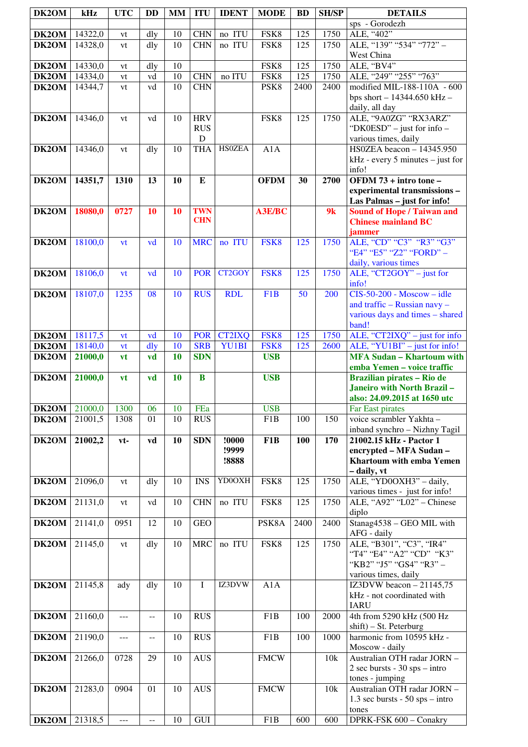| DK2OM                     | kHz     | <b>UTC</b> | <b>DD</b>                | <b>MM</b> | <b>ITU</b>       | <b>IDENT</b>  | <b>MODE</b>      | <b>BD</b> | <b>SH/SP</b> | <b>DETAILS</b>                                         |
|---------------------------|---------|------------|--------------------------|-----------|------------------|---------------|------------------|-----------|--------------|--------------------------------------------------------|
|                           |         |            |                          |           |                  |               |                  |           |              | sps - Gorodezh                                         |
| DK2OM                     | 14322,0 | vt         | dly                      | 10        | <b>CHN</b>       | no ITU        | FSK8             | 125       | 1750         | ALE, "402"                                             |
| DK2OM                     | 14328,0 | vt         | dly                      | 10        | <b>CHN</b>       | no ITU        | FSK8             | 125       | 1750         | ALE, "139" "534" "772" -                               |
|                           |         |            |                          |           |                  |               |                  |           |              | West China                                             |
| DK2OM                     | 14330,0 | vt         | dly                      | 10        |                  |               | FSK8             | 125       | 1750         | ALE, "BV4"                                             |
| DK2OM                     | 14334,0 | vt         | vd                       | 10        | <b>CHN</b>       | no ITU        | FSK8             | 125       | 1750         | ALE, "249" "255" "763"                                 |
| DK2OM                     | 14344,7 | vt         | vd                       | 10        | <b>CHN</b>       |               | PSK8             | 2400      | 2400         | modified MIL-188-110A - 600                            |
|                           |         |            |                          |           |                  |               |                  |           |              | bps short $- 14344.650$ kHz $-$                        |
|                           |         |            |                          |           |                  |               |                  |           |              | daily, all day                                         |
| DK2OM                     | 14346,0 | vt         | vd                       | 10        | <b>HRV</b>       |               | FSK8             | 125       | 1750         | ALE, "9A0ZG" "RX3ARZ"                                  |
|                           |         |            |                          |           | <b>RUS</b>       |               |                  |           |              | "DK0ESD" – just for info –                             |
|                           |         |            |                          |           | $\mathbf D$      |               |                  |           |              | various times, daily                                   |
| DK2OM                     | 14346,0 | vt         | dly                      | 10        | <b>THA</b>       | <b>HSOZEA</b> | A1A              |           |              | HS0ZEA beacon - 14345.950                              |
|                           |         |            |                          |           |                  |               |                  |           |              | $kHz$ - every 5 minutes – just for                     |
|                           |         |            |                          |           |                  |               |                  |           |              | info!                                                  |
| DK2OM                     | 14351,7 | 1310       | 13                       | 10        | E                |               | <b>OFDM</b>      | 30        | 2700         | OFDM 73 + intro tone -                                 |
|                           |         |            |                          |           |                  |               |                  |           |              | experimental transmissions-                            |
|                           |         |            |                          |           |                  |               |                  |           |              | Las Palmas - just for info!                            |
| DK2OM                     | 18080,0 | 0727       | 10                       | 10        | <b>TWN</b>       |               | <b>A3E/BC</b>    |           | 9k           | <b>Sound of Hope / Taiwan and</b>                      |
|                           |         |            |                          |           | <b>CHN</b>       |               |                  |           |              | <b>Chinese mainland BC</b>                             |
|                           |         |            |                          |           | <b>MRC</b>       | no ITU        | FSK8             | 125       | 1750         | jammer<br>ALE, "CD" "C3" "R3" "G3"                     |
| DK2OM                     | 18100,0 | vt         | vd                       | 10        |                  |               |                  |           |              | "E4" "E5" "Z2" "FORD" -                                |
|                           |         |            |                          |           |                  |               |                  |           |              | daily, various times                                   |
| DK2OM                     | 18106,0 | vt         | vd                       | 10        | <b>POR</b>       | CT2GOY        | FSK8             | 125       | 1750         | ALE, "CT2GOY" - just for                               |
|                           |         |            |                          |           |                  |               |                  |           |              | info!                                                  |
| DK2OM                     | 18107,0 | 1235       | 08                       | 10        | <b>RUS</b>       | <b>RDL</b>    | F <sub>1</sub> B | 50        | 200          | $CIS-50-200$ - Moscow - idle                           |
|                           |         |            |                          |           |                  |               |                  |           |              | and traffic - Russian navy -                           |
|                           |         |            |                          |           |                  |               |                  |           |              | various days and times - shared                        |
|                           |         |            |                          |           |                  |               |                  |           |              | band!                                                  |
| DK2OM                     | 18117,5 | vt         | vd                       | 10        | <b>POR</b>       | <b>CT2IXQ</b> | FSK8             | 125       | 1750         | ALE, "CT2IXQ" - just for info                          |
| DK2OM                     | 18140,0 | vt         | dly                      | 10        | <b>SRB</b>       | YU1BI         | FSK8             | 125       | 2600         | ALE, "YU1BI" - just for info!                          |
| DK2OM                     | 21000,0 | vt         | vd                       | 10        | <b>SDN</b>       |               | <b>USB</b>       |           |              | <b>MFA Sudan - Khartoum with</b>                       |
|                           |         |            |                          |           |                  |               |                  |           |              | emba Yemen - voice traffic                             |
|                           |         |            |                          |           |                  |               |                  |           |              |                                                        |
| DK2OM                     | 21000,0 | vt         | vd                       | 10        | $\bf{B}$         |               | <b>USB</b>       |           |              | <b>Brazilian pirates - Rio de</b>                      |
|                           |         |            |                          |           |                  |               |                  |           |              | Janeiro with North Brazil-                             |
|                           |         |            |                          |           |                  |               |                  |           |              | also: 24.09.2015 at 1650 utc                           |
| <b>DK2OM</b> 21000,0 1300 |         |            | 06                       | 10        | FEa              |               | <b>USB</b>       |           |              | Far East pirates                                       |
| DK2OM                     | 21001,5 | 1308       | 01                       | 10        | $R\overline{US}$ |               | F1B              | 100       | 150          | voice scrambler Yakhta -                               |
|                           |         |            |                          |           |                  |               |                  |           |              | inband synchro - Nizhny Tagil                          |
| DK2OM                     | 21002,2 | vt-        | vd                       | 10        | <b>SDN</b>       | !0000         | F <sub>1</sub> B | 100       | 170          | 21002.15 kHz - Pactor 1                                |
|                           |         |            |                          |           |                  | !9999         |                  |           |              | encrypted - MFA Sudan -                                |
|                           |         |            |                          |           |                  | !8888         |                  |           |              | <b>Khartoum with emba Yemen</b>                        |
|                           |         |            |                          |           |                  |               |                  |           |              | - daily, vt                                            |
| DK2OM                     | 21096,0 | vt         | dly                      | 10        | <b>INS</b>       | YD0OXH        | FSK8             | 125       | 1750         | ALE, "YD0OXH3" - daily,                                |
|                           |         |            |                          |           |                  |               |                  |           |              | various times - just for info!                         |
| DK2OM                     | 21131,0 | vt         | vd                       | 10        | <b>CHN</b>       | no ITU        | FSK8             | 125       | 1750         | ALE, "A92" "L02" - Chinese                             |
| DK2OM                     | 21141,0 | 0951       | 12                       | 10        | <b>GEO</b>       |               | PSK8A            | 2400      | 2400         | diplo<br>Stanag4538 - GEO MIL with                     |
|                           |         |            |                          |           |                  |               |                  |           |              | AFG - daily                                            |
| DK2OM                     | 21145,0 | vt         | dly                      | 10        | <b>MRC</b>       | no ITU        | FSK8             | 125       | 1750         | ALE, "B301", "C3", "IR4"                               |
|                           |         |            |                          |           |                  |               |                  |           |              | "T4" "E4" "A2" "CD" "K3"                               |
|                           |         |            |                          |           |                  |               |                  |           |              | "KB2" "J5" "GS4" "R3" -                                |
|                           |         |            |                          |           |                  |               |                  |           |              | various times, daily                                   |
| DK2OM                     | 21145,8 | ady        | dly                      | 10        | $\mathbf{I}$     | IZ3DVW        | A1A              |           |              | IZ3DVW beacon $-21145,75$                              |
|                           |         |            |                          |           |                  |               |                  |           |              | kHz - not coordinated with                             |
|                           |         |            |                          |           |                  |               |                  |           |              | <b>IARU</b>                                            |
| DK2OM                     | 21160,0 | ---        | $- -$                    | 10        | <b>RUS</b>       |               | F1B              | 100       | 2000         | 4th from 5290 kHz (500 Hz                              |
|                           |         |            |                          |           |                  |               |                  |           |              | $shift$ ) – St. Peterburg                              |
| DK2OM                     | 21190,0 | ---        | $-$                      | 10        | <b>RUS</b>       |               | F <sub>1</sub> B | 100       | 1000         | harmonic from 10595 kHz -                              |
|                           |         |            |                          |           |                  |               |                  |           |              | Moscow - daily                                         |
| DK2OM                     | 21266,0 | 0728       | 29                       | 10        | <b>AUS</b>       |               | <b>FMCW</b>      |           | 10k          | Australian OTH radar JORN -                            |
|                           |         |            |                          |           |                  |               |                  |           |              | $2 \text{ sec bursts} - 30 \text{ sys} - \text{intro}$ |
|                           |         |            |                          |           |                  |               |                  |           |              | tones - jumping                                        |
| DK2OM                     | 21283,0 | 0904       | 01                       | 10        | <b>AUS</b>       |               | <b>FMCW</b>      |           | 10k          | Australian OTH radar JORN -                            |
|                           |         |            |                          |           |                  |               |                  |           |              | $1.3$ sec bursts - 50 sps – intro                      |
| DK2OM                     | 21318,5 | $---$      | $\overline{\phantom{m}}$ | 10        | GUI              |               | F1B              | 600       | 600          | tones<br>DPRK-FSK 600 - Conakry                        |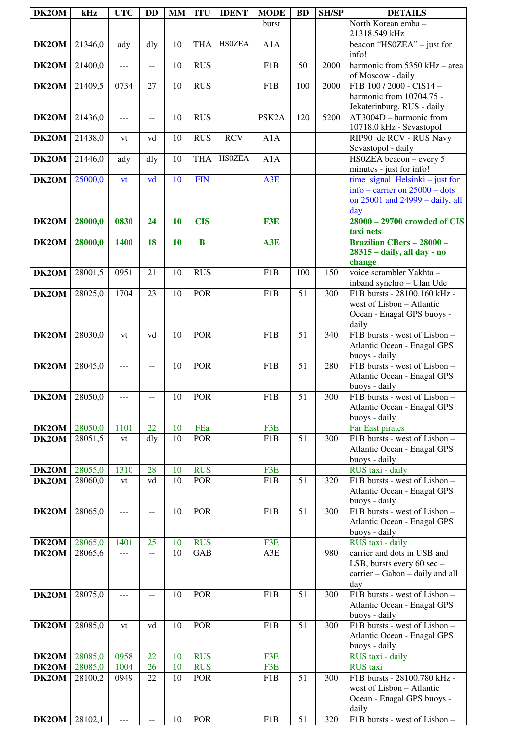| DK2OM | kHz     | <b>UTC</b> | <b>DD</b>                | <b>MM</b> | <b>ITU</b> | <b>IDENT</b>  | <b>MODE</b>        | <b>BD</b>       | <b>SH/SP</b> | <b>DETAILS</b>                                                                                                |
|-------|---------|------------|--------------------------|-----------|------------|---------------|--------------------|-----------------|--------------|---------------------------------------------------------------------------------------------------------------|
|       |         |            |                          |           |            |               | burst              |                 |              | North Korean emba-<br>21318.549 kHz                                                                           |
| DK2OM | 21346,0 | ady        | dly                      | 10        | <b>THA</b> | <b>HS0ZEA</b> | A1A                |                 |              | beacon "HS0ZEA" $-$ just for<br>info!                                                                         |
| DK2OM | 21400,0 | $---$      | --                       | 10        | <b>RUS</b> |               | F <sub>1</sub> B   | 50              | 2000         | harmonic from 5350 kHz - area<br>of Moscow - daily                                                            |
| DK2OM | 21409,5 | 0734       | 27                       | 10        | <b>RUS</b> |               | F <sub>1</sub> B   | 100             | 2000         | F1B 100 / 2000 - CIS14 -<br>harmonic from 10704.75 -<br>Jekaterinburg, RUS - daily                            |
| DK2OM | 21436,0 | $---$      | $\overline{\phantom{m}}$ | 10        | <b>RUS</b> |               | PSK <sub>2</sub> A | 120             | 5200         | AT3004D - harmonic from<br>10718.0 kHz - Sevastopol                                                           |
| DK2OM | 21438,0 | vt         | vd                       | 10        | <b>RUS</b> | <b>RCV</b>    | A1A                |                 |              | RIP90 de RCV - RUS Navy<br>Sevastopol - daily                                                                 |
| DK2OM | 21446,0 | ady        | dly                      | 10        | <b>THA</b> | <b>HSOZEA</b> | A1A                |                 |              | HS0ZEA beacon - every 5<br>minutes - just for info!                                                           |
| DK2OM | 25000,0 | vt         | vd                       | 10        | <b>FIN</b> |               | A3E                |                 |              | time signal Helsinki – just for<br>info – carrier on $25000$ – dots<br>on 25001 and 24999 - daily, all<br>day |
| DK2OM | 28000,0 | 0830       | 24                       | 10        | <b>CIS</b> |               | F3E                |                 |              | 28000 - 29700 crowded of CIS<br>taxi nets                                                                     |
| DK2OM | 28000,0 | 1400       | 18                       | 10        | $\bf{B}$   |               | A3E                |                 |              | <b>Brazilian CBers - 28000 -</b><br>28315 - daily, all day - no<br>change                                     |
| DK2OM | 28001,5 | 0951       | 21                       | 10        | RUS        |               | F <sub>1</sub> B   | 100             | 150          | voice scrambler Yakhta -<br>inband synchro - Ulan Ude                                                         |
| DK2OM | 28025,0 | 1704       | 23                       | 10        | <b>POR</b> |               | F <sub>1</sub> B   | 51              | 300          | F1B bursts - 28100.160 kHz -<br>west of Lisbon - Atlantic<br>Ocean - Enagal GPS buoys -<br>daily              |
| DK2OM | 28030,0 | vt         | vd                       | 10        | <b>POR</b> |               | F <sub>1</sub> B   | $\overline{51}$ | 340          | F1B bursts - west of Lisbon -<br>Atlantic Ocean - Enagal GPS<br>buoys - daily                                 |
| DK2OM | 28045,0 | ---        | $-$                      | 10        | <b>POR</b> |               | F <sub>1</sub> B   | $\overline{51}$ | 280          | F1B bursts - west of Lisbon -<br>Atlantic Ocean - Enagal GPS<br>buoys - daily                                 |
| DK2OM | 28050,0 | $---$      | $-$                      | 10        | <b>POR</b> |               | F <sub>1</sub> B   | 51              | 300          | F1B bursts - west of Lisbon -<br>Atlantic Ocean - Enagal GPS<br>buoys - daily                                 |
| DK2OM | 28050,0 | 1101       | 22                       | 10        | FEa        |               | F3E                |                 |              | Far East pirates                                                                                              |
| DK2OM | 28051,5 | vt         | dly                      | 10        | <b>POR</b> |               | F <sub>1</sub> B   | 51              | 300          | F1B bursts - west of Lisbon -<br>Atlantic Ocean - Enagal GPS<br>buoys - daily                                 |
| DK2OM | 28055,0 | 1310       | 28                       | 10        | <b>RUS</b> |               | F3E                |                 |              | RUS taxi - daily                                                                                              |
| DK2OM | 28060,0 | vt         | vd                       | 10        | <b>POR</b> |               | F <sub>1</sub> B   | 51              | 320          | F1B bursts - west of Lisbon -<br>Atlantic Ocean - Enagal GPS<br>buoys - daily                                 |
| DK2OM | 28065,0 | ---        | $-$                      | 10        | POR        |               | F <sub>1</sub> B   | 51              | 300          | F1B bursts - west of Lisbon -<br>Atlantic Ocean - Enagal GPS<br>buoys - daily                                 |
| DK2OM | 28065,0 | 1401       | 25                       | 10        | <b>RUS</b> |               | F3E                |                 |              | RUS taxi - daily                                                                                              |
| DK2OM | 28065,6 | $ -$       | $-$                      | 10        | GAB        |               | A3E                |                 | 980          | carrier and dots in USB and<br>LSB, bursts every 60 sec -<br>carrier - Gabon - daily and all<br>day           |
| DK2OM | 28075,0 | ---        | $-$                      | 10        | <b>POR</b> |               | F <sub>1</sub> B   | 51              | 300          | F1B bursts - west of Lisbon -<br>Atlantic Ocean - Enagal GPS<br>buoys - daily                                 |
| DK2OM | 28085,0 | vt         | vd                       | 10        | <b>POR</b> |               | F <sub>1</sub> B   | 51              | 300          | F1B bursts - west of Lisbon -<br>Atlantic Ocean - Enagal GPS<br>buoys - daily                                 |
| DK2OM | 28085,0 | 0958       | 22                       | 10        | <b>RUS</b> |               | F3E                |                 |              | RUS taxi - daily                                                                                              |
| DK2OM | 28085,0 | 1004       | 26                       | 10        | <b>RUS</b> |               | F3E                |                 |              | <b>RUS</b> taxi                                                                                               |
| DK2OM | 28100,2 | 0949       | 22                       | 10        | <b>POR</b> |               | F1B                | 51              | 300          | F1B bursts - 28100.780 kHz -<br>west of Lisbon - Atlantic<br>Ocean - Enagal GPS buoys -<br>daily              |
| DK2OM | 28102,1 | $---$      | $\overline{\phantom{m}}$ | 10        | POR        |               | F1B                | 51              | 320          | F1B bursts - west of Lisbon -                                                                                 |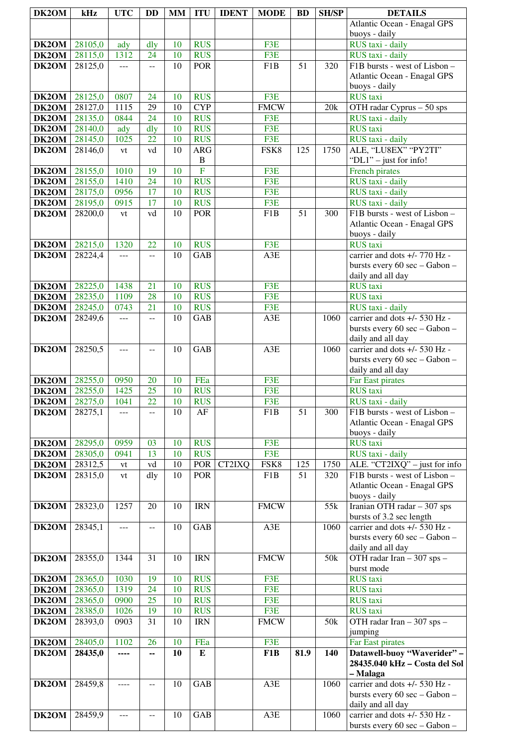| DK2OM                | kHz                | <b>UTC</b>   | <b>DD</b>            | MM       | <b>ITU</b>               | <b>IDENT</b> | <b>MODE</b>      | <b>BD</b> | <b>SH/SP</b>    | <b>DETAILS</b>                                                 |
|----------------------|--------------------|--------------|----------------------|----------|--------------------------|--------------|------------------|-----------|-----------------|----------------------------------------------------------------|
|                      |                    |              |                      |          |                          |              |                  |           |                 | Atlantic Ocean - Enagal GPS                                    |
|                      |                    |              |                      |          |                          |              |                  |           |                 | buoys - daily                                                  |
| DK2OM                | 28105,0            | ady          | dly                  | 10       | <b>RUS</b>               |              | F3E              |           |                 | RUS taxi - daily                                               |
| $\overline{DK2OM}$   | 28115,0            | 1312         | 24                   | 10       | <b>RUS</b>               |              | F3E              |           |                 | RUS taxi - daily                                               |
| DK2OM                | 28125,0            | ---          | $\mathbf{u}$         | 10       | <b>POR</b>               |              | F1B              | 51        | 320             | F1B bursts - west of Lisbon -                                  |
|                      |                    |              |                      |          |                          |              |                  |           |                 | Atlantic Ocean - Enagal GPS                                    |
|                      |                    | 0807         | 24                   |          | <b>RUS</b>               |              | F3E              |           |                 | buoys - daily<br><b>RUS</b> taxi                               |
| DK2OM<br>DK2OM       | 28125,0<br>28127,0 | 1115         | 29                   | 10<br>10 | <b>CYP</b>               |              | <b>FMCW</b>      |           | 20k             | OTH radar Cyprus - 50 sps                                      |
| DK2OM                | 28135,0            | 0844         | 24                   | 10       | <b>RUS</b>               |              | F3E              |           |                 | RUS taxi - daily                                               |
| DK2OM                | 28140,0            | ady          | dly                  | 10       | <b>RUS</b>               |              | F3E              |           |                 | <b>RUS</b> taxi                                                |
| DK2OM                | 28145,0            | 1025         | 22                   | 10       | <b>RUS</b>               |              | F3E              |           |                 | RUS taxi - daily                                               |
| DK2OM                | 28146,0            | vt           | vd                   | 10       | <b>ARG</b>               |              | FSK8             | 125       | 1750            | ALE, "LU8EX" "PY2TI"                                           |
|                      |                    |              |                      |          | $\, {\bf B}$             |              |                  |           |                 | "DL1" - just for info!                                         |
| DK2OM                | 28155,0            | 1010         | 19                   | 10       | $\overline{F}$           |              | F3E              |           |                 | French pirates                                                 |
| DK2OM                | 28155,0            | 1410         | 24                   | 10       | <b>RUS</b>               |              | F3E              |           |                 | RUS taxi - daily                                               |
| DK2OM                | 28175,0            | 0956         | 17                   | 10       | <b>RUS</b>               |              | F3E              |           |                 | RUS taxi - daily                                               |
| DK2OM<br>DK2OM       | 28195,0<br>28200,0 | 0915         | 17<br>vd             | 10<br>10 | <b>RUS</b><br><b>POR</b> |              | F3E<br>F1B       | 51        | 300             | RUS taxi - daily<br>F1B bursts - west of Lisbon -              |
|                      |                    | vt           |                      |          |                          |              |                  |           |                 | Atlantic Ocean - Enagal GPS                                    |
|                      |                    |              |                      |          |                          |              |                  |           |                 | buoys - daily                                                  |
| DK2OM                | 28215,0            | 1320         | 22                   | 10       | <b>RUS</b>               |              | F3E              |           |                 | <b>RUS</b> taxi                                                |
| DK2OM                | 28224,4            | ---          | $-$                  | 10       | <b>GAB</b>               |              | A3E              |           |                 | carrier and dots +/- 770 Hz -                                  |
|                      |                    |              |                      |          |                          |              |                  |           |                 | bursts every 60 sec - Gabon -                                  |
|                      |                    |              |                      |          |                          |              |                  |           |                 | daily and all day                                              |
| DK2OM                | 28225,0            | 1438         | 21                   | 10       | <b>RUS</b>               |              | F3E              |           |                 | <b>RUS</b> taxi                                                |
| DK2OM                | 28235,0            | 1109         | 28                   | 10       | <b>RUS</b>               |              | F3E              |           |                 | <b>RUS</b> taxi                                                |
| DK2OM<br>DK2OM       | 28245,0<br>28249,6 | 0743<br>---  | 21<br>$\overline{a}$ | 10<br>10 | <b>RUS</b><br><b>GAB</b> |              | F3E<br>A3E       |           | 1060            | RUS taxi - daily<br>carrier and dots +/- 530 Hz -              |
|                      |                    |              |                      |          |                          |              |                  |           |                 | bursts every 60 sec - Gabon -                                  |
|                      |                    |              |                      |          |                          |              |                  |           |                 | daily and all day                                              |
| DK2OM                | 28250,5            | $- - -$      | $-$                  | 10       | <b>GAB</b>               |              | A3E              |           | 1060            | carrier and dots +/- 530 Hz -                                  |
|                      |                    |              |                      |          |                          |              |                  |           |                 | bursts every 60 sec - Gabon -                                  |
|                      |                    |              |                      |          |                          |              |                  |           |                 | daily and all day                                              |
| DK2OM                | 28255,0            | 0950         | 20                   | 10       | FEa                      |              | F3E              |           |                 | Far East pirates                                               |
| DK2OM                | 28255,0            | 1425         | 25                   | 10       | <b>RUS</b>               |              | F3E              |           |                 | <b>RUS</b> taxi                                                |
| <b>DK2OM</b> 28275,0 | 28275,1            | 1041         | $\overline{22}$      | 10       | <b>RUS</b><br>AF         |              | F3E              | 51        |                 | RUS taxi - daily                                               |
| DK2OM                |                    |              |                      | 10       |                          |              | F1B              |           | 300             | F1B bursts - west of Lisbon -<br>Atlantic Ocean - Enagal GPS   |
|                      |                    |              |                      |          |                          |              |                  |           |                 | buoys - daily                                                  |
| DK2OM                | 28295,0            | 0959         | 03                   | 10       | <b>RUS</b>               |              | F3E              |           |                 | <b>RUS</b> taxi                                                |
| DK2OM                | 28305,0            | 0941         | 13                   | 10       | <b>RUS</b>               |              | F3E              |           |                 | RUS taxi - daily                                               |
| DK2OM                | 28312,5            | vt           | ${\rm v} {\rm d}$    | 10       | POR                      | CT2IXQ       | FSK8             | 125       | 1750            | ALE. "CT2IXQ" - just for info                                  |
| DK2OM                | 28315,0            | vt           | dly                  | 10       | <b>POR</b>               |              | F1B              | 51        | 320             | F1B bursts - west of Lisbon -                                  |
|                      |                    |              |                      |          |                          |              |                  |           |                 | Atlantic Ocean - Enagal GPS                                    |
|                      | 28323,0            | 1257         | 20                   | 10       | <b>IRN</b>               |              | <b>FMCW</b>      |           | 55k             | buoys - daily<br>Iranian OTH radar - 307 sps                   |
| DK2OM                |                    |              |                      |          |                          |              |                  |           |                 | bursts of 3.2 sec length                                       |
| DK2OM                | 28345,1            | $ -$         | $\overline{a}$       | 10       | GAB                      |              | A3E              |           | 1060            | carrier and dots +/- 530 Hz -                                  |
|                      |                    |              |                      |          |                          |              |                  |           |                 | bursts every 60 sec - Gabon -                                  |
|                      |                    |              |                      |          |                          |              |                  |           |                 | daily and all day                                              |
| DK2OM                | 28355,0            | 1344         | 31                   | 10       | <b>IRN</b>               |              | <b>FMCW</b>      |           | 50k             | OTH radar Iran - 307 sps -                                     |
|                      |                    |              |                      |          |                          |              |                  |           |                 | burst mode                                                     |
| DK2OM                | 28365,0            | 1030         | 19<br>24             | 10<br>10 | <b>RUS</b><br><b>RUS</b> |              | F3E<br>F3E       |           |                 | <b>RUS</b> taxi                                                |
| DK2OM<br>DK2OM       | 28365,0<br>28365,0 | 1319<br>0900 | 25                   | 10       | <b>RUS</b>               |              | F3E              |           |                 | <b>RUS</b> taxi<br><b>RUS</b> taxi                             |
| DK2OM                | 28385,0            | 1026         | 19                   | 10       | <b>RUS</b>               |              | F3E              |           |                 | <b>RUS</b> taxi                                                |
| DK2OM                | 28393,0            | 0903         | 31                   | 10       | <b>IRN</b>               |              | <b>FMCW</b>      |           | 50 <sub>k</sub> | OTH radar Iran - 307 sps -                                     |
|                      |                    |              |                      |          |                          |              |                  |           |                 | jumping                                                        |
| DK2OM                | 28405,0            | 1102         | 26                   | 10       | FEa                      |              | F3E              |           |                 | Far East pirates                                               |
| DK2OM                | 28435,0            | ----         | --                   | 10       | ${\bf E}$                |              | F <sub>1</sub> B | 81.9      | 140             | Datawell-buoy "Waverider" -                                    |
|                      |                    |              |                      |          |                          |              |                  |           |                 | 28435.040 kHz - Costa del Sol                                  |
|                      |                    |              |                      |          |                          |              |                  |           |                 | – Malaga                                                       |
| DK2OM                | 28459,8            | $---$        | $-$                  | 10       | <b>GAB</b>               |              | A3E              |           | 1060            | carrier and dots +/- 530 Hz -<br>bursts every 60 sec - Gabon - |
|                      |                    |              |                      |          |                          |              |                  |           |                 | daily and all day                                              |
| DK2OM                | 28459,9            | $---$        | $-$                  | 10       | <b>GAB</b>               |              | A3E              |           | 1060            | carrier and dots +/- 530 Hz -                                  |
|                      |                    |              |                      |          |                          |              |                  |           |                 | bursts every 60 sec - Gabon -                                  |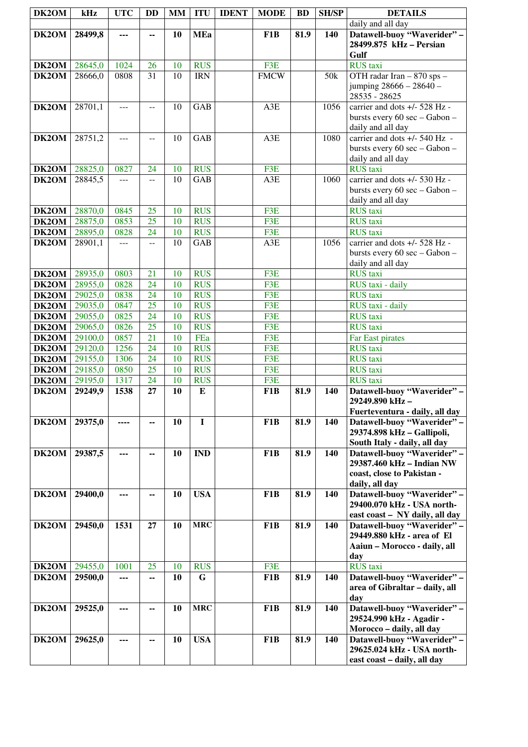| DK2OM        | kHz     | <b>UTC</b>    | <b>DD</b>                                     | <b>MM</b> | <b>ITU</b>  | <b>IDENT</b> | <b>MODE</b>      | <b>BD</b> | <b>SH/SP</b> | <b>DETAILS</b>                                                 |
|--------------|---------|---------------|-----------------------------------------------|-----------|-------------|--------------|------------------|-----------|--------------|----------------------------------------------------------------|
|              |         |               |                                               |           |             |              |                  |           |              | daily and all day                                              |
| DK2OM        | 28499,8 | ---           | --                                            | 10        | <b>MEa</b>  |              | F1B              | 81.9      | 140          | Datawell-buoy "Waverider" -                                    |
|              |         |               |                                               |           |             |              |                  |           |              | 28499.875 kHz - Persian                                        |
|              |         |               |                                               |           |             |              |                  |           |              | Gulf                                                           |
| DK2OM        | 28645,0 | 1024          | 26                                            | 10        | <b>RUS</b>  |              | F <sub>3</sub> E |           |              | <b>RUS</b> taxi                                                |
| DK2OM        | 28666,0 | 0808          | $\overline{31}$                               | 10        | <b>IRN</b>  |              | <b>FMCW</b>      |           | 50k          | OTH radar Iran - 870 sps -                                     |
|              |         |               |                                               |           |             |              |                  |           |              | jumping 28666 - 28640 -                                        |
|              |         |               |                                               |           |             |              |                  |           |              | 28535 - 28625                                                  |
| DK2OM        | 28701,1 | $\frac{1}{2}$ | $-1$                                          | 10        | <b>GAB</b>  |              | A3E              |           | 1056         | carrier and dots +/- 528 Hz -<br>bursts every 60 sec - Gabon - |
|              |         |               |                                               |           |             |              |                  |           |              | daily and all day                                              |
| DK2OM        | 28751,2 | $---$         | $\mathord{\hspace{1pt}\text{--}\hspace{1pt}}$ | 10        | <b>GAB</b>  |              | A3E              |           | 1080         | carrier and dots +/- 540 Hz -                                  |
|              |         |               |                                               |           |             |              |                  |           |              | bursts every 60 sec - Gabon -                                  |
|              |         |               |                                               |           |             |              |                  |           |              | daily and all day                                              |
| DK2OM        | 28825,0 | 0827          | 24                                            | 10        | <b>RUS</b>  |              | F3E              |           |              | <b>RUS</b> taxi                                                |
| DK2OM        | 28845,5 | $---$         | --                                            | 10        | GAB         |              | A3E              |           | 1060         | carrier and dots +/- 530 Hz -                                  |
|              |         |               |                                               |           |             |              |                  |           |              | bursts every 60 sec - Gabon -                                  |
|              |         |               |                                               |           |             |              |                  |           |              | daily and all day                                              |
| DK2OM        | 28870,0 | 0845          | 25                                            | 10        | <b>RUS</b>  |              | F3E              |           |              | <b>RUS</b> taxi                                                |
| DK2OM        | 28875,0 | 0853          | 25                                            | 10        | <b>RUS</b>  |              | F3E              |           |              | <b>RUS</b> taxi                                                |
| DK2OM        | 28895,0 | 0828          | 24                                            | 10        | <b>RUS</b>  |              | F3E              |           |              | <b>RUS</b> taxi                                                |
| DK2OM        | 28901,1 | $\frac{1}{2}$ | $-$                                           | 10        | <b>GAB</b>  |              | A3E              |           | 1056         | carrier and dots +/- 528 Hz -<br>bursts every 60 sec - Gabon - |
|              |         |               |                                               |           |             |              |                  |           |              | daily and all day                                              |
| <b>DK2OM</b> | 28935,0 | 0803          | 21                                            | 10        | <b>RUS</b>  |              | F3E              |           |              | <b>RUS</b> taxi                                                |
| DK2OM        | 28955,0 | 0828          | 24                                            | 10        | <b>RUS</b>  |              | F3E              |           |              | RUS taxi - daily                                               |
| <b>DK2OM</b> | 29025,0 | 0838          | 24                                            | 10        | <b>RUS</b>  |              | F3E              |           |              | <b>RUS</b> taxi                                                |
| <b>DK2OM</b> | 29035,0 | 0847          | $\overline{25}$                               | 10        | <b>RUS</b>  |              | F3E              |           |              | RUS taxi - daily                                               |
| DK2OM        | 29055,0 | 0825          | 24                                            | 10        | <b>RUS</b>  |              | F3E              |           |              | <b>RUS</b> taxi                                                |
| DK2OM        | 29065,0 | 0826          | $\overline{25}$                               | 10        | <b>RUS</b>  |              | F3E              |           |              | <b>RUS</b> taxi                                                |
| DK2OM        | 29100,0 | 0857          | 21                                            | 10        | FEa         |              | F3E              |           |              | Far East pirates                                               |
| DK2OM        | 29120,0 | 1256          | 24                                            | 10        | <b>RUS</b>  |              | F3E              |           |              | <b>RUS</b> taxi                                                |
| DK2OM        | 29155,0 | 1306          | 24                                            | 10        | <b>RUS</b>  |              | F3E              |           |              | <b>RUS</b> taxi                                                |
| <b>DK2OM</b> | 29185,0 | 0850          | 25                                            | 10        | <b>RUS</b>  |              | F3E              |           |              | <b>RUS</b> taxi                                                |
| DK2OM        | 29195,0 | 1317          | 24                                            | 10        | <b>RUS</b>  |              | F3E              |           |              | <b>RUS</b> taxi                                                |
| DK2OM        | 29249,9 | 1538          | 27                                            | 10        | ${\bf E}$   |              | F1B              | 81.9      | 140          | Datawell-buoy "Waverider" -<br>29249.890 kHz-                  |
|              |         |               |                                               |           |             |              |                  |           |              | Fuerteventura - daily, all day                                 |
| DK2OM        | 29375,0 |               | --                                            | 10        | $\mathbf I$ |              | F <sub>1</sub> B | 81.9      | 140          | Datawell-buoy "Waverider" -                                    |
|              |         |               |                                               |           |             |              |                  |           |              | 29374.898 kHz - Gallipoli,                                     |
|              |         |               |                                               |           |             |              |                  |           |              | South Italy - daily, all day                                   |
| DK2OM        | 29387,5 | ---           | ۰.                                            | 10        | <b>IND</b>  |              | F1B              | 81.9      | 140          | Datawell-buoy "Waverider" -                                    |
|              |         |               |                                               |           |             |              |                  |           |              | 29387.460 kHz - Indian NW                                      |
|              |         |               |                                               |           |             |              |                  |           |              | coast, close to Pakistan -                                     |
|              |         |               |                                               |           |             |              |                  |           |              | daily, all day                                                 |
| DK2OM        | 29400,0 |               | ۰.                                            | 10        | <b>USA</b>  |              | F1B              | 81.9      | 140          | Datawell-buoy "Waverider" -                                    |
|              |         |               |                                               |           |             |              |                  |           |              | 29400.070 kHz - USA north-<br>east coast - NY daily, all day   |
| DK2OM        | 29450,0 | 1531          | 27                                            | 10        | <b>MRC</b>  |              | F1B              | 81.9      | 140          | Datawell-buoy "Waverider" -                                    |
|              |         |               |                                               |           |             |              |                  |           |              | 29449.880 kHz - area of El                                     |
|              |         |               |                                               |           |             |              |                  |           |              | Aaiun - Morocco - daily, all                                   |
|              |         |               |                                               |           |             |              |                  |           |              | day                                                            |
| <b>DK2OM</b> | 29455,0 | 1001          | 25                                            | 10        | <b>RUS</b>  |              | F3E              |           |              | <b>RUS</b> taxi                                                |
| DK2OM        | 29500,0 | ---           | ۰.                                            | 10        | G           |              | F1B              | 81.9      | 140          | Datawell-buoy "Waverider" -                                    |
|              |         |               |                                               |           |             |              |                  |           |              | area of Gibraltar - daily, all                                 |
|              |         |               |                                               |           |             |              |                  |           |              | day                                                            |
| DK2OM        | 29525,0 | ---           | ۰.                                            | 10        | <b>MRC</b>  |              | F1B              | 81.9      | 140          | Datawell-buoy "Waverider" -                                    |
|              |         |               |                                               |           |             |              |                  |           |              | 29524.990 kHz - Agadir -<br>Morocco - daily, all day           |
| DK2OM        | 29625,0 | ---           | ۰.                                            | 10        | <b>USA</b>  |              | F1B              | 81.9      | 140          | Datawell-buoy "Waverider" -                                    |
|              |         |               |                                               |           |             |              |                  |           |              | 29625.024 kHz - USA north-                                     |
|              |         |               |                                               |           |             |              |                  |           |              | east coast - daily, all day                                    |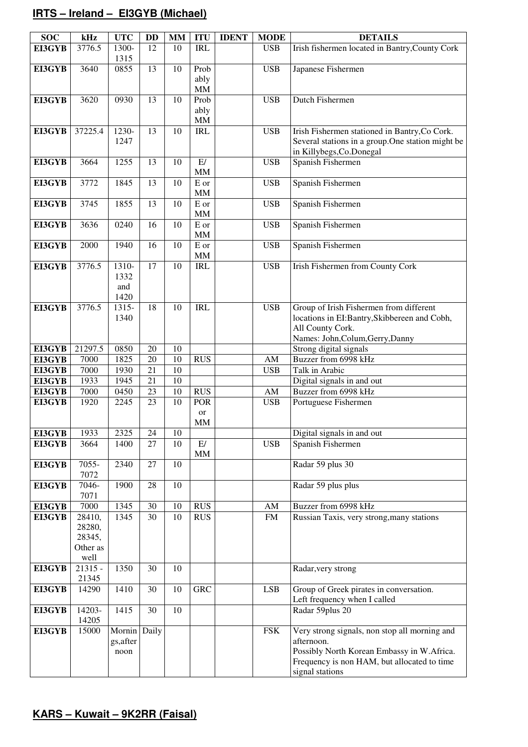# **IRTS – Ireland – EI3GYB (Michael)**

| <b>SOC</b>       | kHz                   | <b>UTC</b>        | <b>DD</b> | <b>MM</b> | <b>ITU</b>        | <b>IDENT</b> | <b>MODE</b>            | <b>DETAILS</b>                                                   |
|------------------|-----------------------|-------------------|-----------|-----------|-------------------|--------------|------------------------|------------------------------------------------------------------|
| EI3GYB           | 3776.5                | 1300-             | 12        | 10        | <b>IRL</b>        |              | <b>USB</b>             | Irish fishermen located in Bantry, County Cork                   |
|                  |                       | 1315              |           |           |                   |              |                        |                                                                  |
| <b>EI3GYB</b>    | 3640                  | 0855              | 13        | 10        | Prob              |              | <b>USB</b>             | Japanese Fishermen                                               |
|                  |                       |                   |           |           | ably              |              |                        |                                                                  |
|                  |                       |                   |           |           | MM                |              |                        | <b>Dutch Fishermen</b>                                           |
| EI3GYB           | 3620                  | 0930              | 13        | 10        | Prob<br>ably      |              | <b>USB</b>             |                                                                  |
|                  |                       |                   |           |           | <b>MM</b>         |              |                        |                                                                  |
| EI3GYB           | 37225.4               | 1230-             | 13        | 10        | <b>IRL</b>        |              | <b>USB</b>             | Irish Fishermen stationed in Bantry, Co Cork.                    |
|                  |                       | 1247              |           |           |                   |              |                        | Several stations in a group. One station might be                |
|                  |                       |                   |           |           |                   |              |                        | in Killybegs, Co. Donegal                                        |
| EI3GYB           | 3664                  | 1255              | 13        | 10        | E/                |              | <b>USB</b>             | Spanish Fishermen                                                |
|                  |                       |                   |           |           | <b>MM</b>         |              |                        |                                                                  |
| EI3GYB           | 3772                  | 1845              | 13        | 10        | E or              |              | <b>USB</b>             | Spanish Fishermen                                                |
|                  |                       |                   |           |           | <b>MM</b>         |              |                        |                                                                  |
| EI3GYB           | 3745                  | 1855              | 13        | 10        | E or              |              | <b>USB</b>             | Spanish Fishermen                                                |
| EI3GYB           | 3636                  | 0240              | 16        | 10        | <b>MM</b><br>E or |              | <b>USB</b>             | Spanish Fishermen                                                |
|                  |                       |                   |           |           | <b>MM</b>         |              |                        |                                                                  |
| <b>EI3GYB</b>    | 2000                  | 1940              | 16        | 10        | $\mathbf E$ or    |              | <b>USB</b>             | Spanish Fishermen                                                |
|                  |                       |                   |           |           | <b>MM</b>         |              |                        |                                                                  |
| EI3GYB           | 3776.5                | 1310-             | 17        | 10        | <b>IRL</b>        |              | <b>USB</b>             | Irish Fishermen from County Cork                                 |
|                  |                       | 1332              |           |           |                   |              |                        |                                                                  |
|                  |                       | and               |           |           |                   |              |                        |                                                                  |
|                  |                       | 1420              |           |           |                   |              |                        |                                                                  |
| EI3GYB           | 3776.5                | 1315-             | 18        | 10        | <b>IRL</b>        |              | <b>USB</b>             | Group of Irish Fishermen from different                          |
|                  |                       | 1340              |           |           |                   |              |                        | locations in EI:Bantry, Skibbereen and Cobh,<br>All County Cork. |
|                  |                       |                   |           |           |                   |              |                        | Names: John, Colum, Gerry, Danny                                 |
| EI3GYB           | 21297.5               | 0850              | 20        | 10        |                   |              |                        | Strong digital signals                                           |
| EI3GYB           | 7000                  | 1825              | 20        | 10        | <b>RUS</b>        |              | AM                     | Buzzer from 6998 kHz                                             |
| EI3GYB           | 7000                  | 1930              | 21        | 10        |                   |              | <b>USB</b>             | Talk in Arabic                                                   |
| EI3GYB           | 1933                  | 1945              | 21        | 10        |                   |              |                        | Digital signals in and out                                       |
| EI3GYB           | 7000                  | 0450              | 23        | 10        | $\overline{R}$ US |              | $\mathbf{A}\mathbf{M}$ | Buzzer from 6998 kHz                                             |
| EI3GYB           | 1920                  | 2245              | 23        | 10        | <b>POR</b>        |              | <b>USB</b>             | Portuguese Fishermen                                             |
|                  |                       |                   |           |           | or                |              |                        |                                                                  |
|                  | 1933                  | 2325              | 24        |           | <b>MM</b>         |              |                        |                                                                  |
| EI3GYB<br>EI3GYB | 3664                  | 1400              | 27        | 10<br>10  | E/                |              | <b>USB</b>             | Digital signals in and out<br>Spanish Fishermen                  |
|                  |                       |                   |           |           | <b>MM</b>         |              |                        |                                                                  |
| EI3GYB           | 7055-                 | 2340              | 27        | 10        |                   |              |                        | Radar 59 plus 30                                                 |
|                  | 7072                  |                   |           |           |                   |              |                        |                                                                  |
| <b>EI3GYB</b>    | 7046-                 | 1900              | 28        | 10        |                   |              |                        | Radar 59 plus plus                                               |
|                  | 7071                  |                   |           |           |                   |              |                        |                                                                  |
| <b>EI3GYB</b>    | 7000                  | 1345              | 30        | 10        | <b>RUS</b>        |              | $\mathbf{A}\mathbf{M}$ | Buzzer from 6998 kHz                                             |
| EI3GYB           | 28410,                | 1345              | 30        | 10        | <b>RUS</b>        |              | <b>FM</b>              | Russian Taxis, very strong, many stations                        |
|                  | 28280,<br>28345,      |                   |           |           |                   |              |                        |                                                                  |
|                  | Other as              |                   |           |           |                   |              |                        |                                                                  |
|                  | well                  |                   |           |           |                   |              |                        |                                                                  |
| EI3GYB           | $\overline{2}$ 1315 - | 1350              | 30        | 10        |                   |              |                        | Radar, very strong                                               |
|                  | 21345                 |                   |           |           |                   |              |                        |                                                                  |
| <b>EI3GYB</b>    | 14290                 | 1410              | 30        | 10        | <b>GRC</b>        |              | <b>LSB</b>             | Group of Greek pirates in conversation.                          |
|                  |                       |                   |           |           |                   |              |                        | Left frequency when I called                                     |
| <b>EI3GYB</b>    | 14203-                | 1415              | 30        | 10        |                   |              |                        | Radar 59plus 20                                                  |
|                  | 14205                 |                   |           |           |                   |              |                        |                                                                  |
| <b>EI3GYB</b>    | 15000                 | Mornin Daily      |           |           |                   |              | <b>FSK</b>             | Very strong signals, non stop all morning and                    |
|                  |                       | gs, after<br>noon |           |           |                   |              |                        | afternoon.<br>Possibly North Korean Embassy in W. Africa.        |
|                  |                       |                   |           |           |                   |              |                        | Frequency is non HAM, but allocated to time                      |
|                  |                       |                   |           |           |                   |              |                        | signal stations                                                  |
|                  |                       |                   |           |           |                   |              |                        |                                                                  |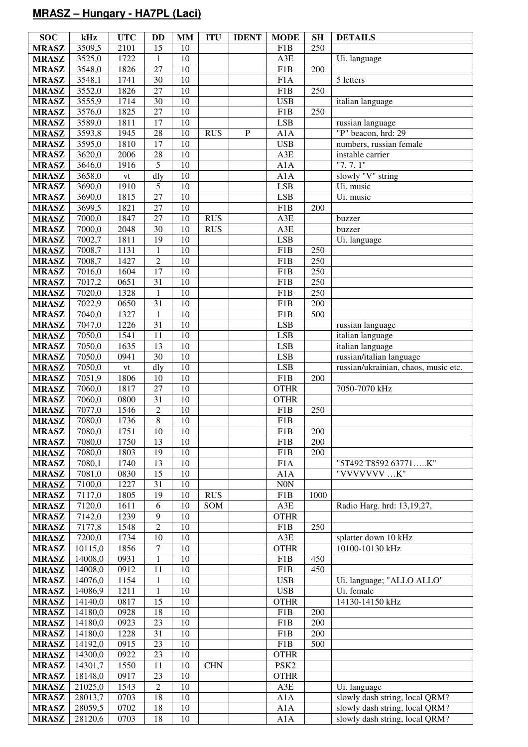# **MRASZ – Hungary - HA7PL (Laci)**

| <b>SOC</b>                   | kHz              | <b>UTC</b>    | DD                                | <b>MM</b>       | <b>ITU</b> | <b>IDENT</b> | <b>MODE</b>      | <b>SH</b>  | <b>DETAILS</b>                       |
|------------------------------|------------------|---------------|-----------------------------------|-----------------|------------|--------------|------------------|------------|--------------------------------------|
| <b>MRASZ</b>                 | 3509,5           | 2101          | 15                                | 10              |            |              | F <sub>1</sub> B | 250        |                                      |
| <b>MRASZ</b>                 | 3525,0           | 1722          | $\mathbf{1}$                      | 10              |            |              | A3E              |            | Ui. language                         |
| <b>MRASZ</b>                 | 3548,0           | 1826          | $\overline{27}$                   | 10              |            |              | F1B              | 200        |                                      |
| <b>MRASZ</b>                 | 3548,1           | 1741          | $\overline{30}$                   | 10              |            |              | F1A              |            | 5 letters                            |
| <b>MRASZ</b>                 | 3552,0           | 1826          | $\overline{27}$                   | 10              |            |              | F1B              | 250        |                                      |
| <b>MRASZ</b>                 | 3555,9           | 1714          | 30                                | 10              |            |              | <b>USB</b>       |            | italian language                     |
| <b>MRASZ</b>                 | 3576,0           | 1825          | $\overline{27}$                   | $\overline{10}$ |            |              | F1B              | 250        |                                      |
| <b>MRASZ</b>                 | 3589,0           | 1811          | $\overline{17}$                   | 10              |            |              | <b>LSB</b>       |            | russian language                     |
| <b>MRASZ</b>                 | 3593,8           | 1945          | 28                                | 10              | <b>RUS</b> | $\mathbf{P}$ | A1A              |            | "P" beacon, hrd: 29                  |
| <b>MRASZ</b>                 | 3595,0           | 1810          | 17                                | 10              |            |              | <b>USB</b>       |            | numbers, russian female              |
| <b>MRASZ</b>                 | 3620,0           | 2006          | 28                                | 10              |            |              | A3E              |            | instable carrier                     |
| <b>MRASZ</b>                 | 3646,0           | 1916          | $\overline{5}$                    | $\overline{10}$ |            |              | A1A              |            | "7.7.1"                              |
| <b>MRASZ</b>                 | 3658,0           | $\mathrm{vt}$ | dly                               | 10              |            |              | A1A              |            | slowly "V" string                    |
| <b>MRASZ</b>                 | 3690,0           | 1910          | 5                                 | 10              |            |              | <b>LSB</b>       |            | Ui. music                            |
| <b>MRASZ</b>                 | 3690,0           | 1815          | $\overline{27}$                   | 10              |            |              | <b>LSB</b>       |            | Ui. music                            |
| <b>MRASZ</b>                 | 3699,5           | 1821          | $\overline{27}$                   | 10              |            |              | F1B              | 200        |                                      |
| <b>MRASZ</b>                 | 7000,0           | 1847          | $\overline{27}$                   | 10              | <b>RUS</b> |              | A3E              |            | buzzer                               |
| <b>MRASZ</b>                 | 7000,0           | 2048          | $\overline{30}$                   | 10              | <b>RUS</b> |              | A3E              |            | buzzer                               |
| <b>MRASZ</b>                 | 7002,7           | 1811          | 19                                | 10              |            |              | <b>LSB</b>       |            | Ui. language                         |
| <b>MRASZ</b>                 | 7008,7           | 1131          | $\mathbf{1}$                      | 10              |            |              | F1B              | 250        |                                      |
| <b>MRASZ</b>                 | 7008,7           | 1427          | $\overline{2}$<br>$\overline{17}$ | 10<br>10        |            |              | F1B              | 250        |                                      |
| <b>MRASZ</b>                 | 7016,0<br>7017,2 | 1604<br>0651  | $\overline{31}$                   | 10              |            |              | F1B<br>F1B       | 250<br>250 |                                      |
| <b>MRASZ</b><br><b>MRASZ</b> | 7020,0           | 1328          | $\mathbf{1}$                      | 10              |            |              | F1B              | 250        |                                      |
| <b>MRASZ</b>                 | 7022,9           | 0650          | 31                                | 10              |            |              | F1B              | 200        |                                      |
| <b>MRASZ</b>                 | 7040,0           | 1327          | $\mathbf{1}$                      | 10              |            |              | F1B              | 500        |                                      |
| <b>MRASZ</b>                 | 7047,0           | 1226          | 31                                | 10              |            |              | <b>LSB</b>       |            | russian language                     |
| <b>MRASZ</b>                 | 7050,0           | 1541          | $\overline{11}$                   | 10              |            |              | <b>LSB</b>       |            | italian language                     |
| <b>MRASZ</b>                 | 7050,0           | 1635          | 13                                | 10              |            |              | <b>LSB</b>       |            | italian language                     |
| <b>MRASZ</b>                 | 7050,0           | 0941          | $\overline{30}$                   | $\overline{10}$ |            |              | <b>LSB</b>       |            | russian/italian language             |
| <b>MRASZ</b>                 | 7050,0           | ${\rm vt}$    | dly                               | 10              |            |              | <b>LSB</b>       |            | russian/ukrainian, chaos, music etc. |
| <b>MRASZ</b>                 | 7051,9           | 1806          | 10                                | 10              |            |              | F1B              | 200        |                                      |
| <b>MRASZ</b>                 | 7060,0           | 1817          | $\overline{27}$                   | 10              |            |              | <b>OTHR</b>      |            | 7050-7070 kHz                        |
| <b>MRASZ</b>                 | 7060,0           | 0800          | 31                                | 10              |            |              | <b>OTHR</b>      |            |                                      |
| <b>MRASZ</b>                 | 7077,0           | 1546          | $\overline{2}$                    | 10              |            |              | F1B              | 250        |                                      |
| <b>MRASZ</b>                 | 7080,0           | 1736          | $\,8\,$                           | $10\,$          |            |              | F1B              |            |                                      |
| <b>MRASZ</b>                 | 7080,0           | 1751          | 10                                | 10              |            |              | F1B              | $200\,$    |                                      |
| <b>MRASZ</b>                 | 7080,0           | 1750          | 13                                | 10              |            |              | F <sub>1</sub> B | 200        |                                      |
| <b>MRASZ</b>                 | 7080,0           | 1803          | 19                                | 10              |            |              | F1B              | 200        |                                      |
| <b>MRASZ</b>                 | 7080,1           | 1740          | 13                                | 10              |            |              | F1A              |            | "5T492 T8592 63771K"                 |
| <b>MRASZ</b>                 | 7081,0           | 0830          | 15                                | 10              |            |              | A1A              |            | "VVVVVVV K"                          |
| <b>MRASZ</b>                 | 7100,0           | 1227          | 31                                | 10              |            |              | N0N              |            |                                      |
| <b>MRASZ</b>                 | 7117,0           | 1805          | 19                                | 10              | <b>RUS</b> |              | F1B              | 1000       |                                      |
| <b>MRASZ</b>                 | 7120,0           | 1611          | 6<br>9                            | 10<br>10        | SOM        |              | A3E              |            | Radio Harg. hrd: 13,19,27,           |
| <b>MRASZ</b>                 | 7142,0           | 1239          | $\overline{2}$                    | 10              |            |              | <b>OTHR</b>      |            |                                      |
| <b>MRASZ</b><br><b>MRASZ</b> | 7177,8<br>7200,0 | 1548<br>1734  | 10                                | 10              |            |              | F1B<br>A3E       | 250        | splatter down 10 kHz                 |
| <b>MRASZ</b>                 | 10115,0          | 1856          | $\overline{7}$                    | 10              |            |              | <b>OTHR</b>      |            | 10100-10130 kHz                      |
| <b>MRASZ</b>                 | 14008,0          | 0931          | $\mathbf{1}$                      | 10              |            |              | F1B              | 450        |                                      |
| <b>MRASZ</b>                 | 14008,0          | 0912          | 11                                | 10              |            |              | F1B              | 450        |                                      |
| <b>MRASZ</b>                 | 14076,0          | 1154          | $\mathbf{1}$                      | 10              |            |              | <b>USB</b>       |            | Ui. language; "ALLO ALLO"            |
| <b>MRASZ</b>                 | 14086,9          | 1211          | $\mathbf{1}$                      | 10              |            |              | <b>USB</b>       |            | Ui. female                           |
| <b>MRASZ</b>                 | 14140,0          | 0817          | 15                                | 10              |            |              | <b>OTHR</b>      |            | 14130-14150 kHz                      |
| <b>MRASZ</b>                 | 14180,0          | 0928          | 18                                | 10              |            |              | F1B              | 200        |                                      |
| <b>MRASZ</b>                 | 14180,0          | 0923          | 23                                | 10              |            |              | F1B              | 200        |                                      |
| <b>MRASZ</b>                 | 14180,0          | 1228          | $\overline{31}$                   | 10              |            |              | F1B              | 200        |                                      |
| <b>MRASZ</b>                 | 14192,0          | 0915          | 23                                | 10              |            |              | F1B              | 500        |                                      |
| <b>MRASZ</b>                 | 14300,0          | 0922          | 23                                | 10              |            |              | <b>OTHR</b>      |            |                                      |
| <b>MRASZ</b>                 | 14301,7          | 1550          | 11                                | 10              | <b>CHN</b> |              | PSK <sub>2</sub> |            |                                      |
| <b>MRASZ</b>                 | 18148,0          | 0917          | 23                                | 10              |            |              | <b>OTHR</b>      |            |                                      |
| <b>MRASZ</b>                 | 21025,0          | 1543          | $\overline{c}$                    | 10              |            |              | A3E              |            | Ui. language                         |
| <b>MRASZ</b>                 | 28013,7          | 0703          | 18                                | 10              |            |              | A1A              |            | slowly dash string, local QRM?       |
| <b>MRASZ</b>                 | 28059,5          | 0702          | 18                                | 10              |            |              | A1A              |            | slowly dash string, local QRM?       |
| <b>MRASZ</b>                 | 28120,6          | 0703          | 18                                | 10              |            |              | A1A              |            | slowly dash string, local QRM?       |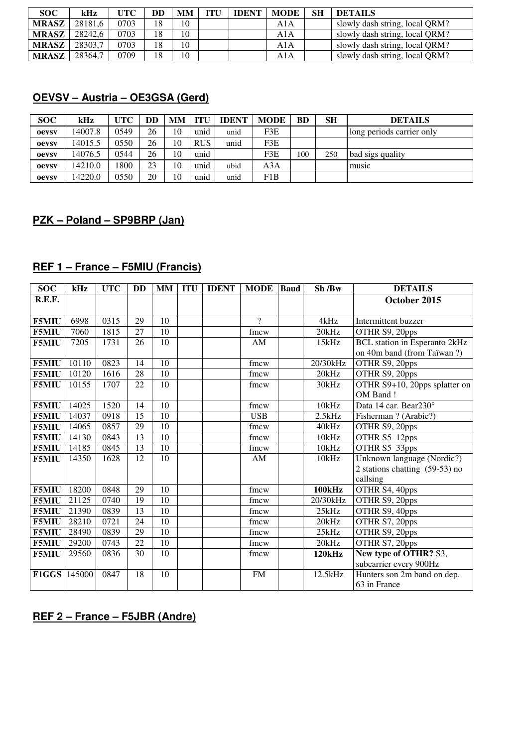| <b>SOC</b>   | kHz     | UTC  | DD | MМ | ITU | <b>IDENT</b> | <b>MODE</b> | <b>SH</b> | <b>DETAILS</b>                 |
|--------------|---------|------|----|----|-----|--------------|-------------|-----------|--------------------------------|
| <b>MRASZ</b> | 28181.6 | 0703 | 18 | 10 |     |              | A1A         |           | slowly dash string, local QRM? |
| <b>MRASZ</b> | 28242.6 | 0703 | 18 | 10 |     |              | A1A         |           | slowly dash string, local QRM? |
| <b>MRASZ</b> | 28303.7 | 0703 | 18 | 10 |     |              | A1A         |           | slowly dash string, local QRM? |
| <b>MRASZ</b> | 28364.7 | 0709 | 18 | 10 |     |              | A1A         |           | slowly dash string, local QRM? |

## **OEVSV – Austria – OE3GSA (Gerd)**

| <b>SOC</b>   | kHz     | UTC  | DD | <b>MM</b> | TTU        | <b>IDENT</b> | <b>MODE</b> | <b>BD</b> | <b>SH</b> | <b>DETAILS</b>            |
|--------------|---------|------|----|-----------|------------|--------------|-------------|-----------|-----------|---------------------------|
| oevsv        | 14007.8 | 0549 | 26 | 10        | unid       | unid         | F3E         |           |           | long periods carrier only |
| <b>Oevsv</b> | 14015.5 | 0550 | 26 | 10        | <b>RUS</b> | unid         | F3E         |           |           |                           |
| <b>Oevsv</b> | 14076.5 | 0544 | 26 | 10        | unid       |              | F3E         | 100       | 250       | bad sigs quality          |
| oevsv        | 14210.0 | 1800 | 23 | 10        | unid       | ubid         | A3A         |           |           | music                     |
| oevsv        | 14220.0 | 0550 | 20 | 10        | unid       | unid         | F1B         |           |           |                           |

# **PZK – Poland – SP9BRP (Jan)**

## **REF 1 – France – F5MIU (Francis)**

| <b>SOC</b>   | kHz    | <b>UTC</b> | <b>DD</b> |    | MM ITU | <b>IDENT</b> | <b>MODE</b>  | <b>Baud</b> | Sh/Bw         | <b>DETAILS</b>                       |
|--------------|--------|------------|-----------|----|--------|--------------|--------------|-------------|---------------|--------------------------------------|
| R.E.F.       |        |            |           |    |        |              |              |             |               | October 2015                         |
|              |        |            |           |    |        |              |              |             |               |                                      |
| <b>F5MIU</b> | 6998   | 0315       | 29        | 10 |        |              | $\gamma$     |             | 4kHz          | Intermittent buzzer                  |
| <b>F5MIU</b> | 7060   | 1815       | 27        | 10 |        |              | fmcw         |             | 20kHz         | OTHR S9, 20pps                       |
| <b>F5MIU</b> | 7205   | 1731       | 26        | 10 |        |              | AM           |             | 15kHz         | <b>BCL</b> station in Esperanto 2kHz |
|              |        |            |           |    |        |              |              |             |               | on 40m band (from Taïwan?)           |
| <b>F5MIU</b> | 10110  | 0823       | 14        | 10 |        |              | fmcw         |             | 20/30kHz      | OTHR S9, 20pps                       |
| <b>F5MIU</b> | 10120  | 1616       | 28        | 10 |        |              | ${\rm fmcw}$ |             | 20kHz         | OTHR S9, 20pps                       |
| <b>F5MIU</b> | 10155  | 1707       | 22        | 10 |        |              | fmcw         |             | 30kHz         | OTHR S9+10, 20pps splatter on        |
|              |        |            |           |    |        |              |              |             |               | OM Band!                             |
| <b>F5MIU</b> | 14025  | 1520       | 14        | 10 |        |              | ${\rm fmcw}$ |             | 10kHz         | Data 14 car. Bear230°                |
| <b>F5MIU</b> | 14037  | 0918       | 15        | 10 |        |              | <b>USB</b>   |             | 2.5kHz        | Fisherman ? (Arabic?)                |
| <b>F5MIU</b> | 14065  | 0857       | 29        | 10 |        |              | fmcw         |             | 40kHz         | OTHR S9, 20pps                       |
| <b>F5MIU</b> | 14130  | 0843       | 13        | 10 |        |              | fmcw         |             | 10kHz         | OTHR S5 12pps                        |
| <b>F5MIU</b> | 14185  | 0845       | 13        | 10 |        |              | fmcw         |             | 10kHz         | OTHR S5 33pps                        |
| <b>F5MIU</b> | 14350  | 1628       | 12        | 10 |        |              | AM           |             | 10kHz         | Unknown language (Nordic?)           |
|              |        |            |           |    |        |              |              |             |               | 2 stations chatting (59-53) no       |
|              |        |            |           |    |        |              |              |             |               | callsing                             |
| <b>F5MIU</b> | 18200  | 0848       | 29        | 10 |        |              | fmcw         |             | <b>100kHz</b> | OTHR S4, 40pps                       |
| <b>F5MIU</b> | 21125  | 0740       | 19        | 10 |        |              | fmcw         |             | 20/30kHz      | OTHR S9, 20pps                       |
| <b>F5MIU</b> | 21390  | 0839       | 13        | 10 |        |              | $f$ mcw      |             | 25kHz         | OTHR S9, 40pps                       |
| <b>F5MIU</b> | 28210  | 0721       | 24        | 10 |        |              | fmcw         |             | 20kHz         | OTHR S7, 20pps                       |
| <b>F5MIU</b> | 28490  | 0839       | 29        | 10 |        |              | fmcw         |             | 25kHz         | OTHR S9, 20pps                       |
| <b>F5MIU</b> | 29200  | 0743       | 22        | 10 |        |              | fmcw         |             | 20kHz         | OTHR S7, 20pps                       |
| <b>F5MIU</b> | 29560  | 0836       | 30        | 10 |        |              | fmcw         |             | 120kHz        | New type of OTHR? S3,                |
|              |        |            |           |    |        |              |              |             |               | subcarrier every 900Hz               |
| F1GGS        | 145000 | 0847       | 18        | 10 |        |              | FM           |             | 12.5kHz       | Hunters son 2m band on dep.          |
|              |        |            |           |    |        |              |              |             |               | 63 in France                         |

**REF 2 – France – F5JBR (Andre)**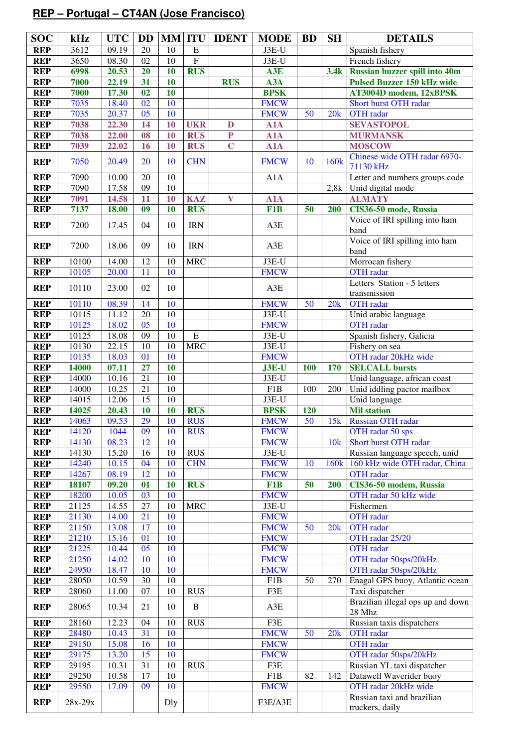# **REP – Portugal – CT4AN (Jose Francisco)**

| <b>SOC</b>               | kHz            | <b>UTC</b>    | <b>DD</b>       |          |                          | <b>MM ITU DENT</b>      | <b>MODE</b>                | <b>BD</b>              | <b>SH</b>        | <b>DETAILS</b>                                |
|--------------------------|----------------|---------------|-----------------|----------|--------------------------|-------------------------|----------------------------|------------------------|------------------|-----------------------------------------------|
| <b>REP</b>               | 3612           | 09.19         | 20              | 10       | $\mathbf E$              |                         | $J3E-U$                    |                        |                  | Spanish fishery                               |
| <b>REP</b>               | 3650           | 08.30         | 02              | 10       | $\overline{F}$           |                         | J3E-U                      |                        |                  | French fishery                                |
| <b>REP</b>               | 6998           | 20.53         | 20              | 10       | <b>RUS</b>               |                         | A3E                        |                        | 3.4k             | <b>Russian buzzer spill into 40m</b>          |
| <b>REP</b>               | 7000           | 22.19         | 31              | 10       |                          | <b>RUS</b>              | A3A                        |                        |                  | <b>Pulsed Buzzer 150 kHz wide</b>             |
| <b>REP</b>               | 7000           | 17.30         | 02              | 10       |                          |                         | <b>BPSK</b>                |                        |                  | AT3004D modem, 12xBPSK                        |
| <b>REP</b>               | 7035           | 18.40         | 02              | 10       |                          |                         | <b>FMCW</b>                |                        |                  | Short burst OTH radar                         |
| <b>REP</b>               | 7035           | 20.37         | 05              | 10       |                          |                         | <b>FMCW</b>                | 50                     | 20k              | <b>OTH</b> radar                              |
| <b>REP</b>               | 7038           | 22.30         | 14              | 10       | <b>UKR</b>               | $\mathbf D$             | A1A                        |                        |                  | <b>SEVASTOPOL</b>                             |
| <b>REP</b>               | 7038           | 22.00         | 08              | 10       | <b>RUS</b>               | ${\bf P}$               | A1A                        |                        |                  | <b>MURMANSK</b>                               |
| <b>REP</b>               | 7039           | 22.02         | 16              | 10       | <b>RUS</b>               | $\overline{C}$          | $\overline{A}1A$           |                        |                  | <b>MOSCOW</b>                                 |
| <b>REP</b>               | 7050           | 20.49         | 20              | 10       | <b>CHN</b>               |                         | <b>FMCW</b>                | 10                     | 160k             | Chinese wide OTH radar 6970-<br>71130 kHz     |
| <b>REP</b>               | 7090           | 10.00         | $20\,$          | 10       |                          |                         | A1A                        |                        |                  | Letter and numbers groups code                |
| <b>REP</b>               | 7090           | 17.58         | 09              | $10\,$   |                          |                         |                            |                        | 2,8k             | Unid digital mode                             |
| <b>REP</b>               | 7091           | 14.58         | 11              | 10       | <b>KAZ</b>               | $\overline{\mathbf{V}}$ | A1A                        |                        |                  | <b>ALMATY</b>                                 |
| <b>REP</b>               | 7137           | 18.00         | 09              | 10       | <b>RUS</b>               |                         | F <sub>1</sub> B           | 50                     | 200              | CIS36-50 mode, Russia                         |
| <b>REP</b>               | 7200           | 17.45         | 04              | 10       | <b>IRN</b>               |                         | A3E                        |                        |                  | Voice of IRI spilling into ham<br>band        |
| <b>REP</b>               | 7200           | 18.06         | 09              | 10       | <b>IRN</b>               |                         | A3E                        |                        |                  | Voice of IRI spilling into ham<br>band        |
| <b>REP</b>               | 10100          | 14.00         | 12              | 10       | <b>MRC</b>               |                         | $J3E-U$                    |                        |                  | Morrocan fishery                              |
| <b>REP</b>               | 10105          | 20.00         | 11              | 10       |                          |                         | <b>FMCW</b>                |                        |                  | <b>OTH</b> radar                              |
| <b>REP</b>               | 10110          | 23.00         | 02              | 10       |                          |                         | A3E                        |                        |                  | Letters Station - 5 letters<br>transmission   |
| <b>REP</b>               | 10110          | 08.39         | 14              | 10       |                          |                         | <b>FMCW</b>                | 50                     | 20k              | <b>OTH</b> radar                              |
| <b>REP</b>               | 10115          | 11.12         | 20              | $10\,$   |                          |                         | J3E-U                      |                        |                  | Unid arabic language                          |
| <b>REP</b>               | 10125          | 18.02         | $\overline{05}$ | 10       |                          |                         | <b>FMCW</b>                |                        |                  | <b>OTH</b> radar                              |
| <b>REP</b>               | 10125          | 18.08         | 09              | 10       | $\overline{E}$           |                         | J3E-U                      |                        |                  | Spanish fishery, Galicia                      |
| <b>REP</b>               | 10130          | 22.15         | 10              | 10       | $\overline{\text{MRC}}$  |                         | J3E-U                      |                        |                  | Fishery on sea                                |
| <b>REP</b>               | 10135          | 18.03         | 01              | 10       |                          |                         | <b>FMCW</b>                |                        |                  | OTH radar 20kHz wide                          |
| <b>REP</b>               | 14000          | 07.11         | $\overline{27}$ | 10       |                          |                         | $J3E-U$                    | <b>100</b>             | 170              | <b>SELCALL bursts</b>                         |
| <b>REP</b>               | 14000          | 10.16         | $\overline{21}$ | $10\,$   |                          |                         | J3E-U                      |                        |                  | Unid language, african coast                  |
| <b>REP</b>               | 14000          | 10.25         | $\overline{21}$ | $10\,$   |                          |                         | F1B                        | 100                    | 200              | Unid iddling pactor mailbox                   |
| <b>REP</b>               | 14015          | 12.06         | 15              | 10       |                          |                         | J3E-U                      |                        |                  | Unid language                                 |
| <b>REP</b>               | 14025          | 20.43         | 10              | 10       | <b>RUS</b>               |                         | <b>BPSK</b>                | 120<br>$\overline{50}$ |                  | <b>Mil station</b>                            |
| <b>REP</b><br><b>REP</b> | 14063          | 09.53         | 29<br>09        | 10<br>10 | <b>RUS</b><br><b>RUS</b> |                         | <b>FMCW</b>                |                        | 15k              | Russian OTH radar<br>OTH radar 50 sps         |
| <b>REP</b>               | 14120<br>14130 | 1044<br>08.23 | 12              | 10       |                          |                         | <b>FMCW</b><br><b>FMCW</b> |                        | 10k              | Short burst OTH radar                         |
| <b>REP</b>               | 14130          | 15.20         | 16              | $10\,$   | <b>RUS</b>               |                         | J3E-U                      |                        |                  | Russian language speech, unid                 |
| <b>REP</b>               | 14240          | 10.15         | 04              | 10       | <b>CHN</b>               |                         | <b>FMCW</b>                | 10                     | 160 <sub>k</sub> | 160 kHz wide OTH radar, China                 |
| <b>REP</b>               | 14267          | 08.19         | 12              | 10       |                          |                         | <b>FMCW</b>                |                        |                  | <b>OTH</b> radar                              |
| <b>REP</b>               | 18107          | 09.20         | 01              | 10       | <b>RUS</b>               |                         | F1B                        | 50                     | 200              | CIS36-50 modem, Russia                        |
| <b>REP</b>               | 18200          | 10.05         | 03              | 10       |                          |                         | <b>FMCW</b>                |                        |                  | OTH radar 50 kHz wide                         |
| <b>REP</b>               | 21125          | 14.55         | 27              | 10       | <b>MRC</b>               |                         | J3E-U                      |                        |                  | Fishermen                                     |
| <b>REP</b>               | 21130          | 14.00         | 21              | 10       |                          |                         | <b>FMCW</b>                |                        |                  | <b>OTH</b> radar                              |
| <b>REP</b>               | 21150          | 13.08         | 17              | 10       |                          |                         | <b>FMCW</b>                | 50                     | 20k              | OTH radar                                     |
| <b>REP</b>               | 21210          | 15.16         | 01              | 10       |                          |                         | <b>FMCW</b>                |                        |                  | OTH radar 25/20                               |
| <b>REP</b>               | 21225          | 10.44         | 05              | 10       |                          |                         | <b>FMCW</b>                |                        |                  | <b>OTH</b> radar                              |
| <b>REP</b>               | 21250          | 14.02         | 10              | 10       |                          |                         | <b>FMCW</b>                |                        |                  | OTH radar 50sps/20kHz                         |
| <b>REP</b>               | 24950          | 18.47         | 10              | 10       |                          |                         | <b>FMCW</b>                |                        |                  | OTH radar 50sps/20kHz                         |
| <b>REP</b>               | 28050          | 10.59         | 30              | 10       |                          |                         | F1B                        | 50                     | 270              | Enagal GPS buoy, Atlantic ocean               |
| <b>REP</b>               | 28060          | 11.00         | 07              | 10       | <b>RUS</b>               |                         | F3E                        |                        |                  | Taxi dispatcher                               |
| <b>REP</b>               | 28065          | 10.34         | 21              | 10       | $\, {\bf B}$             |                         | A3E                        |                        |                  | Brazilian illegal ops up and down<br>28 Mhz   |
| <b>REP</b>               | 28160          | 12.23         | 04              | 10       | <b>RUS</b>               |                         | F3E                        |                        |                  | Russian taxis dispatchers                     |
| <b>REP</b>               | 28480          | 10.43         | 31              | 10       |                          |                         | <b>FMCW</b>                | 50                     | 20k              | <b>OTH</b> radar                              |
| <b>REP</b>               | 29150          | 15.08         | 16              | 10       |                          |                         | <b>FMCW</b>                |                        |                  | <b>OTH</b> radar                              |
| <b>REP</b>               | 29175          | 13.20         | 15              | 10       |                          |                         | <b>FMCW</b>                |                        |                  | OTH radar 50sps/20kHz                         |
| <b>REP</b>               | 29195          | 10.31         | 31              | 10       | <b>RUS</b>               |                         | F3E                        |                        |                  | Russian YL taxi dispatcher                    |
| <b>REP</b>               | 29250          | 10.58         | 17              | 10       |                          |                         | F1B                        | 82                     | 142              | Datawell Waverider buoy                       |
| <b>REP</b>               | 29550          | 17.09         | 09              | 10       |                          |                         | <b>FMCW</b>                |                        |                  | OTH radar 20kHz wide                          |
| <b>REP</b>               | $28x-29x$      |               |                 | Dly      |                          |                         | F3E/A3E                    |                        |                  | Russian taxi and brazilian<br>truckers, daily |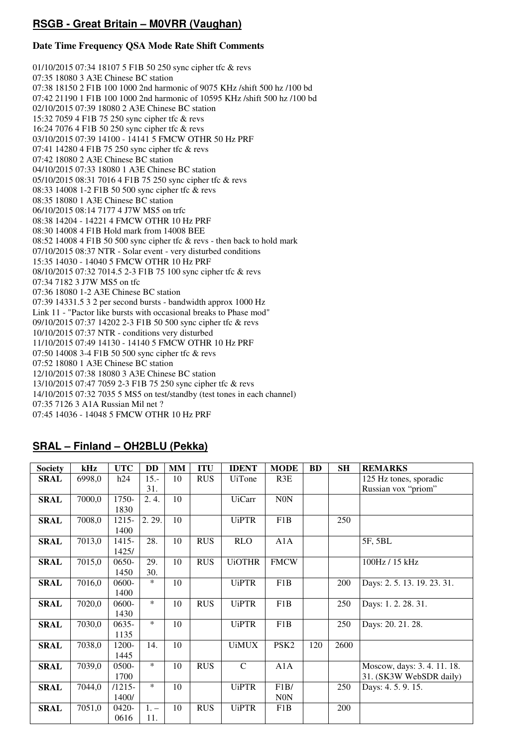## **RSGB - Great Britain – M0VRR (Vaughan)**

#### **Date Time Frequency QSA Mode Rate Shift Comments**

01/10/2015 07:34 18107 5 F1B 50 250 sync cipher tfc & revs 07:35 18080 3 A3E Chinese BC station 07:38 18150 2 F1B 100 1000 2nd harmonic of 9075 KHz /shift 500 hz /100 bd 07:42 21190 1 F1B 100 1000 2nd harmonic of 10595 KHz /shift 500 hz /100 bd 02/10/2015 07:39 18080 2 A3E Chinese BC station 15:32 7059 4 F1B 75 250 sync cipher tfc & revs 16:24 7076 4 F1B 50 250 sync cipher tfc & revs 03/10/2015 07:39 14100 - 14141 5 FMCW OTHR 50 Hz PRF 07:41 14280 4 F1B 75 250 sync cipher tfc & revs 07:42 18080 2 A3E Chinese BC station 04/10/2015 07:33 18080 1 A3E Chinese BC station 05/10/2015 08:31 7016 4 F1B 75 250 sync cipher tfc & revs 08:33 14008 1-2 F1B 50 500 sync cipher tfc & revs 08:35 18080 1 A3E Chinese BC station 06/10/2015 08:14 7177 4 J7W MS5 on trfc 08:38 14204 - 14221 4 FMCW OTHR 10 Hz PRF 08:30 14008 4 F1B Hold mark from 14008 BEE  $08:52$  14008 4 F1B 50 500 sync cipher tfc  $&$  revs - then back to hold mark 07/10/2015 08:37 NTR - Solar event - very disturbed conditions 15:35 14030 - 14040 5 FMCW OTHR 10 Hz PRF 08/10/2015 07:32 7014.5 2-3 F1B 75 100 sync cipher tfc & revs 07:34 7182 3 J7W MS5 on tfc 07:36 18080 1-2 A3E Chinese BC station 07:39 14331.5 3 2 per second bursts - bandwidth approx 1000 Hz Link 11 - "Pactor like bursts with occasional breaks to Phase mod" 09/10/2015 07:37 14202 2-3 F1B 50 500 sync cipher tfc & revs 10/10/2015 07:37 NTR - conditions very disturbed 11/10/2015 07:49 14130 - 14140 5 FMCW OTHR 10 Hz PRF 07:50 14008 3-4 F1B 50 500 sync cipher tfc & revs 07:52 18080 1 A3E Chinese BC station 12/10/2015 07:38 18080 3 A3E Chinese BC station 13/10/2015 07:47 7059 2-3 F1B 75 250 sync cipher tfc & revs 14/10/2015 07:32 7035 5 MS5 on test/standby (test tones in each channel) 07:35 7126 3 A1A Russian Mil net ? 07:45 14036 - 14048 5 FMCW OTHR 10 Hz PRF

## **SRAL – Finland – OH2BLU (Pekka)**

| <b>Society</b> | kHz    | <b>UTC</b> | <b>DD</b> | <b>MM</b> | <b>ITU</b> | <b>IDENT</b>  | <b>MODE</b>      | <b>BD</b> | <b>SH</b> | <b>REMARKS</b>           |
|----------------|--------|------------|-----------|-----------|------------|---------------|------------------|-----------|-----------|--------------------------|
| SRAL           | 6998,0 | h24        | $15.-$    | 10        | <b>RUS</b> | <b>UiTone</b> | R3E              |           |           | 125 Hz tones, sporadic   |
|                |        |            | 31.       |           |            |               |                  |           |           | Russian vox "priom"      |
| <b>SRAL</b>    | 7000,0 | 1750-      | 2.4.      | 10        |            | <b>UiCarr</b> | N0N              |           |           |                          |
|                |        | 1830       |           |           |            |               |                  |           |           |                          |
| <b>SRAL</b>    | 7008,0 | $1215 -$   | 2.29.     | 10        |            | <b>UiPTR</b>  | F1B              |           | 250       |                          |
|                |        | 1400       |           |           |            |               |                  |           |           |                          |
| SRAL           | 7013,0 | 1415-      | 28.       | 10        | <b>RUS</b> | <b>RLO</b>    | A1A              |           |           | 5F, 5BL                  |
|                |        | 1425/      |           |           |            |               |                  |           |           |                          |
| <b>SRAL</b>    | 7015,0 | $0650-$    | 29.       | 10        | <b>RUS</b> | <b>UiOTHR</b> | <b>FMCW</b>      |           |           | 100Hz / 15 kHz           |
|                |        | 1450       | 30.       |           |            |               |                  |           |           |                          |
| <b>SRAL</b>    | 7016,0 | $0600 -$   | $\ast$    | 10        |            | <b>UiPTR</b>  | F1B              |           | 200       | Days: 2.5.13.19.23.31.   |
|                |        | 1400       |           |           |            |               |                  |           |           |                          |
| <b>SRAL</b>    | 7020,0 | $0600 -$   | $\ast$    | 10        | <b>RUS</b> | <b>UiPTR</b>  | F1B              |           | 250       | Days: 1.2.28.31.         |
|                |        | 1430       |           |           |            |               |                  |           |           |                          |
| SRAL           | 7030,0 | $0635 -$   | $\ast$    | 10        |            | <b>UiPTR</b>  | F1B              |           | 250       | Days: 20. 21. 28.        |
|                |        | 1135       |           |           |            |               |                  |           |           |                          |
| <b>SRAL</b>    | 7038,0 | 1200-      | 14.       | 10        |            | <b>UiMUX</b>  | PSK <sub>2</sub> | 120       | 2600      |                          |
|                |        | 1445       |           |           |            |               |                  |           |           |                          |
| <b>SRAL</b>    | 7039,0 | 0500-      | $\ast$    | 10        | <b>RUS</b> | $\mathsf{C}$  | A1A              |           |           | Moscow, days: 3.4.11.18. |
|                |        | 1700       |           |           |            |               |                  |           |           | 31. (SK3W WebSDR daily)  |
| <b>SRAL</b>    | 7044,0 | $/1215-$   | $\ast$    | 10        |            | <b>UiPTR</b>  | F1B/             |           | 250       | Days: 4.5.9.15.          |
|                |        | 1400/      |           |           |            |               | <b>NON</b>       |           |           |                          |
| <b>SRAL</b>    | 7051,0 | 0420-      | $1. -$    | 10        | <b>RUS</b> | <b>UiPTR</b>  | F1B              |           | 200       |                          |
|                |        | 0616       | 11.       |           |            |               |                  |           |           |                          |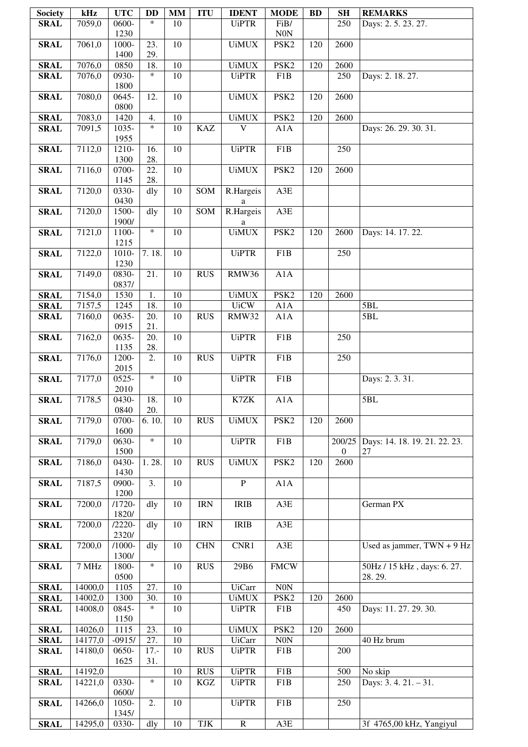| <b>Society</b>             | kHz                | <b>UTC</b>         | <b>DD</b>         | <b>MM</b>       | <b>ITU</b>                         | <b>IDENT</b>                  | <b>MODE</b>             | <b>BD</b> | <b>SH</b>          | <b>REMARKS</b>                      |
|----------------------------|--------------------|--------------------|-------------------|-----------------|------------------------------------|-------------------------------|-------------------------|-----------|--------------------|-------------------------------------|
| <b>SRAL</b>                | 7059,0             | 0600-              | $\ast$            | 10              |                                    | <b>UiPTR</b>                  | FiB/                    |           | 250                | Days: 2.5.23.27.                    |
|                            |                    | 1230               |                   |                 |                                    |                               | <b>N0N</b>              |           |                    |                                     |
| <b>SRAL</b>                | 7061,0             | 1000-<br>1400      | 23.<br>29.        | 10              |                                    | <b>UiMUX</b>                  | PSK2                    | 120       | 2600               |                                     |
| <b>SRAL</b>                | 7076,0             | 0850               | 18.               | $\overline{10}$ |                                    | <b>UiMUX</b>                  | PSK <sub>2</sub>        | 120       | 2600               |                                     |
| <b>SRAL</b>                | 7076,0             | 0930-              | $\ast$            | $\overline{10}$ |                                    | <b>UiPTR</b>                  | F1B                     |           | 250                | Days: 2. 18. 27.                    |
|                            |                    | 1800               |                   |                 |                                    |                               |                         |           |                    |                                     |
| <b>SRAL</b>                | 7080,0             | 0645-<br>0800      | 12.               | 10              |                                    | <b>UiMUX</b>                  | PSK <sub>2</sub>        | 120       | 2600               |                                     |
| <b>SRAL</b>                | 7083,0             | 1420               | 4.                | 10              |                                    | <b>UiMUX</b>                  | PSK <sub>2</sub>        | 120       | 2600               |                                     |
| <b>SRAL</b>                | 7091,5             | 1035-              | $\ast$            | 10              | <b>KAZ</b>                         | $\overline{\mathsf{V}}$       | A1A                     |           |                    | Days: 26. 29. 30. 31.               |
|                            |                    | 1955               |                   |                 |                                    |                               |                         |           |                    |                                     |
| <b>SRAL</b>                | 7112,0             | 1210-<br>1300      | 16.<br>28.        | $\overline{10}$ |                                    | <b>UiPTR</b>                  | F1B                     |           | 250                |                                     |
| <b>SRAL</b>                | 7116,0             | 0700-              | 22.               | $\overline{10}$ |                                    | <b>UiMUX</b>                  | PSK <sub>2</sub>        | 120       | 2600               |                                     |
|                            |                    | 1145               | 28.               |                 |                                    |                               |                         |           |                    |                                     |
| <b>SRAL</b>                | 7120,0             | 0330-              | dly               | 10              | SOM                                | R.Hargeis                     | A3E                     |           |                    |                                     |
| <b>SRAL</b>                | 7120,0             | 0430<br>1500-      | $\overline{d}$ ly | $\overline{10}$ | SOM                                | a<br>R.Hargeis                | A3E                     |           |                    |                                     |
|                            |                    | 1900/              |                   |                 |                                    | a                             |                         |           |                    |                                     |
| <b>SRAL</b>                | 7121,0             | 1100-              | $\ast$            | 10              |                                    | <b>UiMUX</b>                  | PSK <sub>2</sub>        | 120       | 2600               | Days: 14. 17. 22.                   |
| <b>SRAL</b>                | 7122,0             | 1215<br>1010-      | 7.18.             | 10              |                                    | <b>UiPTR</b>                  | F1B                     |           | 250                |                                     |
|                            |                    | 1230               |                   |                 |                                    |                               |                         |           |                    |                                     |
| <b>SRAL</b>                | 7149,0             | 0830-              | 21.               | 10              | <b>RUS</b>                         | <b>RMW36</b>                  | A1A                     |           |                    |                                     |
|                            |                    | 0837/              |                   |                 |                                    |                               |                         |           |                    |                                     |
| <b>SRAL</b><br><b>SRAL</b> | 7154,0<br>7157,5   | 1530<br>1245       | 1.<br>18.         | 10<br>10        |                                    | <b>UiMUX</b><br><b>UiCW</b>   | PSK <sub>2</sub><br>A1A | 120       | 2600               | 5BL                                 |
| <b>SRAL</b>                | 7160,0             | 0635-              | 20.               | 10              | <b>RUS</b>                         | RMW32                         | A1A                     |           |                    | 5BL                                 |
|                            |                    | 0915               | 21.               |                 |                                    |                               |                         |           |                    |                                     |
| <b>SRAL</b>                | 7162,0             | 0635-              | 20.               | 10              |                                    | <b>UiPTR</b>                  | F <sub>1</sub> B        |           | 250                |                                     |
| <b>SRAL</b>                | 7176,0             | 1135<br>1200-      | 28.<br>2.         | 10              | <b>RUS</b>                         | <b>UiPTR</b>                  | F1B                     |           | 250                |                                     |
|                            |                    | 2015               |                   |                 |                                    |                               |                         |           |                    |                                     |
| <b>SRAL</b>                | 7177,0             | 0525-              | $\ast$            | 10              |                                    | <b>UiPTR</b>                  | F1B                     |           |                    | Days: 2.3.31.                       |
|                            |                    | 2010               |                   |                 |                                    |                               |                         |           |                    |                                     |
| <b>SRAL</b>                | 7178,5             | 0430-<br>0840      | 18.<br>20.        | 10              |                                    | K7ZK                          | A1A                     |           |                    | 5BL                                 |
| <b>SRAL</b>                | 7179,0             | 0700-              | 6.10.             | 10              | <b>RUS</b>                         | <b>UiMUX</b>                  | PSK <sub>2</sub>        | 120       | 2600               |                                     |
|                            |                    | 1600               |                   |                 |                                    |                               |                         |           |                    |                                     |
| <b>SRAL</b>                | 7179,0             | 0630-<br>1500      | $\ast$            | 10              |                                    | <b>UiPTR</b>                  | F1B                     |           | 200/25<br>$\left($ | Days: 14. 18. 19. 21. 22. 23.<br>27 |
| <b>SRAL</b>                | 7186,0             | 0430-              | 1.28.             | 10              | <b>RUS</b>                         | <b>UiMUX</b>                  | PSK <sub>2</sub>        | 120       | 2600               |                                     |
|                            |                    | 1430               |                   |                 |                                    |                               |                         |           |                    |                                     |
| <b>SRAL</b>                | 7187,5             | 0900-              | 3.                | 10              |                                    | $\, {\bf P}$                  | A1A                     |           |                    |                                     |
| <b>SRAL</b>                | 7200,0             | 1200<br>$/1720-$   | dly               | 10              | $\ensuremath{\mathsf{IRN}}\xspace$ | <b>IRIB</b>                   | A3E                     |           |                    | German PX                           |
|                            |                    | 1820/              |                   |                 |                                    |                               |                         |           |                    |                                     |
| <b>SRAL</b>                | 7200,0             | $12220 -$          | dly               | 10              | $\ensuremath{\mathsf{IRN}}\xspace$ | <b>IRIB</b>                   | A3E                     |           |                    |                                     |
| <b>SRAL</b>                | 7200,0             | 2320/<br>$/1000 -$ | dly               | 10              | <b>CHN</b>                         | CNR1                          | A3E                     |           |                    | Used as jammer, $TWN + 9 Hz$        |
|                            |                    | 1300/              |                   |                 |                                    |                               |                         |           |                    |                                     |
| <b>SRAL</b>                | 7 MHz              | 1800-              | $\ast$            | 10              | <b>RUS</b>                         | 29B6                          | <b>FMCW</b>             |           |                    | 50Hz / 15 kHz, days: 6.27.          |
|                            |                    | 0500               |                   |                 |                                    |                               |                         |           |                    | 28.29.                              |
| <b>SRAL</b><br><b>SRAL</b> | 14000,0<br>14002,0 | 1105<br>1300       | 27.<br>30.        | 10<br>10        |                                    | <b>UiCarr</b><br><b>UiMUX</b> | N0N<br>PSK <sub>2</sub> | 120       | 2600               |                                     |
| <b>SRAL</b>                | 14008,0            | 0845-              | $\ast$            | 10              |                                    | <b>UiPTR</b>                  | F1B                     |           | 450                | Days: 11. 27. 29. 30.               |
|                            |                    | 1150               |                   |                 |                                    |                               |                         |           |                    |                                     |
| <b>SRAL</b>                | 14026,0            | 1115               | 23.               | 10              |                                    | <b>UiMUX</b>                  | PSK <sub>2</sub>        | 120       | 2600               |                                     |
| <b>SRAL</b><br><b>SRAL</b> | 14177,0<br>14180,0 | $-0915/$<br>0650-  | 27.<br>$17. -$    | 10<br>10        | <b>RUS</b>                         | <b>UiCarr</b><br><b>UiPTR</b> | $\rm{N0N}$<br>F1B       |           | 200                | 40 Hz brum                          |
|                            |                    | 1625               | 31.               |                 |                                    |                               |                         |           |                    |                                     |
| <b>SRAL</b>                | 14192,0            |                    |                   | 10              | <b>RUS</b>                         | <b>UiPTR</b>                  | $\overline{F1}B$        |           | 500                | No skip                             |
| <b>SRAL</b>                | 14221,0            | 0330-              | $\ast$            | 10              | $\rm KGZ$                          | <b>UiPTR</b>                  | F1B                     |           | 250                | Days: 3.4.21. - 31.                 |
| <b>SRAL</b>                | 14266,0            | 0600/<br>1050-     | 2.                | 10              |                                    | <b>UiPTR</b>                  | F1B                     |           | 250                |                                     |
|                            |                    | 1345/              |                   |                 |                                    |                               |                         |           |                    |                                     |
| <b>SRAL</b>                | 14295,0            | 0330-              | dly               | 10              | TJK                                | ${\bf R}$                     | A3E                     |           |                    | 3f 4765,00 kHz, Yangiyul            |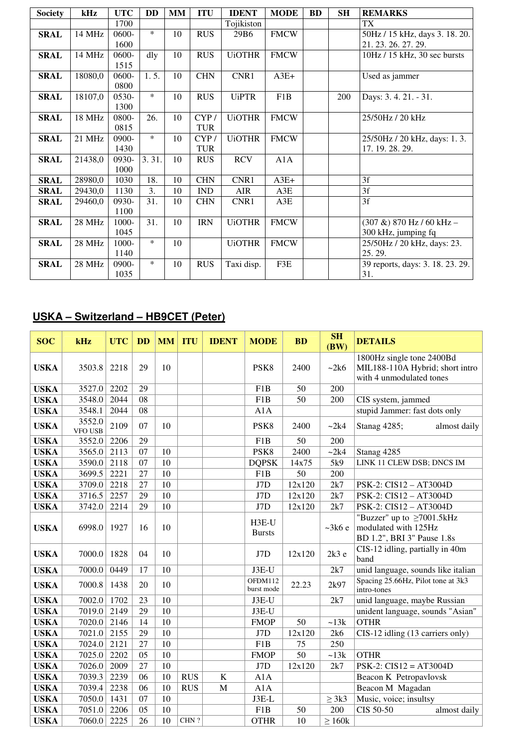| <b>Society</b> | kHz     | <b>UTC</b> | DD     | MM | <b>ITU</b> | <b>IDENT</b>     | <b>MODE</b> | <b>BD</b> | <b>SH</b> | <b>REMARKS</b>                   |
|----------------|---------|------------|--------|----|------------|------------------|-------------|-----------|-----------|----------------------------------|
|                |         | 1700       |        |    |            | Tojikiston       |             |           |           | TX                               |
| <b>SRAL</b>    | 14 MHz  | 0600-      | $\ast$ | 10 | <b>RUS</b> | 29B <sub>6</sub> | <b>FMCW</b> |           |           | 50Hz / 15 kHz, days 3. 18. 20.   |
|                |         | 1600       |        |    |            |                  |             |           |           | 21.23.26.27.29.                  |
| <b>SRAL</b>    | 14 MHz  | 0600-      | dly    | 10 | <b>RUS</b> | <b>UiOTHR</b>    | <b>FMCW</b> |           |           | 10Hz / 15 kHz, 30 sec bursts     |
|                |         | 1515       |        |    |            |                  |             |           |           |                                  |
| <b>SRAL</b>    | 18080,0 | 0600-      | 1.5.   | 10 | <b>CHN</b> | CNR1             | $A3E+$      |           |           | Used as jammer                   |
|                |         | 0800       |        |    |            |                  |             |           |           |                                  |
| <b>SRAL</b>    | 18107,0 | $0530-$    | $\ast$ | 10 | <b>RUS</b> | <b>UiPTR</b>     | F1B         |           | 200       | Days: 3.4.21. - 31.              |
|                |         | 1300       |        |    |            |                  |             |           |           |                                  |
| <b>SRAL</b>    | 18 MHz  | 0800-      | 26.    | 10 | CYP/       | <b>UiOTHR</b>    | <b>FMCW</b> |           |           | 25/50Hz / 20 kHz                 |
|                |         | 0815       |        |    | <b>TUR</b> |                  |             |           |           |                                  |
| <b>SRAL</b>    | 21 MHz  | 0900-      | $\ast$ | 10 | CYP/       | <b>UiOTHR</b>    | <b>FMCW</b> |           |           | 25/50Hz / 20 kHz, days: 1.3.     |
|                |         | 1430       |        |    | <b>TUR</b> |                  |             |           |           | 17. 19. 28. 29.                  |
| <b>SRAL</b>    | 21438,0 | 0930-      | 3.31.  | 10 | <b>RUS</b> | <b>RCV</b>       | A1A         |           |           |                                  |
|                |         | 1000       |        |    |            |                  |             |           |           |                                  |
| <b>SRAL</b>    | 28980,0 | 1030       | 18.    | 10 | <b>CHN</b> | CNR1             | $A3E+$      |           |           | 3f                               |
| <b>SRAL</b>    | 29430,0 | 1130       | 3.     | 10 | IND        | AIR              | A3E         |           |           | 3f                               |
| <b>SRAL</b>    | 29460,0 | 0930-      | 31.    | 10 | <b>CHN</b> | CNR1             | A3E         |           |           | 3f                               |
|                |         | 1100       |        |    |            |                  |             |           |           |                                  |
| <b>SRAL</b>    | 28 MHz  | 1000-      | 31.    | 10 | <b>IRN</b> | <b>UiOTHR</b>    | <b>FMCW</b> |           |           | $(307 \&) 870$ Hz / 60 kHz -     |
|                |         | 1045       |        |    |            |                  |             |           |           | 300 kHz, jumping fq              |
| <b>SRAL</b>    | 28 MHz  | 1000-      | $\ast$ | 10 |            | <b>UiOTHR</b>    | <b>FMCW</b> |           |           | 25/50Hz / 20 kHz, days: 23.      |
|                |         | 1140       |        |    |            |                  |             |           |           | 25.29.                           |
| <b>SRAL</b>    | 28 MHz  | 0900-      | $\ast$ | 10 | <b>RUS</b> | Taxi disp.       | F3E         |           |           | 39 reports, days: 3. 18. 23. 29. |
|                |         | 1035       |        |    |            |                  |             |           |           | 31.                              |

# **USKA – Switzerland – HB9CET (Peter)**

| <b>SOC</b>  | kHz                      | <b>UTC</b> | <b>DD</b> | <b>MM</b> | <b>ITU</b> | <b>IDENT</b> | <b>MODE</b>            | <b>BD</b> | <b>SH</b><br>(BW) | <b>DETAILS</b>                                                                           |
|-------------|--------------------------|------------|-----------|-----------|------------|--------------|------------------------|-----------|-------------------|------------------------------------------------------------------------------------------|
| <b>USKA</b> | 3503.8                   | 2218       | 29        | 10        |            |              | PSK <sub>8</sub>       | 2400      | ~2k6              | 1800Hz single tone 2400Bd<br>MIL188-110A Hybrid; short intro<br>with 4 unmodulated tones |
| <b>USKA</b> | 3527.0                   | 2202       | 29        |           |            |              | F1B                    | 50        | 200               |                                                                                          |
| <b>USKA</b> | 3548.0                   | 2044       | 08        |           |            |              | F <sub>1</sub> B       | 50        | 200               | CIS system, jammed                                                                       |
| <b>USKA</b> | 3548.1                   | 2044       | 08        |           |            |              | A1A                    |           |                   | stupid Jammer: fast dots only                                                            |
| <b>USKA</b> | 3552.0<br><b>VFO USB</b> | 2109       | 07        | 10        |            |              | PSK8                   | 2400      | ~2k4              | Stanag 4285;<br>almost daily                                                             |
| <b>USKA</b> | 3552.0                   | 2206       | 29        |           |            |              | F1B                    | 50        | 200               |                                                                                          |
| <b>USKA</b> | 3565.0                   | 2113       | 07        | 10        |            |              | PSK8                   | 2400      | ~2k4              | Stanag 4285                                                                              |
| <b>USKA</b> | 3590.0                   | 2118       | 07        | 10        |            |              | <b>DQPSK</b>           | 14x75     | 5k9               | LINK 11 CLEW DSB; DNCS IM                                                                |
| <b>USKA</b> | 3699.5                   | 2221       | 27        | 10        |            |              | F <sub>1</sub> B       | 50        | 200               |                                                                                          |
| <b>USKA</b> | 3709.0                   | 2218       | 27        | 10        |            |              | J7D                    | 12x120    | 2k7               | PSK-2: CIS12 - AT3004D                                                                   |
| <b>USKA</b> | 3716.5                   | 2257       | 29        | 10        |            |              | J7D                    | 12x120    | 2k7               | PSK-2: CIS12 - AT3004D                                                                   |
| <b>USKA</b> | 3742.0                   | 2214       | 29        | 10        |            |              | J7D                    | 12x120    | 2k7               | PSK-2: CIS12 - AT3004D                                                                   |
| <b>USKA</b> | 6998.0                   | 1927       | 16        | 10        |            |              | H3E-U<br><b>Bursts</b> |           | ~286 e            | "Buzzer" up to $\geq$ 7001.5kHz<br>modulated with 125Hz<br>BD 1.2", BRI 3" Pause 1.8s    |
| <b>USKA</b> | 7000.0                   | 1828       | 04        | 10        |            |              | J7D                    | 12x120    | 2k3e              | CIS-12 idling, partially in 40m<br>band                                                  |
| <b>USKA</b> | 7000.0                   | 0449       | 17        | 10        |            |              | J3E-U                  |           | 2k7               | unid language, sounds like italian                                                       |
| <b>USKA</b> | 7000.8                   | 1438       | 20        | 10        |            |              | OFDM112<br>burst mode  | 22.23     | 2k97              | Spacing 25.66Hz, Pilot tone at 3k3<br>intro-tones                                        |
| <b>USKA</b> | 7002.0                   | 1702       | 23        | 10        |            |              | J3E-U                  |           | 2k7               | unid language, maybe Russian                                                             |
| <b>USKA</b> | 7019.0                   | 2149       | 29        | 10        |            |              | J3E-U                  |           |                   | unident language, sounds "Asian"                                                         |
| <b>USKA</b> | 7020.0                   | 2146       | 14        | 10        |            |              | <b>FMOP</b>            | 50        | ~13k              | <b>OTHR</b>                                                                              |
| <b>USKA</b> | 7021.0                   | 2155       | 29        | 10        |            |              | J7D                    | 12x120    | 2k6               | CIS-12 idling (13 carriers only)                                                         |
| <b>USKA</b> | 7024.0                   | 2121       | 27        | 10        |            |              | F1B                    | 75        | 250               |                                                                                          |
| <b>USKA</b> | 7025.0                   | 2202       | 05        | 10        |            |              | <b>FMOP</b>            | 50        | ~13k              | <b>OTHR</b>                                                                              |
| <b>USKA</b> | 7026.0                   | 2009       | 27        | 10        |            |              | J7D                    | 12x120    | 2k7               | $PSK-2$ : $CIS12 = AT3004D$                                                              |
| <b>USKA</b> | 7039.3                   | 2239       | 06        | 10        | <b>RUS</b> | K            | A1A                    |           |                   | Beacon K Petropavlovsk                                                                   |
| <b>USKA</b> | 7039.4                   | 2238       | 06        | 10        | <b>RUS</b> | $\mathbf M$  | A1A                    |           |                   | Beacon M Magadan                                                                         |
| <b>USKA</b> | 7050.0                   | 1431       | 07        | 10        |            |              | $J3E-L$                |           | $\geq$ 3k3        | Music, voice; insultsy                                                                   |
| <b>USKA</b> | 7051.0                   | 2206       | 05        | 10        |            |              | F <sub>1</sub> B       | 50        | 200               | CIS 50-50<br>almost daily                                                                |
| <b>USKA</b> | 7060.0                   | 2225       | 26        | 10        | CHN?       |              | <b>OTHR</b>            | 10        | $\geq 160k$       |                                                                                          |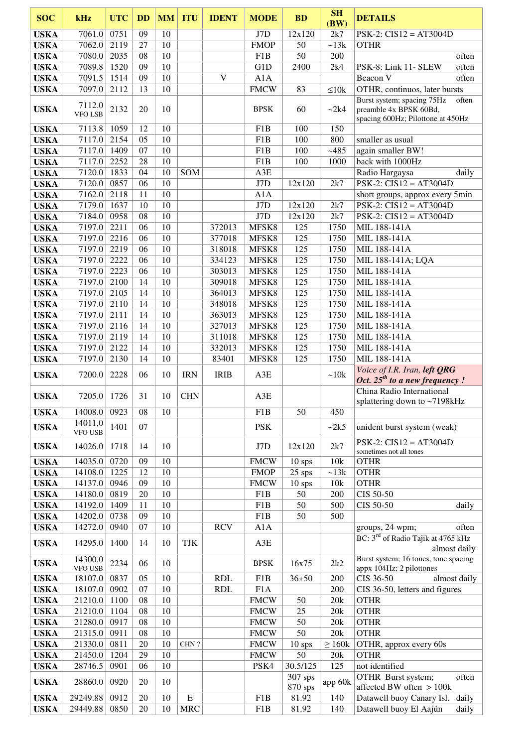| <b>SOC</b>                 | kHz                | <b>UTC</b>   | <b>DD</b> | <b>MM</b> | <b>ITU</b>              | <b>IDENT</b> | <b>MODE</b>      | <b>BD</b>           | SH<br>(BW)   | <b>DETAILS</b>                                                                                     |
|----------------------------|--------------------|--------------|-----------|-----------|-------------------------|--------------|------------------|---------------------|--------------|----------------------------------------------------------------------------------------------------|
| <b>USKA</b>                | 7061.0             | 0751         | 09        | 10        |                         |              | J7D              | 12x120              | 2k7          | $PSK-2$ : $CIS12 = AT3004D$                                                                        |
| <b>USKA</b>                | 7062.0             | 2119         | 27        | 10        |                         |              | <b>FMOP</b>      | 50                  | ~13k         | <b>OTHR</b>                                                                                        |
| <b>USKA</b>                | 7080.0             | 2035         | 08        | 10        |                         |              | F1B              | 50                  | 200          | often                                                                                              |
| <b>USKA</b>                | 7089.8             | 1520         | 09        | 10        |                         |              | G1D              | 2400                | 2k4          | PSK-8: Link 11- SLEW<br>often                                                                      |
| <b>USKA</b>                | 7091.5             | 1514         | 09        | 10        |                         | V            | A1A              |                     |              | Beacon V<br>often                                                                                  |
| <b>USKA</b>                | 7097.0             | 2112         | 13        | 10        |                         |              | <b>FMCW</b>      | 83                  | $\leq 10k$   | OTHR, continuos, later bursts                                                                      |
| <b>USKA</b>                | 7112.0<br>VFO LSB  | 2132         | 20        | 10        |                         |              | <b>BPSK</b>      | 60                  | ~2k4         | Burst system; spacing 75Hz<br>often<br>preamble 4x BPSK 60Bd,<br>spacing 600Hz; Pilottone at 450Hz |
| <b>USKA</b>                | 7113.8             | 1059         | 12        | 10        |                         |              | F <sub>1</sub> B | 100                 | 150          |                                                                                                    |
| <b>USKA</b>                | 7117.0             | 2154         | 05        | 10        |                         |              | F <sub>1</sub> B | 100                 | 800          | smaller as usual                                                                                   |
| <b>USKA</b>                | 7117.0             | 1409         | 07        | 10        |                         |              | F1B              | 100                 | $-485$       | again smaller BW!                                                                                  |
| <b>USKA</b><br><b>USKA</b> | 7117.0<br>7120.0   | 2252<br>1833 | 28<br>04  | 10<br>10  | SOM                     |              | F1B<br>A3E       | 100                 | 1000         | back with 1000Hz<br>Radio Hargaysa<br>daily                                                        |
| <b>USKA</b>                | 7120.0 0857        |              | 06        | 10        |                         |              | J7D              | 12x120              | 2k7          | $PSK-2$ : $CIS12 = AT3004D$                                                                        |
| <b>USKA</b>                | 7162.0             | 2118         | 11        | 10        |                         |              | A1A              |                     |              | short groups, approx every 5min                                                                    |
| <b>USKA</b>                | 7179.0             | 1637         | 10        | 10        |                         |              | J7D              | 12x120              | 2k7          | $PSK-2$ : $CIS12 = AT3004D$                                                                        |
| <b>USKA</b>                | 7184.0             | 0958         | 08        | 10        |                         |              | J7D              | 12x120              | 2k7          | $PSK-2$ : $CIS12 = AT3004D$                                                                        |
| <b>USKA</b>                | 7197.0             | 2211         | 06        | 10        |                         | 372013       | MFSK8            | 125                 | 1750         | MIL 188-141A                                                                                       |
| <b>USKA</b>                | 7197.0             | 2216         | 06        | 10        |                         | 377018       | MFSK8            | 125                 | 1750         | MIL 188-141A                                                                                       |
| <b>USKA</b>                | 7197.0             | 2219         | 06        | 10        |                         | 318018       | MFSK8            | 125                 | 1750         | MIL 188-141A                                                                                       |
| <b>USKA</b>                | 7197.0             | 2222         | 06        | 10        |                         | 334123       | MFSK8            | 125                 | 1750         | MIL 188-141A; LQA                                                                                  |
| <b>USKA</b>                | 7197.0             | 2223         | 06        | 10        |                         | 303013       | MFSK8            | 125                 | 1750         | MIL 188-141A                                                                                       |
| <b>USKA</b>                | 7197.0             | 2100         | 14        | 10        |                         | 309018       | MFSK8            | 125                 | 1750         | MIL 188-141A                                                                                       |
| <b>USKA</b>                | 7197.0             | 2105         | 14        | 10        |                         | 364013       | MFSK8            | 125                 | 1750         | MIL 188-141A                                                                                       |
| <b>USKA</b>                | 7197.0             | 2110         | 14        | 10        |                         | 348018       | MFSK8            | 125                 | 1750         | MIL 188-141A                                                                                       |
| <b>USKA</b>                | 7197.0             | 2111         | 14        | 10        |                         | 363013       | MFSK8            | 125                 | 1750         | MIL 188-141A                                                                                       |
| <b>USKA</b>                | 7197.0             | 2116         | 14        | 10        |                         | 327013       | MFSK8            | 125                 | 1750         | MIL 188-141A                                                                                       |
| <b>USKA</b>                | 7197.0             | 2119         | 14        | 10        |                         | 311018       | MFSK8            | 125                 | 1750         | MIL 188-141A                                                                                       |
| <b>USKA</b>                | 7197.0             | 2122         | 14<br>14  | 10<br>10  |                         | 332013       | MFSK8            | 125<br>125          | 1750<br>1750 | MIL 188-141A<br>MIL 188-141A                                                                       |
| <b>USKA</b>                | 7197.0             | 2130         |           |           |                         | 83401        | MFSK8            |                     |              | Voice of I.R. Iran, left QRG                                                                       |
| <b>USKA</b>                | 7200.0             | 2228         | 06        | 10        | <b>IRN</b>              | <b>IRIB</b>  | A3E              |                     | ~10k         | Oct. 25 <sup>th</sup> to a new frequency!<br>China Radio International                             |
| <b>USKA</b>                | 7205.0 1726        |              | 31        | 10        | <b>CHN</b>              |              | A3E              |                     |              | splattering down to ~7198kHz                                                                       |
| <b>USKA</b>                | 14008.0            | 0923         | 08        | 10        |                         |              | F1B              | 50                  | 450          |                                                                                                    |
| <b>USKA</b>                | 14011,0<br>VFO USB | 1401         | 07        |           |                         |              | <b>PSK</b>       |                     | $\sim$ 2k5   | unident burst system (weak)                                                                        |
| <b>USKA</b>                | 14026.0            | 1718         | 14        | 10        |                         |              | J7D              | 12x120              | 2k7          | $PSK-2$ : $CIS12 = AT3004D$<br>sometimes not all tones                                             |
| <b>USKA</b>                | 14035.0            | 0720         | 09        | 10        |                         |              | <b>FMCW</b>      | $10$ sps            | 10k          | <b>OTHR</b>                                                                                        |
| <b>USKA</b>                | 14108.0            | 1225         | 12        | 10        |                         |              | <b>FMOP</b>      | $25$ sps            | ~13k         | <b>OTHR</b>                                                                                        |
| <b>USKA</b>                | 14137.0            | 0946         | 09        | 10        |                         |              | <b>FMCW</b>      | $10$ sps            | 10k          | <b>OTHR</b>                                                                                        |
| <b>USKA</b>                | 14180.0 0819       |              | 20        | 10        |                         |              | F1B              | 50                  | 200          | CIS 50-50                                                                                          |
| <b>USKA</b>                | 14192.0            | 1409         | 11        | 10        |                         |              | F1B              | 50                  | 500          | CIS 50-50<br>daily                                                                                 |
| <b>USKA</b>                | 14202.0            | 0738         | 09        | 10        |                         |              | F <sub>1</sub> B | 50                  | 500          |                                                                                                    |
| <b>USKA</b>                | 14272.0            | 0940         | 07        | 10        |                         | <b>RCV</b>   | A1A              |                     |              | groups, 24 wpm;<br>often<br>BC: 3 <sup>rd</sup> of Radio Tajik at 4765 kHz                         |
| <b>USKA</b>                | 14295.0            | 1400         | 14        | 10        | <b>TJK</b>              |              | A3E              |                     |              | almost daily                                                                                       |
| <b>USKA</b>                | 14300.0<br>VFO USB | 2234         | 06        | 10        |                         |              | <b>BPSK</b>      | 16x75               | 2k2          | Burst system; 16 tones, tone spacing<br>appx 104Hz; 2 pilottones                                   |
| <b>USKA</b>                | 18107.0            | 0837         | 05        | 10        |                         | <b>RDL</b>   | F1B              | $36 + 50$           | 200          | CIS 36-50<br>almost daily                                                                          |
| <b>USKA</b>                | 18107.0            | 0902         | 07        | 10        |                         | <b>RDL</b>   | F1A              |                     | 200          | CIS 36-50, letters and figures                                                                     |
| <b>USKA</b>                | 21210.0            | 1100         | 08        | 10        |                         |              | <b>FMCW</b>      | 50                  | 20k          | <b>OTHR</b>                                                                                        |
| <b>USKA</b>                | 21210.0            | 1104         | 08        | 10        |                         |              | <b>FMCW</b>      | 25                  | 20k          | <b>OTHR</b>                                                                                        |
| <b>USKA</b>                | 21280.0 0917       |              | 08        | 10        |                         |              | <b>FMCW</b>      | 50                  | 20k          | <b>OTHR</b>                                                                                        |
| <b>USKA</b>                | 21315.0 0911       |              | 08        | 10        |                         |              | <b>FMCW</b>      | 50                  | 20k          | <b>OTHR</b>                                                                                        |
| <b>USKA</b>                | 21330.0 0811       |              | 20        | 10        | CHN?                    |              | <b>FMCW</b>      | $10$ sps            | $\geq 160k$  | OTHR, approx every 60s                                                                             |
| <b>USKA</b>                | 21450.0            | 1204         | 29        | 10        |                         |              | <b>FMCW</b>      | 50                  | 20k          | <b>OTHR</b>                                                                                        |
| <b>USKA</b>                | 28746.5            | 0901         | 06        | 10        |                         |              | PSK4             | 30.5/125<br>307 sps | 125          | not identified<br>OTHR Burst system;<br>often                                                      |
| <b>USKA</b>                | 28860.0            | 0920         | 20        | 10        |                         |              |                  | 870 sps             | app 60k      | affected BW often > 100k                                                                           |
| <b>USKA</b>                | 29249.88           | 0912         | 20<br>20  | 10<br>10  | ${\bf E}$<br><b>MRC</b> |              | F1B              | 81.92               | 140<br>140   | Datawell buoy Canary Isl.<br>daily<br>Datawell buoy El Aajún                                       |
| <b>USKA</b>                | 29449.88           | 0850         |           |           |                         |              | F1B              | 81.92               |              | daily                                                                                              |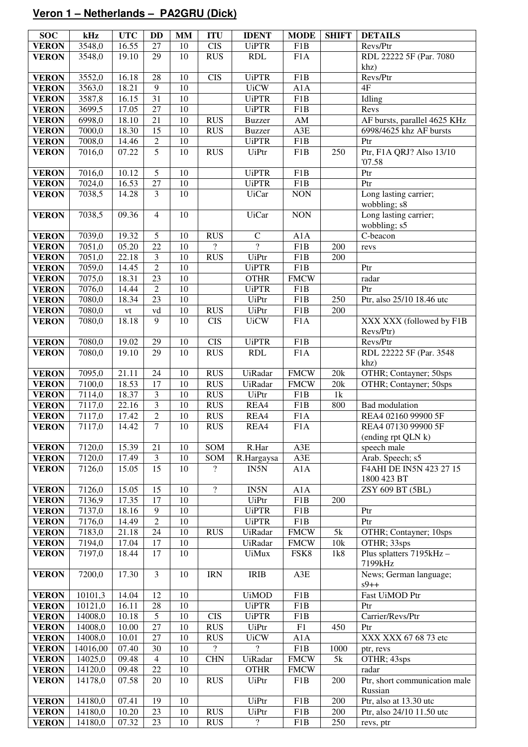# **Veron 1 – Netherlands – PA2GRU (Dick)**

| <b>SOC</b>                   | kHz      | <b>UTC</b> | DD                      | MM     | <b>ITU</b>               | <b>IDENT</b>             | <b>MODE</b>            | <b>SHIFT</b>     | <b>DETAILS</b>                        |
|------------------------------|----------|------------|-------------------------|--------|--------------------------|--------------------------|------------------------|------------------|---------------------------------------|
| <b>VERON</b>                 | 3548,0   | 16.55      | $\overline{27}$         | 10     | $\overline{\text{CIS}}$  | <b>UiPTR</b>             | F1B                    |                  | Revs/Ptr                              |
| <b>VERON</b>                 | 3548,0   | 19.10      | 29                      | 10     | <b>RUS</b>               | RDL                      | F1A                    |                  | RDL 22222 5F (Par. 7080               |
|                              |          |            |                         |        |                          |                          |                        |                  | khz)                                  |
| <b>VERON</b>                 | 3552,0   | 16.18      | 28                      | 10     | $\overline{\text{CIS}}$  | <b>UiPTR</b>             | F <sub>1</sub> B       |                  | Revs/Ptr                              |
| <b>VERON</b>                 | 3563,0   | 18.21      | $\overline{9}$          | 10     |                          | <b>UiCW</b>              | A1A                    |                  | 4F                                    |
| <b>VERON</b>                 | 3587,8   | 16.15      | $\overline{31}$         | 10     |                          | <b>UiPTR</b>             | F1B                    |                  | Idling                                |
| <b>VERON</b>                 | 3699,5   | 17.05      | $\overline{27}$         | 10     |                          | <b>UiPTR</b>             | F1B                    |                  | Revs                                  |
| <b>VERON</b>                 | 6998,0   | 18.10      | $\overline{21}$         | 10     | <b>RUS</b>               | <b>Buzzer</b>            | $\mathbf{A}\mathbf{M}$ |                  | AF bursts, parallel 4625 KHz          |
| <b>VERON</b>                 | 7000,0   | 18.30      | 15                      | 10     | <b>RUS</b>               | <b>Buzzer</b>            | A3E                    |                  | 6998/4625 khz AF bursts               |
| <b>VERON</b>                 | 7008,0   | 14.46      | $\overline{2}$          | 10     |                          | <b>UiPTR</b>             | F1B                    |                  | Ptr                                   |
| <b>VERON</b>                 | 7016,0   | 07.22      | $\overline{5}$          | 10     | <b>RUS</b>               | <b>UiPtr</b>             | F <sub>1</sub> B       | 250              | Ptr, F1A QRJ? Also 13/10              |
|                              |          |            |                         |        |                          |                          |                        |                  | '07.58                                |
| <b>VERON</b>                 | 7016,0   | 10.12      | 5                       | 10     |                          | <b>UiPTR</b>             | F1B                    |                  | Ptr                                   |
|                              | 7024,0   |            | 27                      | 10     |                          | <b>UiPTR</b>             | F1B                    |                  | Ptr                                   |
| <b>VERON</b>                 |          | 16.53      | $\overline{3}$          |        |                          |                          |                        |                  |                                       |
| <b>VERON</b>                 | 7038,5   | 14.28      |                         | 10     |                          | <b>UiCar</b>             | <b>NON</b>             |                  | Long lasting carrier;                 |
|                              |          |            | $\overline{4}$          |        |                          |                          |                        |                  | wobbling; s8                          |
| <b>VERON</b>                 | 7038,5   | 09.36      |                         | 10     |                          | <b>UiCar</b>             | <b>NON</b>             |                  | Long lasting carrier;<br>wobbling; s5 |
|                              | 7039,0   | 19.32      | 5                       | 10     | <b>RUS</b>               | $\mathbf C$              | A1A                    |                  | C-beacon                              |
| <b>VERON</b><br><b>VERON</b> | 7051,0   | 05.20      | $\overline{22}$         | 10     | $\overline{\mathcal{C}}$ | $\overline{?}$           | F1B                    | $\overline{200}$ | revs                                  |
|                              |          |            | $\overline{\mathbf{3}}$ |        | <b>RUS</b>               |                          | F1B                    |                  |                                       |
| <b>VERON</b>                 | 7051,0   | 22.18      |                         | 10     |                          | <b>UiPtr</b>             |                        | 200              |                                       |
| <b>VERON</b>                 | 7059,0   | 14.45      | $\overline{2}$          | 10     |                          | <b>UiPTR</b>             | F1B                    |                  | Ptr                                   |
| <b>VERON</b>                 | 7075,0   | 18.31      | $\overline{23}$         | 10     |                          | <b>OTHR</b>              | <b>FMCW</b>            |                  | radar                                 |
| <b>VERON</b>                 | 7076,0   | 14.44      | $\overline{2}$          | 10     |                          | <b>UiPTR</b>             | F <sub>1</sub> B       |                  | Ptr                                   |
| <b>VERON</b>                 | 7080,0   | 18.34      | 23                      | 10     |                          | <b>UiPtr</b>             | F1B                    | 250              | Ptr, also 25/10 18.46 utc             |
| <b>VERON</b>                 | 7080,0   | vt         | vd                      | 10     | <b>RUS</b>               | <b>UiPtr</b>             | F1B                    | 200              |                                       |
| <b>VERON</b>                 | 7080,0   | 18.18      | 9                       | 10     | $\overline{CIS}$         | <b>UiCW</b>              | F1A                    |                  | XXX XXX (followed by F1B              |
|                              |          |            |                         |        |                          |                          |                        |                  | Revs/Ptr)                             |
| <b>VERON</b>                 | 7080,0   | 19.02      | 29                      | 10     | <b>CIS</b>               | <b>UiPTR</b>             | F1B                    |                  | Revs/Ptr                              |
| <b>VERON</b>                 | 7080,0   | 19.10      | 29                      | 10     | <b>RUS</b>               | <b>RDL</b>               | F1A                    |                  | RDL 22222 5F (Par. 3548               |
|                              |          |            |                         |        |                          |                          |                        |                  | khz)                                  |
| <b>VERON</b>                 | 7095,0   | 21.11      | 24                      | 10     | <b>RUS</b>               | UiRadar                  | <b>FMCW</b>            | 20k              | OTHR; Contayner; 50sps                |
| <b>VERON</b>                 | 7100,0   | 18.53      | 17                      | 10     | <b>RUS</b>               | UiRadar                  | <b>FMCW</b>            | 20k              | OTHR; Contayner; 50sps                |
| <b>VERON</b>                 | 7114,0   | 18.37      | $\overline{3}$          | 10     | <b>RUS</b>               | <b>UiPtr</b>             | F1B                    | 1k               |                                       |
| <b>VERON</b>                 | 7117,0   | 22.16      | 3                       | 10     | <b>RUS</b>               | REA4                     | F1B                    | 800              | <b>Bad</b> modulation                 |
| <b>VERON</b>                 | 7117,0   | 17.42      | $\sqrt{2}$              | 10     | <b>RUS</b>               | REA4                     | F1A                    |                  | REA4 02160 99900 5F                   |
| <b>VERON</b>                 | 7117,0   | 14.42      | $\overline{7}$          | 10     | <b>RUS</b>               | REA4                     | F <sub>1</sub> A       |                  | REA4 07130 99900 5F                   |
|                              |          |            |                         |        |                          |                          |                        |                  | (ending rpt QLN k)                    |
| <b>VERON</b>                 | 7120,0   | 15.39      | 21                      | 10     | SOM                      | R.Har                    | A3E                    |                  | speech male                           |
| <b>VERON</b>                 | 7120,0   | 17.49      | $\mathfrak{Z}$          | 10     | SOM                      | R.Hargaysa               | A3E                    |                  | Arab. Speech; s5                      |
| <b>VERON</b>                 | 7126,0   | 15.05      | 15                      | 10     | $\overline{\mathcal{L}}$ | IN5N                     | A1A                    |                  | F4AHI DE IN5N 423 27 15               |
|                              |          |            |                         |        |                          |                          |                        |                  | 1800 423 BT                           |
| <b>VERON</b>                 | 7126,0   | 15.05      | 15                      | 10     | $\overline{\mathcal{L}}$ | IN5N                     | A1A                    |                  | ZSY 609 BT (5BL)                      |
| <b>VERON</b>                 | 7136,9   | 17.35      | 17                      | 10     |                          | <b>UiPtr</b>             | F1B                    | 200              |                                       |
| <b>VERON</b>                 | 7137,0   | 18.16      | 9                       | 10     |                          | <b>UiPTR</b>             | F1B                    |                  | Ptr                                   |
| <b>VERON</b>                 | 7176,0   | 14.49      | $\overline{2}$          | $10\,$ |                          | <b>UiPTR</b>             | F1B                    |                  | Ptr                                   |
| <b>VERON</b>                 | 7183,0   | 21.18      | 24                      | 10     | <b>RUS</b>               | UiRadar                  | <b>FMCW</b>            | 5k               | OTHR; Contayner; 10sps                |
| <b>VERON</b>                 | 7194,0   | 17.04      | 17                      | 10     |                          | UiRadar                  | <b>FMCW</b>            | 10k              | OTHR; 33sps                           |
| <b>VERON</b>                 | 7197,0   | 18.44      | 17                      | 10     |                          | <b>UiMux</b>             | FSK8                   | 1k8              | Plus splatters 7195kHz -              |
|                              |          |            | $\overline{3}$          |        |                          |                          |                        |                  | 7199kHz                               |
| <b>VERON</b>                 | 7200,0   | 17.30      |                         | $10\,$ | <b>IRN</b>               | <b>IRIB</b>              | A3E                    |                  | News; German language;                |
| <b>VERON</b>                 | 10101,3  | 14.04      | 12                      | 10     |                          | <b>UiMOD</b>             | F1B                    |                  | $s9++$<br>Fast UiMOD Ptr              |
| <b>VERON</b>                 | 10121,0  | 16.11      | 28                      | 10     |                          | <b>UiPTR</b>             | F1B                    |                  | Ptr                                   |
| <b>VERON</b>                 | 14008,0  | 10.18      | $\overline{5}$          | 10     | <b>CIS</b>               | <b>UiPTR</b>             | F1B                    |                  | Carrier/Revs/Ptr                      |
| <b>VERON</b>                 | 14008,0  | 10.00      | 27                      | 10     | <b>RUS</b>               | <b>UiPtr</b>             | ${\rm F}1$             | 450              | Ptr                                   |
| <b>VERON</b>                 | 14008,0  | 10.01      | 27                      | 10     | <b>RUS</b>               | <b>UiCW</b>              | A1A                    |                  | XXX XXX 67 68 73 etc                  |
| <b>VERON</b>                 | 14016,00 | 07.40      | 30                      | 10     | $\overline{\mathcal{L}}$ | $\gamma$                 | F1B                    | 1000             | ptr, revs                             |
| <b>VERON</b>                 | 14025,0  | 09.48      | $\overline{4}$          | 10     | <b>CHN</b>               | UiRadar                  | <b>FMCW</b>            | 5k               | OTHR; 43sps                           |
| <b>VERON</b>                 | 14120,0  | 09.48      | 22                      | 10     |                          | <b>OTHR</b>              | <b>FMCW</b>            |                  | radar                                 |
| <b>VERON</b>                 | 14178,0  | 07.58      | 20                      | 10     | <b>RUS</b>               | UiPtr                    | F1B                    | 200              | Ptr, short communication male         |
|                              |          |            |                         |        |                          |                          |                        |                  | Russian                               |
| <b>VERON</b>                 | 14180,0  | 07.41      | 19                      | 10     |                          | <b>UiPtr</b>             | F1B                    | 200              | Ptr, also at 13.30 utc                |
| <b>VERON</b>                 | 14180,0  | 10.20      | 23                      | 10     | <b>RUS</b>               | <b>UiPtr</b>             | F1B                    | 200              | Ptr, also 24/10 11.50 utc             |
| <b>VERON</b>                 | 14180,0  | 07.32      | 23                      | 10     | <b>RUS</b>               | $\overline{\mathcal{L}}$ | F1B                    | 250              | revs, ptr                             |
|                              |          |            |                         |        |                          |                          |                        |                  |                                       |